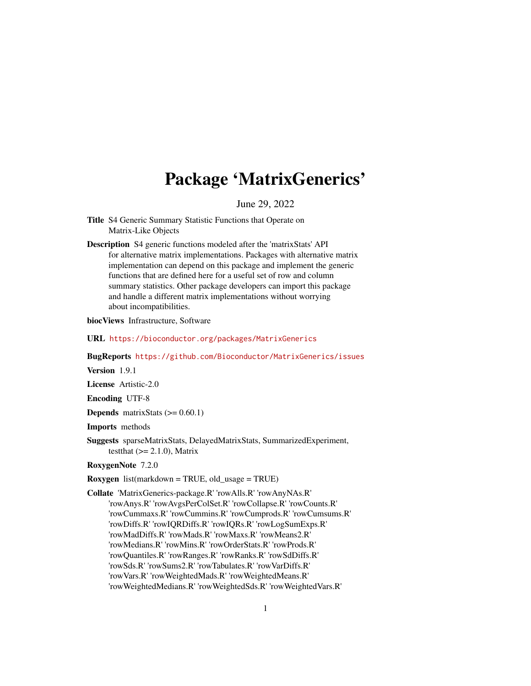# Package 'MatrixGenerics'

## June 29, 2022

- <span id="page-0-0"></span>Title S4 Generic Summary Statistic Functions that Operate on Matrix-Like Objects
- Description S4 generic functions modeled after the 'matrixStats' API for alternative matrix implementations. Packages with alternative matrix implementation can depend on this package and implement the generic functions that are defined here for a useful set of row and column summary statistics. Other package developers can import this package and handle a different matrix implementations without worrying about incompatibilities.

biocViews Infrastructure, Software

URL <https://bioconductor.org/packages/MatrixGenerics>

BugReports <https://github.com/Bioconductor/MatrixGenerics/issues>

Version 1.9.1

License Artistic-2.0

Encoding UTF-8

**Depends** matrixStats  $(>= 0.60.1)$ 

Imports methods

Suggests sparseMatrixStats, DelayedMatrixStats, SummarizedExperiment, testthat  $(>= 2.1.0)$ , Matrix

RoxygenNote 7.2.0

Roxygen list(markdown = TRUE, old\_usage = TRUE)

Collate 'MatrixGenerics-package.R' 'rowAlls.R' 'rowAnyNAs.R' 'rowAnys.R' 'rowAvgsPerColSet.R' 'rowCollapse.R' 'rowCounts.R' 'rowCummaxs.R' 'rowCummins.R' 'rowCumprods.R' 'rowCumsums.R' 'rowDiffs.R' 'rowIQRDiffs.R' 'rowIQRs.R' 'rowLogSumExps.R' 'rowMadDiffs.R' 'rowMads.R' 'rowMaxs.R' 'rowMeans2.R' 'rowMedians.R' 'rowMins.R' 'rowOrderStats.R' 'rowProds.R' 'rowQuantiles.R' 'rowRanges.R' 'rowRanks.R' 'rowSdDiffs.R' 'rowSds.R' 'rowSums2.R' 'rowTabulates.R' 'rowVarDiffs.R' 'rowVars.R' 'rowWeightedMads.R' 'rowWeightedMeans.R' 'rowWeightedMedians.R' 'rowWeightedSds.R' 'rowWeightedVars.R'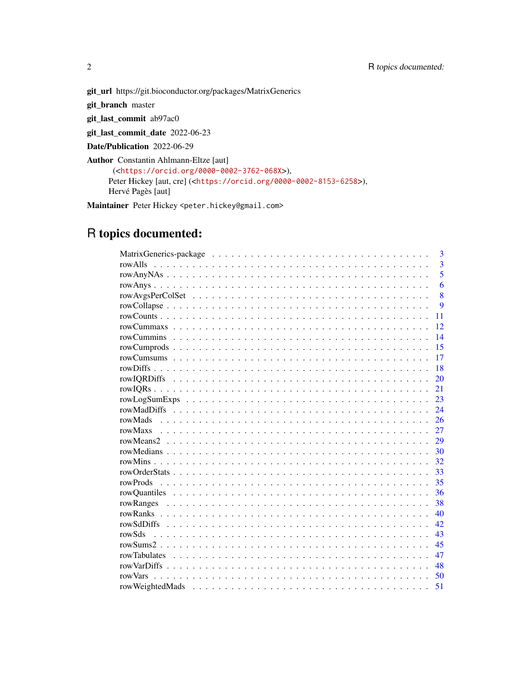git\_url https://git.bioconductor.org/packages/MatrixGenerics

git\_branch master

git\_last\_commit ab97ac0

git\_last\_commit\_date 2022-06-23

Date/Publication 2022-06-29

Author Constantin Ahlmann-Eltze [aut] (<<https://orcid.org/0000-0002-3762-068X>>), Peter Hickey [aut, cre] (<<https://orcid.org/0000-0002-8153-6258>>), Hervé Pagès [aut]

Maintainer Peter Hickey <peter.hickey@gmail.com>

# R topics documented:

|         | 3              |
|---------|----------------|
|         | $\overline{3}$ |
|         | 5              |
|         | 6              |
|         | 8              |
|         | 9              |
|         | 11             |
|         | 12             |
|         | 14             |
|         | 15             |
|         | 17             |
|         | 18             |
|         | 20             |
|         | 21             |
|         | 23             |
|         | 24             |
| rowMads | 26             |
|         | 27             |
|         | 29             |
|         | 30             |
|         | 32             |
|         | 33             |
|         | 35             |
|         | 36             |
|         | 38             |
|         | 40             |
|         | 42             |
| rowSds  | 43             |
|         | 45             |
|         | 47             |
|         | 48             |
| rowVars | 50             |
|         | 51             |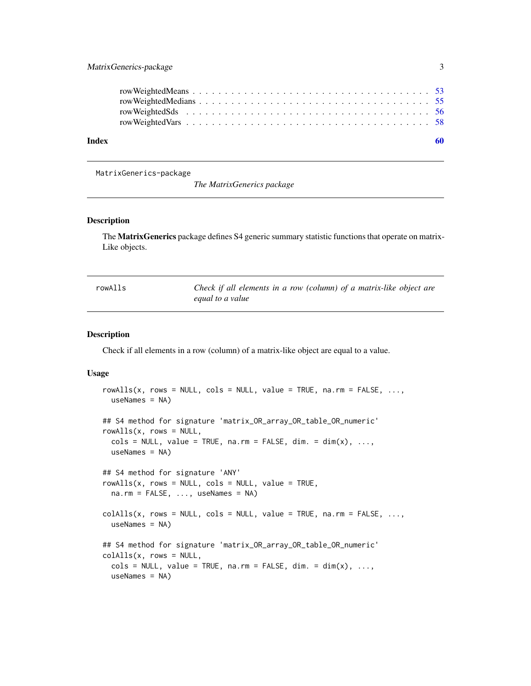<span id="page-2-0"></span>

| Index |  |  |  |  |  |  |  |  |  |  |  |  |  |  |  |  |  |
|-------|--|--|--|--|--|--|--|--|--|--|--|--|--|--|--|--|--|
|       |  |  |  |  |  |  |  |  |  |  |  |  |  |  |  |  |  |
|       |  |  |  |  |  |  |  |  |  |  |  |  |  |  |  |  |  |
|       |  |  |  |  |  |  |  |  |  |  |  |  |  |  |  |  |  |
|       |  |  |  |  |  |  |  |  |  |  |  |  |  |  |  |  |  |
|       |  |  |  |  |  |  |  |  |  |  |  |  |  |  |  |  |  |

MatrixGenerics-package

*The MatrixGenerics package*

#### Description

The MatrixGenerics package defines S4 generic summary statistic functions that operate on matrix-Like objects.

<span id="page-2-1"></span>

| rowAlls | Check if all elements in a row (column) of a matrix-like object are |
|---------|---------------------------------------------------------------------|
|         | equal to a value                                                    |

## <span id="page-2-2"></span>Description

Check if all elements in a row (column) of a matrix-like object are equal to a value.

```
rowalls(x, rows = NULL, cols = NULL, value = TRUE, na.rm = FALSE, ...useNames = NA)
## S4 method for signature 'matrix_OR_array_OR_table_OR_numeric'
rowAlls(x, rows = NULL,\text{cols} = \text{NULL}, \text{ value} = \text{TRUE}, \text{ na.rm} = \text{FALSE}, \text{ dim.} = \text{dim}(x), \dots,useNames = NA)
## S4 method for signature 'ANY'
rowAlls(x, rows = NULL, cols = NULL, value = TRUE,na.rm = FALSE, ..., useNames = NA)collalls(x, rows = NULL, cols = NULL, value = TRUE, na.rm = FALSE, ...useNames = NA)
## S4 method for signature 'matrix_OR_array_OR_table_OR_numeric'
collalls(x, rows = NULL,\text{cols} = \text{NULL}, \text{ value} = \text{TRUE}, \text{ na.rm} = \text{FALSE}, \text{ dim.} = \text{dim}(x), \dots,useNames = NA)
```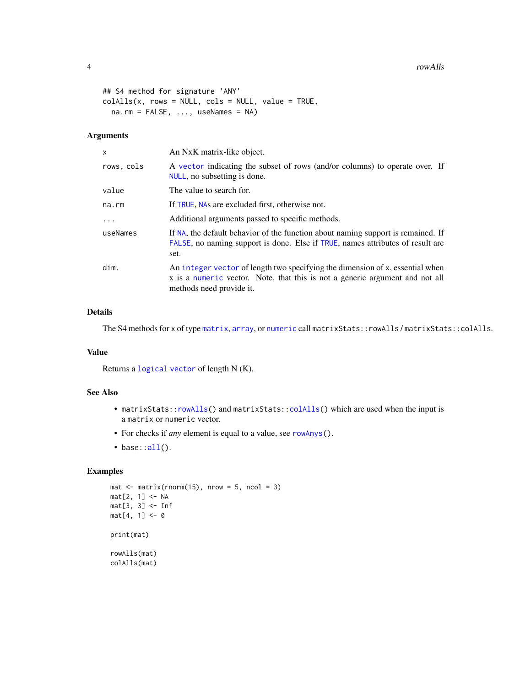```
## S4 method for signature 'ANY'
collalls(x, rows = NULL, cols = NULL, value = TRUE,na.rm = FALSE, ..., useNames = NA)
```
## Arguments

| x          | An NxK matrix-like object.                                                                                                                                                                |
|------------|-------------------------------------------------------------------------------------------------------------------------------------------------------------------------------------------|
| rows, cols | A vector indicating the subset of rows (and/or columns) to operate over. If<br>NULL, no subsetting is done.                                                                               |
| value      | The value to search for.                                                                                                                                                                  |
| na.rm      | If TRUE, NAs are excluded first, otherwise not.                                                                                                                                           |
| $\ddotsc$  | Additional arguments passed to specific methods.                                                                                                                                          |
| useNames   | If NA, the default behavior of the function about naming support is remained. If<br>FALSE, no naming support is done. Else if TRUE, names attributes of result are<br>set.                |
| dim.       | An integer vector of length two specifying the dimension of x, essential when<br>x is a numeric vector. Note, that this is not a generic argument and not all<br>methods need provide it. |

## Details

The S4 methods for x of type [matrix](#page-0-0), [array](#page-0-0), or [numeric](#page-0-0) call matrixStats::rowAlls / matrixStats::colAlls.

## Value

Returns a [logical](#page-0-0) [vector](#page-0-0) of length N (K).

## See Also

- matrixStats:[:rowAlls\(](#page-2-1)) and matrixStats:[:colAlls\(](#page-2-2)) which are used when the input is a matrix or numeric vector.
- For checks if *any* element is equal to a value, see [rowAnys\(](#page-5-1)).
- $\bullet$  base:[:all\(](#page-0-0)).

```
mat \leq matrix(rnorm(15), nrow = 5, ncol = 3)
mat[2, 1] <- NA
mat[3, 3] <- Inf
mat[4, 1] < -0print(mat)
rowAlls(mat)
colAlls(mat)
```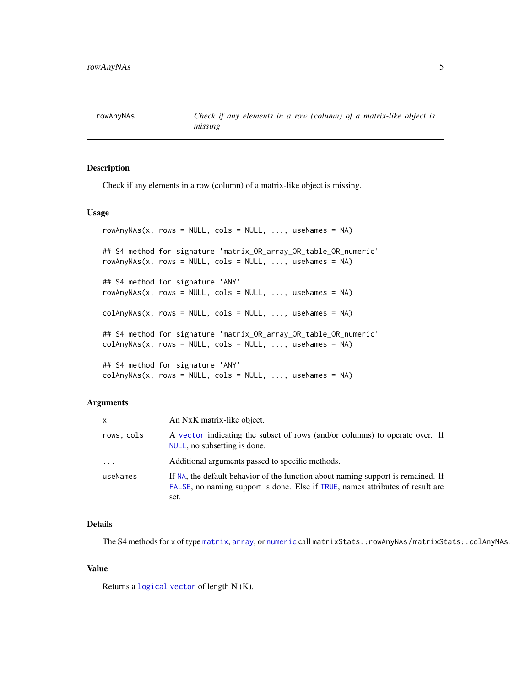<span id="page-4-1"></span><span id="page-4-0"></span>rowAnyNAs *Check if any elements in a row (column) of a matrix-like object is missing*

## <span id="page-4-2"></span>Description

Check if any elements in a row (column) of a matrix-like object is missing.

## Usage

```
rowAnyNAs(x, rows = NULL, cols = NULL, ..., useNames = NA)## S4 method for signature 'matrix_OR_array_OR_table_OR_numeric'
rowAnyNAs(x, rows = NULL, cols = NULL, ..., useNames = NA)
## S4 method for signature 'ANY'
rowAnyNAS(x, rows = NULL, cols = NULL, ..., useNames = NA)colAnyNAs(x, rows = NULL, cols = NULL, ..., useNames = NA)## S4 method for signature 'matrix_OR_array_OR_table_OR_numeric'
colAnyNAS(x, rows = NULL, cols = NULL, ..., useNames = NA)## S4 method for signature 'ANY'
colAnyNAS(x, rows = NULL, cols = NULL, ..., useNames = NA)
```
## Arguments

| $\mathsf{x}$ | An NxK matrix-like object.                                                                                                                                                 |
|--------------|----------------------------------------------------------------------------------------------------------------------------------------------------------------------------|
| rows, cols   | A vector indicating the subset of rows (and/or columns) to operate over. If<br>NULL, no subsetting is done.                                                                |
| $\cdot$      | Additional arguments passed to specific methods.                                                                                                                           |
| useNames     | If NA, the default behavior of the function about naming support is remained. If<br>FALSE, no naming support is done. Else if TRUE, names attributes of result are<br>set. |

## Details

The S4 methods for x of type [matrix](#page-0-0), [array](#page-0-0), or [numeric](#page-0-0) call matrixStats::rowAnyNAs / matrixStats::colAnyNAs.

#### Value

Returns a [logical](#page-0-0) [vector](#page-0-0) of length N (K).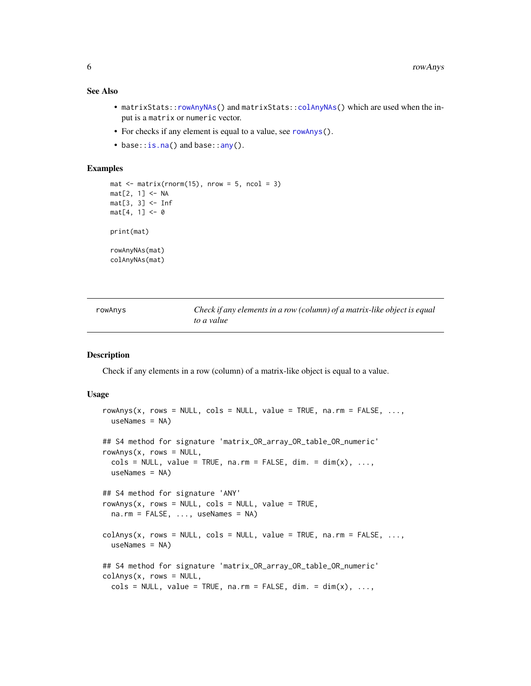#### <span id="page-5-0"></span>See Also

- matrixStats:[:rowAnyNAs\(](#page-4-1)) and matrixStats:[:colAnyNAs\(](#page-4-2)) which are used when the input is a matrix or numeric vector.
- For checks if any element is equal to a value, see [rowAnys\(](#page-5-1)).
- base:: is.na() and base:: any().

## Examples

```
mat \leq matrix(rnorm(15), nrow = 5, ncol = 3)
mat[2, 1] <- NA
mat[3, 3] <- Inf
mat[4, 1] < -0print(mat)
rowAnyNAs(mat)
colAnyNAs(mat)
```
<span id="page-5-1"></span>rowAnys *Check if any elements in a row (column) of a matrix-like object is equal to a value*

#### <span id="page-5-2"></span>Description

Check if any elements in a row (column) of a matrix-like object is equal to a value.

```
rowAnys(x, rows = NULL, cols = NULL, value = TRUE, na.rm = FALSE, ...useNames = NA)
## S4 method for signature 'matrix_OR_array_OR_table_OR_numeric'
rows(x, rows = NULL,\text{cols} = \text{NULL}, \text{ value} = \text{TRUE}, \text{ na.rm} = \text{FALSE}, \text{ dim.} = \text{dim}(x), \dots,useNames = NA)
## S4 method for signature 'ANY'
rows(x, rows = NULL, cols = NULL, value = TRUE,na.rm = FALSE, ..., useNames = NA)colAnys(x, rows = NULL, cols = NULL, value = TRUE, na.rm = FALSE, ...useNames = NA)## S4 method for signature 'matrix_OR_array_OR_table_OR_numeric'
colAnys(x, rows = NULL,\text{cols} = \text{NULL}, \text{ value} = \text{TRUE}, \text{ na.rm} = \text{FALSE}, \text{ dim.} = \text{dim}(x), \dots,
```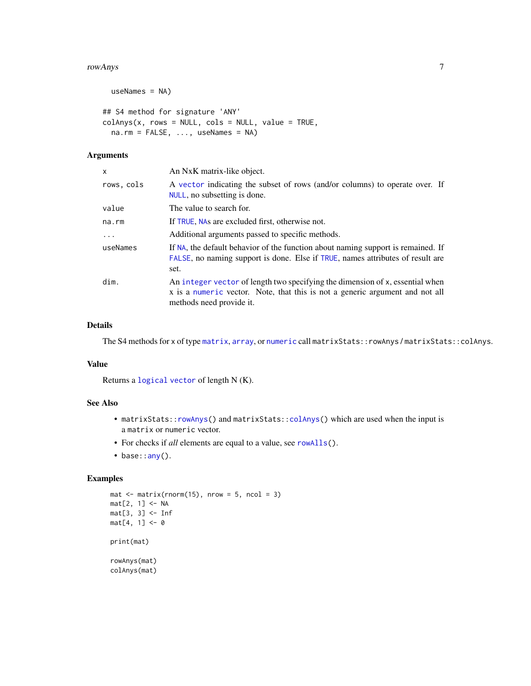#### <span id="page-6-0"></span>rowAnys 2008 and 2008 and 2008 and 2008 and 2008 and 2008 and 2008 and 2008 and 2008 and 2008 and 2008 and 200

```
useNames = NA)
## S4 method for signature 'ANY'
colAns(x, rows = NULL, cols = NULL, value = TRUE,na.rm = FALSE, ..., useNames = NA)
```
## Arguments

| x          | An NxK matrix-like object.                                                                                                                                                                |
|------------|-------------------------------------------------------------------------------------------------------------------------------------------------------------------------------------------|
| rows, cols | A vector indicating the subset of rows (and/or columns) to operate over. If<br>NULL, no subsetting is done.                                                                               |
| value      | The value to search for.                                                                                                                                                                  |
| na.rm      | If TRUE, NAs are excluded first, otherwise not.                                                                                                                                           |
| $\ddots$ . | Additional arguments passed to specific methods.                                                                                                                                          |
| useNames   | If NA, the default behavior of the function about naming support is remained. If<br>FALSE, no naming support is done. Else if TRUE, names attributes of result are<br>set.                |
| dim.       | An integer vector of length two specifying the dimension of x, essential when<br>x is a numeric vector. Note, that this is not a generic argument and not all<br>methods need provide it. |

## Details

The S4 methods for x of type [matrix](#page-0-0), [array](#page-0-0), or [numeric](#page-0-0) call matrixStats::rowAnys / matrixStats::colAnys.

## Value

Returns a [logical](#page-0-0) [vector](#page-0-0) of length N (K).

## See Also

- matrixStats:[:rowAnys\(](#page-5-1)) and matrixStats:[:colAnys\(](#page-5-2)) which are used when the input is a matrix or numeric vector.
- For checks if *all* elements are equal to a value, see [rowAlls\(](#page-2-1)).
- base:[:any\(](#page-0-0)).

```
mat \le matrix(rnorm(15), nrow = 5, ncol = 3)
mat[2, 1] <- NA
mat[3, 3] <- Inf
mat[4, 1] < -0print(mat)
rowAnys(mat)
colAnys(mat)
```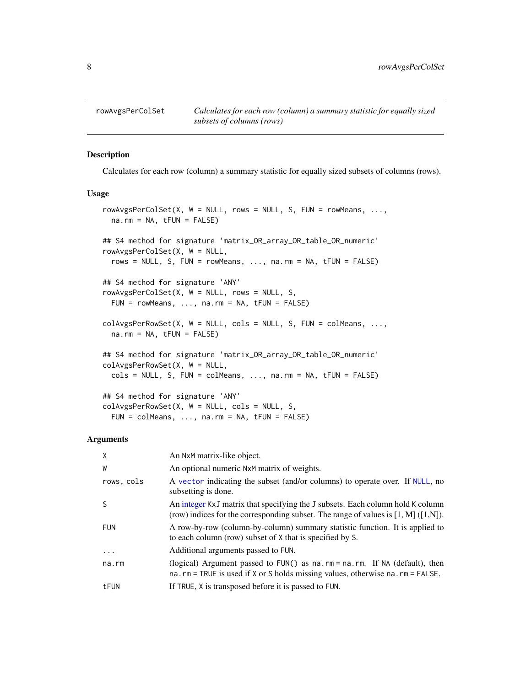<span id="page-7-1"></span><span id="page-7-0"></span>

#### <span id="page-7-2"></span>Description

Calculates for each row (column) a summary statistic for equally sized subsets of columns (rows).

#### Usage

```
rowAvgsPerColSet(X, W = NULL, rows = NULL, S, FUN = rowMeans, ...,na.rm = NA, tFUN = FALSE)
## S4 method for signature 'matrix_OR_array_OR_table_OR_numeric'
rowAvgsPerColSet(X, W = NULL,
  rows = NULL, S, FUN = rowMeans, ..., na.rm = NA, tFUN = FALSE)## S4 method for signature 'ANY'
rowAvgsPerColSet(X, W = NULL, rows = NULL, S,
  FUN = rowMeans, ..., na.rm = NA, tFUN = FALSE)
colAvgsPerRowSet(X, W = NULL, cols = NULL, S, FUN = colMeans, ...na.rm = NA, tFUN = FALSE)
## S4 method for signature 'matrix_OR_array_OR_table_OR_numeric'
colAvgsPerRowSet(X, W = NULL,
  cols = NULL, S, FUN = colMeans, ..., na.rm = NA, tFUN = FALSE)## S4 method for signature 'ANY'
colAvgsPerRowSet(X, W = NULL, cols = NULL, S,FUN = colMeans, ..., na.rm = NA, tFUN = FALSE)
```

| X          | An NxM matrix-like object.                                                                                                                                                 |
|------------|----------------------------------------------------------------------------------------------------------------------------------------------------------------------------|
| W          | An optional numeric N <sub>x</sub> M matrix of weights.                                                                                                                    |
| rows, cols | A vector indicating the subset (and/or columns) to operate over. If NULL, no<br>subsetting is done.                                                                        |
| S          | An integer KxJ matrix that specifying the J subsets. Each column hold K column<br>(row) indices for the corresponding subset. The range of values is $[1, M] ([1,N])$ .    |
| <b>FUN</b> | A row-by-row (column-by-column) summary statistic function. It is applied to<br>to each column (row) subset of X that is specified by S.                                   |
| $\cdot$    | Additional arguments passed to FUN.                                                                                                                                        |
| na.rm      | (logical) Argument passed to FUN() as $na$ . $rm = na$ . $rm$ . If NA (default), then<br>na.rm = TRUE is used if $X$ or $S$ holds missing values, otherwise na.rm = FALSE. |
| tFUN       | If TRUE, X is transposed before it is passed to FUN.                                                                                                                       |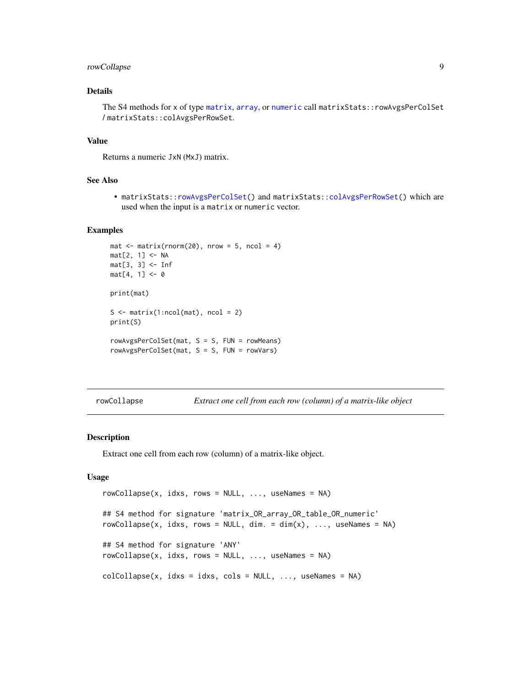## <span id="page-8-0"></span>rowCollapse 9

## Details

The S4 methods for x of type [matrix](#page-0-0), [array](#page-0-0), or [numeric](#page-0-0) call matrixStats::rowAvgsPerColSet / matrixStats::colAvgsPerRowSet.

## Value

Returns a numeric JxN (MxJ) matrix.

## See Also

• matrixStats:[:rowAvgsPerColSet\(](#page-7-1)) and matrixStats:[:colAvgsPerRowSet\(](#page-7-2)) which are used when the input is a matrix or numeric vector.

#### Examples

```
mat \leq matrix(rnorm(20), nrow = 5, ncol = 4)
mat[2, 1] <- NA
mat[3, 3] <- Inf
mat[4, 1] < -0print(mat)
S \leq matrix(1:ncol(mat), ncol = 2)
print(S)
rowAvgsPerColSet(mat, S = S, FUN = rowMeans)
rowAvgsPerColSet(mat, S = S, FUN = rowVars)
```
<span id="page-8-1"></span>rowCollapse *Extract one cell from each row (column) of a matrix-like object*

## <span id="page-8-2"></span>Description

Extract one cell from each row (column) of a matrix-like object.

```
rowCollapse(x, idxs, rows = NULL, ..., useNames = NA)## S4 method for signature 'matrix_OR_array_OR_table_OR_numeric'
rowCollapse(x, idxs, rows = NULL, dim. = dim(x), ..., useNames = NA)## S4 method for signature 'ANY'
rowCollapse(x, idxs, rows = NULL, ..., useNames = NA)colCollapse(x, idxs = idxs, cols = NULL, ..., useNames = NA)
```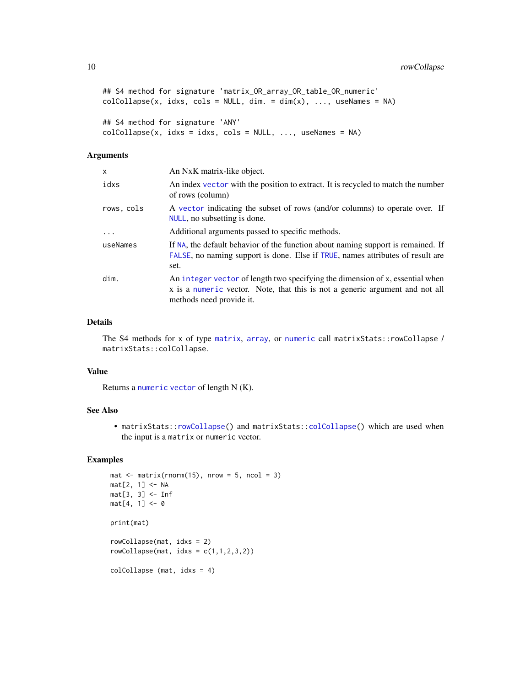```
## S4 method for signature 'matrix_OR_array_OR_table_OR_numeric'
colCollapse(x, idx, cols = NULL, dim. = dim(x), ..., useNames = NA)## S4 method for signature 'ANY'
colCollapse(x, idxs = idxs, cols = NULL, ..., useNames = NA)
```
#### Arguments

| x          | An NxK matrix-like object.                                                                                                                                                                |
|------------|-------------------------------------------------------------------------------------------------------------------------------------------------------------------------------------------|
| idxs       | An index vector with the position to extract. It is recycled to match the number<br>of rows (column)                                                                                      |
| rows, cols | A vector indicating the subset of rows (and/or columns) to operate over. If<br>NULL, no subsetting is done.                                                                               |
| $\cdots$   | Additional arguments passed to specific methods.                                                                                                                                          |
| useNames   | If NA, the default behavior of the function about naming support is remained. If<br>FALSE, no naming support is done. Else if TRUE, names attributes of result are<br>set.                |
| dim.       | An integer vector of length two specifying the dimension of x, essential when<br>x is a numeric vector. Note, that this is not a generic argument and not all<br>methods need provide it. |

#### Details

The S4 methods for x of type [matrix](#page-0-0), [array](#page-0-0), or [numeric](#page-0-0) call matrixStats::rowCollapse / matrixStats::colCollapse.

## Value

Returns a [numeric](#page-0-0) [vector](#page-0-0) of length N (K).

## See Also

• matrixStats:[:rowCollapse\(](#page-8-1)) and matrixStats:[:colCollapse\(](#page-8-2)) which are used when the input is a matrix or numeric vector.

```
mat \leq matrix(rnorm(15), nrow = 5, ncol = 3)
mat[2, 1] <- NA
mat[3, 3] <- Inf
mat[4, 1] < -0print(mat)
rowCollapse(mat, idxs = 2)
rowCollapse(max, idxs = c(1,1,2,3,2))colCollapse (mat, idxs = 4)
```
<span id="page-9-0"></span>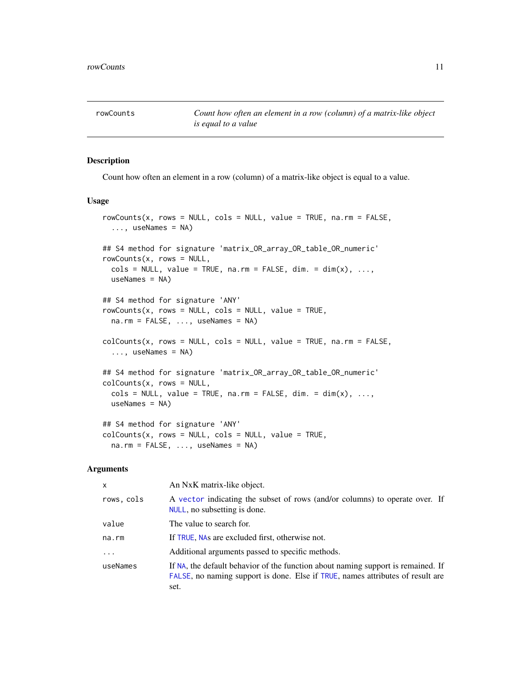<span id="page-10-1"></span><span id="page-10-0"></span>rowCounts *Count how often an element in a row (column) of a matrix-like object is equal to a value*

#### <span id="page-10-2"></span>Description

Count how often an element in a row (column) of a matrix-like object is equal to a value.

#### Usage

```
rowCounts(x, rows = NULL, cols = NULL, value = TRUE, na.rm = FALSE,..., useNames = NA)
## S4 method for signature 'matrix_OR_array_OR_table_OR_numeric'
rowCounts(x, rows = NULL,\text{cols} = \text{NULL}, \text{ value} = \text{TRUE}, \text{ na.m} = \text{FALSE}, \text{ dim.} = \text{dim}(x), \dots,useNames = NA)## S4 method for signature 'ANY'
rowCounts(x, rows = NULL, cols = NULL, value = TRUE,na.rm = FALSE, ..., useNames = NA)colcounts(x, rows = NULL, coils = NULL, value = TRUE, na.rm = FALSE,..., useNames = NA)
## S4 method for signature 'matrix_OR_array_OR_table_OR_numeric'
colcounts(x, rows = NULL,\text{cols} = \text{NULL}, \text{ value} = \text{TRUE}, \text{ na.rm} = \text{FALSE}, \text{ dim.} = \text{dim}(x), \dots,useNames = NA)
## S4 method for signature 'ANY'
colcounts(x, rows = NULL, coils = NULL, value = TRUE,na.rm = FALSE, ..., useNames = NA)
```

| X          | An NxK matrix-like object.                                                                                                                                                 |
|------------|----------------------------------------------------------------------------------------------------------------------------------------------------------------------------|
| rows, cols | A vector indicating the subset of rows (and/or columns) to operate over. If<br>NULL, no subsetting is done.                                                                |
| value      | The value to search for.                                                                                                                                                   |
| na.rm      | If TRUE, NAs are excluded first, otherwise not.                                                                                                                            |
| .          | Additional arguments passed to specific methods.                                                                                                                           |
| useNames   | If NA, the default behavior of the function about naming support is remained. If<br>FALSE, no naming support is done. Else if TRUE, names attributes of result are<br>set. |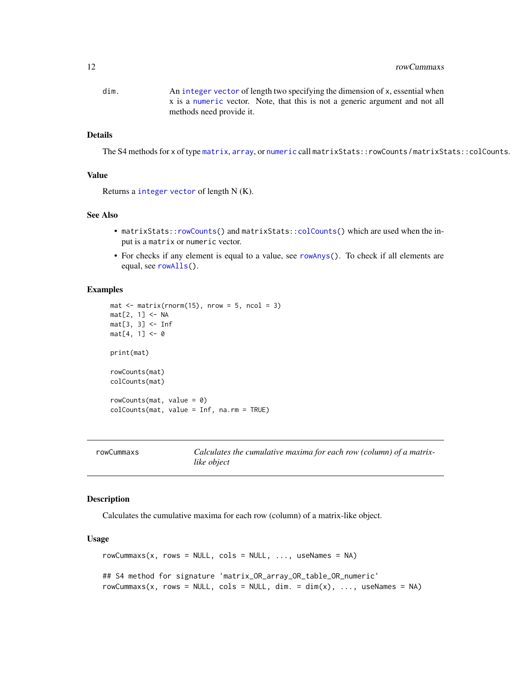## <span id="page-11-0"></span>12 rowCummaxs contract to the set of the set of the set of the set of the set of the set of the set of the set of the set of the set of the set of the set of the set of the set of the set of the set of the set of the set o

dim. An [integer](#page-0-0) [vector](#page-0-0) of length two specifying the dimension of x, essential when x is a [numeric](#page-0-0) vector. Note, that this is not a generic argument and not all methods need provide it.

## Details

The S4 methods for x of type [matrix](#page-0-0), [array](#page-0-0), or [numeric](#page-0-0) call matrixStats::rowCounts / matrixStats::colCounts.

## Value

Returns a [integer](#page-0-0) [vector](#page-0-0) of length N (K).

#### See Also

- matrixStats:[:rowCounts\(](#page-10-1)) and matrixStats:[:colCounts\(](#page-10-2)) which are used when the input is a matrix or numeric vector.
- For checks if any element is equal to a value, see [rowAnys\(](#page-5-1)). To check if all elements are equal, see [rowAlls\(](#page-2-1)).

#### Examples

```
mat \leq matrix(rnorm(15), nrow = 5, ncol = 3)
mat[2, 1] <- NA
mat[3, 3] <- Inf
mat[4, 1] < -0print(mat)
rowCounts(mat)
colCounts(mat)
rowCounts(mat, value = 0)
colCounts(mat, value = Inf, na.rm = TRUE)
```
<span id="page-11-1"></span>

| rowCummaxs | Calculates the cumulative maxima for each row (column) of a matrix- |
|------------|---------------------------------------------------------------------|
|            | like object                                                         |

## <span id="page-11-2"></span>Description

Calculates the cumulative maxima for each row (column) of a matrix-like object.

```
rowCummax(x, rows = NULL, cols = NULL, ..., useNames = NA)## S4 method for signature 'matrix_OR_array_OR_table_OR_numeric'
rowCummaxs(x, rows = NULL, cols = NULL, dim. = dim(x), ..., useNames = NA)
```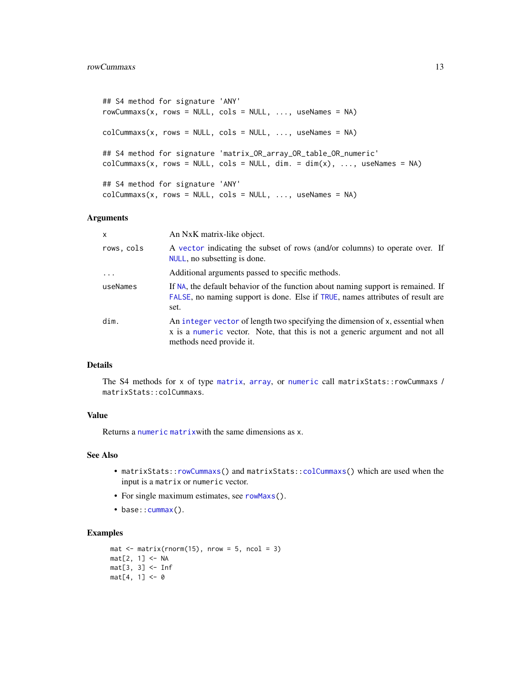```
## S4 method for signature 'ANY'
rowCummaxs(x, rows = NULL, cols = NULL, ..., useNames = NA)colCummax(x, rows = NULL, cols = NULL, ..., useNames = NA)## S4 method for signature 'matrix_OR_array_OR_table_OR_numeric'
colCummax(x, rows = NULL, cols = NULL, dim. = dim(x), ..., useNames = NA)## S4 method for signature 'ANY'
colCummax(x, rows = NULL, cols = NULL, ..., useNames = NA)
```
## Arguments

| $\mathsf{x}$ | An NxK matrix-like object.                                                                                                                                                                |
|--------------|-------------------------------------------------------------------------------------------------------------------------------------------------------------------------------------------|
| rows, cols   | A vector indicating the subset of rows (and/or columns) to operate over. If<br>NULL, no subsetting is done.                                                                               |
|              | Additional arguments passed to specific methods.                                                                                                                                          |
| useNames     | If NA, the default behavior of the function about naming support is remained. If<br>FALSE, no naming support is done. Else if TRUE, names attributes of result are<br>set.                |
| dim.         | An integer vector of length two specifying the dimension of x, essential when<br>x is a numeric vector. Note, that this is not a generic argument and not all<br>methods need provide it. |

#### Details

The S4 methods for x of type [matrix](#page-0-0), [array](#page-0-0), or [numeric](#page-0-0) call matrixStats::rowCummaxs / matrixStats::colCummaxs.

## Value

Returns a [numeric](#page-0-0) [matrix](#page-0-0)with the same dimensions as x.

#### See Also

- matrixStats:[:rowCummaxs\(](#page-11-1)) and matrixStats:[:colCummaxs\(](#page-11-2)) which are used when the input is a matrix or numeric vector.
- For single maximum estimates, see [rowMaxs\(](#page-26-1)).
- base:: cummax().

```
mat \leq matrix(rnorm(15), nrow = 5, ncol = 3)
mat[2, 1] <- NA
mat[3, 3] <- Inf
mat[4, 1] < -0
```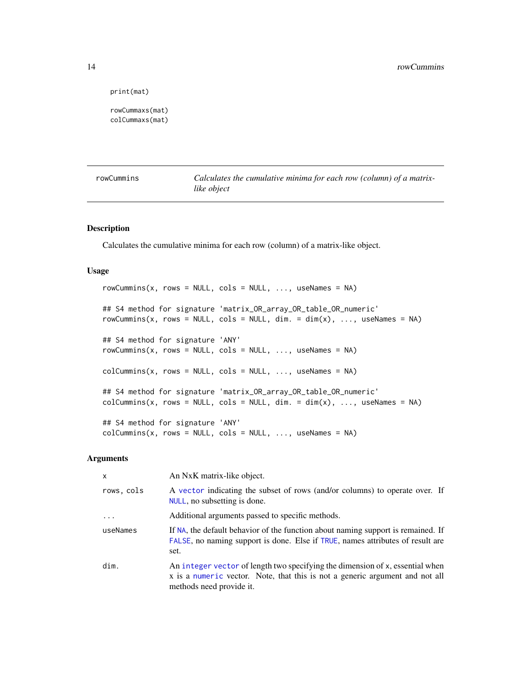```
print(mat)
```

```
rowCummaxs(mat)
colCummaxs(mat)
```
<span id="page-13-1"></span>

| rowCummins |  |
|------------|--|
|            |  |

Calculates the cumulative minima for each row (column) of a matrix*like object*

## <span id="page-13-2"></span>Description

Calculates the cumulative minima for each row (column) of a matrix-like object.

## Usage

```
rowCummins(x, rows = NULL, cols = NULL, ..., useNames = NA)## S4 method for signature 'matrix_OR_array_OR_table_OR_numeric'
rowCummins(x, rows = NULL, cols = NULL, dim. = dim(x), ..., useNames = NA)
## S4 method for signature 'ANY'
rowCummins(x, rows = NULL, cols = NULL, ..., useNames = NA)colCummins(x, rows = NULL, cols = NULL, ..., useNames = NA)## S4 method for signature 'matrix_OR_array_OR_table_OR_numeric'
colCummins(x, rows = NULL, cols = NULL, dim. = dim(x), ..., useNames = NA)## S4 method for signature 'ANY'
colCummins(x, rows = NULL, cols = NULL, ..., useNames = NA)
```

| $\mathsf{x}$ | An NxK matrix-like object.                                                                                                                                                                |
|--------------|-------------------------------------------------------------------------------------------------------------------------------------------------------------------------------------------|
| rows, cols   | A vector indicating the subset of rows (and/or columns) to operate over. If<br>NULL, no subsetting is done.                                                                               |
| $\cdot$      | Additional arguments passed to specific methods.                                                                                                                                          |
| useNames     | If NA, the default behavior of the function about naming support is remained. If<br>FALSE, no naming support is done. Else if TRUE, names attributes of result are<br>set.                |
| dim.         | An integer vector of length two specifying the dimension of x, essential when<br>x is a numeric vector. Note, that this is not a generic argument and not all<br>methods need provide it. |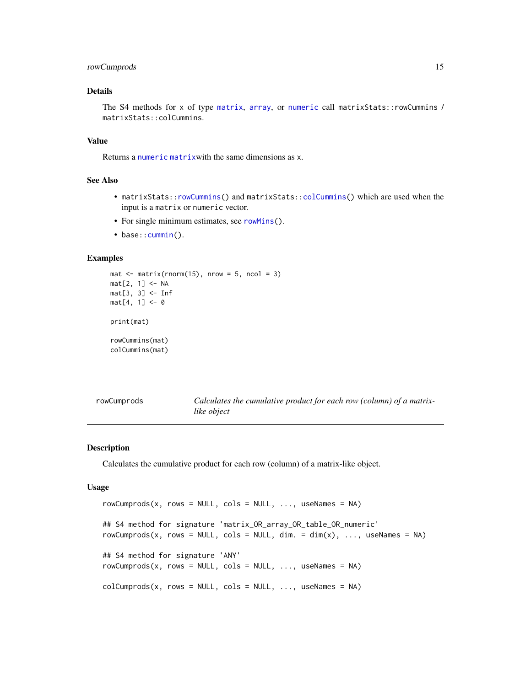## <span id="page-14-0"></span>rowCumprods 15

## Details

The S4 methods for x of type [matrix](#page-0-0), [array](#page-0-0), or [numeric](#page-0-0) call matrixStats::rowCummins / matrixStats::colCummins.

## Value

Returns a [numeric](#page-0-0) [matrix](#page-0-0)with the same dimensions as x.

## See Also

- matrixStats:[:rowCummins\(](#page-13-1)) and matrixStats:[:colCummins\(](#page-13-2)) which are used when the input is a matrix or numeric vector.
- For single minimum estimates, see [rowMins\(](#page-31-1)).
- base:: cummin().

## Examples

```
mat \leq matrix(rnorm(15), nrow = 5, ncol = 3)
mat[2, 1] <- NA
mat[3, 3] <- Inf
mat[4, 1] < -0print(mat)
rowCummins(mat)
colCummins(mat)
```
<span id="page-14-1"></span>

| rowCumprods | Calculates the cumulative product for each row (column) of a matrix- |
|-------------|----------------------------------------------------------------------|
|             | like object                                                          |

## <span id="page-14-2"></span>Description

Calculates the cumulative product for each row (column) of a matrix-like object.

```
rowCumprods(x, rows = NULL, cols = NULL, ..., useNames = NA)## S4 method for signature 'matrix_OR_array_OR_table_OR_numeric'
rowCumprods(x, rows = NULL, cols = NULL, dim. = dim(x), ..., useNames = NA)
## S4 method for signature 'ANY'
rowCumprods(x, rows = NULL, cols = NULL, ..., useNames = NA)colCumprods(x, rows = NULL, cols = NULL, ..., useNames = NA)
```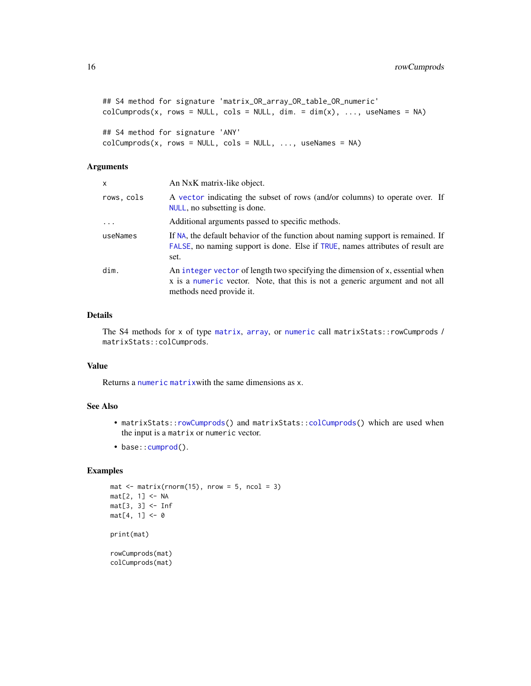```
## S4 method for signature 'matrix_OR_array_OR_table_OR_numeric'
colCumprods(x, rows = NULL, cols = NULL, dim. = dim(x), ..., useNames = NA)## S4 method for signature 'ANY'
colCumprods(x, rows = NULL, cols = NULL, ..., useNames = NA)
```
## Arguments

| x          | An NxK matrix-like object.                                                                                                                                                                |
|------------|-------------------------------------------------------------------------------------------------------------------------------------------------------------------------------------------|
| rows, cols | A vector indicating the subset of rows (and/or columns) to operate over. If<br>NULL, no subsetting is done.                                                                               |
| $\ddots$   | Additional arguments passed to specific methods.                                                                                                                                          |
| useNames   | If NA, the default behavior of the function about naming support is remained. If<br>FALSE, no naming support is done. Else if TRUE, names attributes of result are<br>set.                |
| dim.       | An integer vector of length two specifying the dimension of x, essential when<br>x is a numeric vector. Note, that this is not a generic argument and not all<br>methods need provide it. |

## Details

The S4 methods for x of type [matrix](#page-0-0), [array](#page-0-0), or [numeric](#page-0-0) call matrixStats::rowCumprods / matrixStats::colCumprods.

#### Value

Returns a [numeric](#page-0-0) [matrix](#page-0-0)with the same dimensions as x.

## See Also

- matrixStats:[:rowCumprods\(](#page-14-1)) and matrixStats:[:colCumprods\(](#page-14-2)) which are used when the input is a matrix or numeric vector.
- base:[:cumprod\(](#page-0-0)).

```
mat \leq matrix(rnorm(15), nrow = 5, ncol = 3)
mat[2, 1] <- NA
mat[3, 3] <- Inf
mat[4, 1] < -0print(mat)
rowCumprods(mat)
colCumprods(mat)
```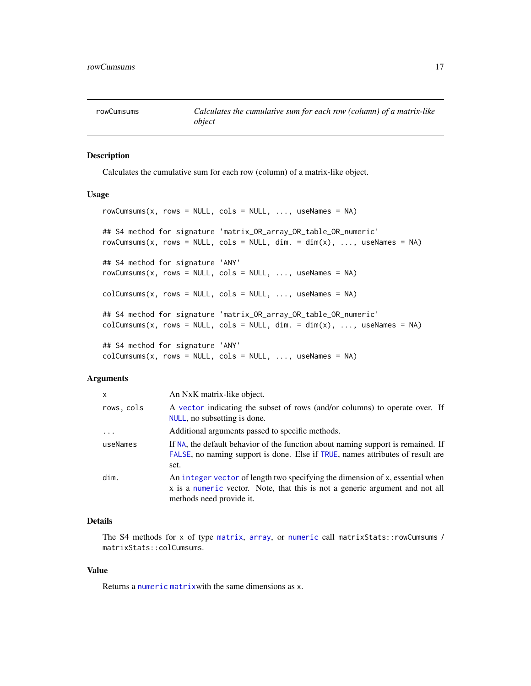<span id="page-16-1"></span><span id="page-16-0"></span>

#### <span id="page-16-2"></span>Description

Calculates the cumulative sum for each row (column) of a matrix-like object.

## Usage

```
rowCumsums(x, rows = NULL, cols = NULL, ..., useNames = NA)## S4 method for signature 'matrix_OR_array_OR_table_OR_numeric'
rowCumsums(x, rows = NULL, cols = NULL, dim. = dim(x), ..., useNames = NA)## S4 method for signature 'ANY'
rowCumsums(x, rows = NULL, cols = NULL, ..., useNames = NA)colCumsums(x, rows = NULL, cols = NULL, ..., useNames = NA)## S4 method for signature 'matrix_OR_array_OR_table_OR_numeric'
colCumsums(x, rows = NULL, cols = NULL, dim. = dim(x), ..., useNames = NA)## S4 method for signature 'ANY'
colCumsums(x, rows = NULL, cols = NULL, ..., useNames = NA)
```
#### Arguments

| x          | An NxK matrix-like object.                                                                                                                                                                |
|------------|-------------------------------------------------------------------------------------------------------------------------------------------------------------------------------------------|
| rows, cols | A vector indicating the subset of rows (and/or columns) to operate over. If<br>NULL, no subsetting is done.                                                                               |
| $\ddots$ . | Additional arguments passed to specific methods.                                                                                                                                          |
| useNames   | If NA, the default behavior of the function about naming support is remained. If<br>FALSE, no naming support is done. Else if TRUE, names attributes of result are<br>set.                |
| dim.       | An integer vector of length two specifying the dimension of x, essential when<br>x is a numeric vector. Note, that this is not a generic argument and not all<br>methods need provide it. |

## Details

The S4 methods for x of type [matrix](#page-0-0), [array](#page-0-0), or [numeric](#page-0-0) call matrixStats::rowCumsums / matrixStats::colCumsums.

#### Value

Returns a [numeric](#page-0-0) [matrix](#page-0-0)with the same dimensions as x.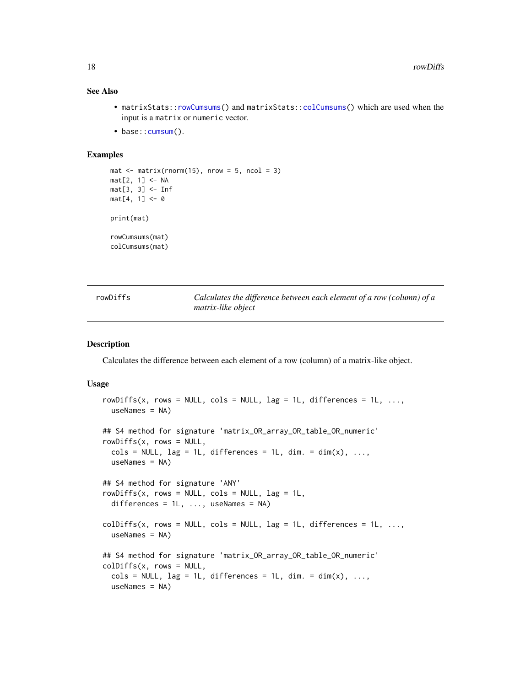#### <span id="page-17-0"></span>See Also

- matrixStats:[:rowCumsums\(](#page-16-1)) and matrixStats:[:colCumsums\(](#page-16-2)) which are used when the input is a matrix or numeric vector.
- base:: cumsum().

## Examples

```
mat \leq matrix(rnorm(15), nrow = 5, ncol = 3)
mat[2, 1] <- NA
mat[3, 3] <- Inf
mat[4, 1] < -0print(mat)
rowCumsums(mat)
colCumsums(mat)
```
<span id="page-17-1"></span>

| rowDiffs | Calculates the difference between each element of a row (column) of a |
|----------|-----------------------------------------------------------------------|
|          | matrix-like object                                                    |

#### <span id="page-17-2"></span>Description

Calculates the difference between each element of a row (column) of a matrix-like object.

```
rowDiffs(x, rows = NULL, cols = NULL, lag = 1L, differences = 1L, \dots,
  useNames = NA)
## S4 method for signature 'matrix_OR_array_OR_table_OR_numeric'
rowDiffs(x, rows = NULL,\text{cols} = \text{NULL}, \text{ lag} = 1L, \text{ differences} = 1L, \text{ dim}. = \text{dim}(x), ...,useNames = NA)
## S4 method for signature 'ANY'
rowDiffs(x, rows = NULL, cols = NULL, lag = 1L,differences = 1L, ..., useNames = NA)
colldiffs(x, rows = NULL, cols = NULL, lag = 1L, differences = 1L, ...useNames = NA)## S4 method for signature 'matrix_OR_array_OR_table_OR_numeric'
colDiffs(x, rows = NULL,
  \text{cols} = \text{NULL}, \text{ lag} = 1L, \text{ differences} = 1L, \text{ dim}. = \text{dim}(x), ...,useNames = NA)
```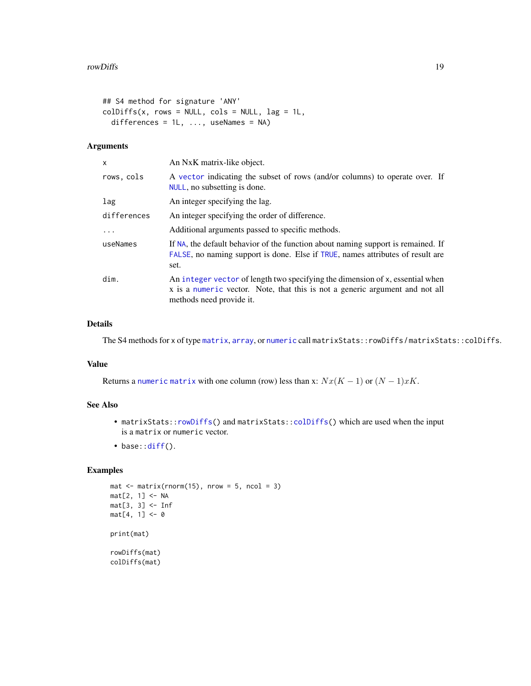```
## S4 method for signature 'ANY'
colldiffs(x, rows = NULL, cols = NULL, lag = 1L,differences = 1L, ..., useNames = NA)
```
## Arguments

| X           | An NxK matrix-like object.                                                                                                                                                                |
|-------------|-------------------------------------------------------------------------------------------------------------------------------------------------------------------------------------------|
| rows, cols  | A vector indicating the subset of rows (and/or columns) to operate over. If<br>NULL, no subsetting is done.                                                                               |
| lag         | An integer specifying the lag.                                                                                                                                                            |
| differences | An integer specifying the order of difference.                                                                                                                                            |
| $\ddots$ .  | Additional arguments passed to specific methods.                                                                                                                                          |
| useNames    | If NA, the default behavior of the function about naming support is remained. If<br>FALSE, no naming support is done. Else if TRUE, names attributes of result are<br>set.                |
| dim.        | An integer vector of length two specifying the dimension of x, essential when<br>x is a numeric vector. Note, that this is not a generic argument and not all<br>methods need provide it. |

## Details

The S4 methods for x of type [matrix](#page-0-0), [array](#page-0-0), or [numeric](#page-0-0) call matrixStats::rowDiffs / matrixStats::colDiffs.

## Value

Returns a [numeric](#page-0-0) [matrix](#page-0-0) with one column (row) less than x:  $Nx(K-1)$  or  $(N-1)xK$ .

## See Also

- matrixStats:[:rowDiffs\(](#page-17-1)) and matrixStats:[:colDiffs\(](#page-17-2)) which are used when the input is a matrix or numeric vector.
- base:[:diff\(](#page-0-0)).

```
mat \le- matrix(rnorm(15), nrow = 5, ncol = 3)
mat[2, 1] <- NA
mat[3, 3] <- Inf
mat[4, 1] < -0print(mat)
rowDiffs(mat)
colDiffs(mat)
```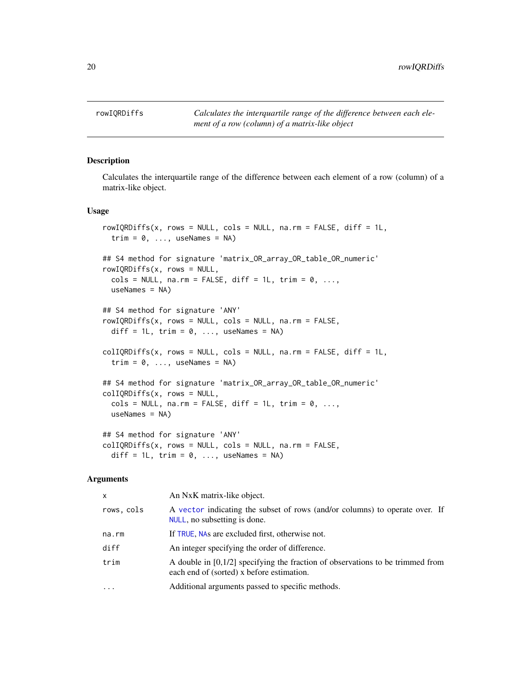<span id="page-19-1"></span><span id="page-19-0"></span>

#### <span id="page-19-2"></span>Description

Calculates the interquartile range of the difference between each element of a row (column) of a matrix-like object.

#### Usage

```
rowIQRDiffs(x, rows = NULL, cols = NULL, na.rm = FALSE, diff = 1L,trim = 0, ..., useNames = NA)## S4 method for signature 'matrix_OR_array_OR_table_OR_numeric'
rowIQRDiffs(x, rows = NULL,
  \text{cols} = \text{NULL}, \text{na}.\text{rm} = \text{FALSE}, \text{diff} = 1L, \text{trim} = 0, ...,useNames = NA)
## S4 method for signature 'ANY'
rowIQRDiffs(x, rows = NULL, cols = NULL, na.rm = FALSE,diff = 1L, trim = 0, ..., useNames = NA)
collQRDiffs(x, rows = NULL, cols = NULL, na.rm = FALSE, diff = 1L,trim = 0, ..., useNames = NA)## S4 method for signature 'matrix_OR_array_OR_table_OR_numeric'
colIQRDiffs(x, rows = NULL,
  cols = NULL, na.rm = FALSE, diff = 1L, trim = 0, ...,
 useNames = NA)
## S4 method for signature 'ANY'
collQRDiffs(x, rows = NULL, cols = NULL, na.rm = FALSE,diff = 1L, trim = 0, ..., useNames = NA)
```

| $\mathsf{x}$ | An NxK matrix-like object.                                                                                                    |
|--------------|-------------------------------------------------------------------------------------------------------------------------------|
| rows, cols   | A vector indicating the subset of rows (and/or columns) to operate over. If<br>NULL, no subsetting is done.                   |
| na.rm        | If TRUE, NAs are excluded first, otherwise not.                                                                               |
| diff         | An integer specifying the order of difference.                                                                                |
| trim         | A double in $[0,1/2]$ specifying the fraction of observations to be trimmed from<br>each end of (sorted) x before estimation. |
| $\cdots$     | Additional arguments passed to specific methods.                                                                              |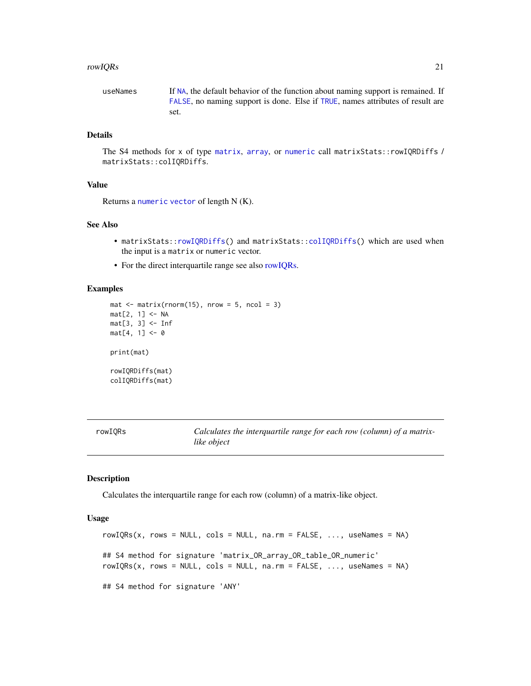#### <span id="page-20-0"></span>rowIQRs 21

useNames If [NA](#page-0-0), the default behavior of the function about naming support is remained. If [FALSE](#page-0-0), no naming support is done. Else if [TRUE](#page-0-0), names attributes of result are set.

## Details

The S4 methods for x of type [matrix](#page-0-0), [array](#page-0-0), or [numeric](#page-0-0) call matrixStats::rowIQRDiffs / matrixStats::colIQRDiffs.

#### Value

Returns a [numeric](#page-0-0) [vector](#page-0-0) of length N (K).

## See Also

- matrixStats:[:rowIQRDiffs\(](#page-19-1)) and matrixStats:[:colIQRDiffs\(](#page-19-2)) which are used when the input is a matrix or numeric vector.
- For the direct interquartile range see also [rowIQRs.](#page-20-1)

## Examples

```
mat \leq matrix(rnorm(15), nrow = 5, ncol = 3)
mat[2, 1] <- NA
mat[3, 3] <- Inf
mat[4, 1] < -0print(mat)
rowIQRDiffs(mat)
colIQRDiffs(mat)
```
<span id="page-20-1"></span>

| rowIQRs | Calculates the interquartile range for each row (column) of a matrix- |
|---------|-----------------------------------------------------------------------|
|         | like object                                                           |

## <span id="page-20-2"></span>Description

Calculates the interquartile range for each row (column) of a matrix-like object.

```
rowIQRs(x, rows = NULL, cols = NULL, na.rm = FALSE, ..., useNames = NA)
## S4 method for signature 'matrix_OR_array_OR_table_OR_numeric'
rowIQRS(x, rows = NULL, cols = NULL, na.rm = FALSE, ..., useNames = NA)## S4 method for signature 'ANY'
```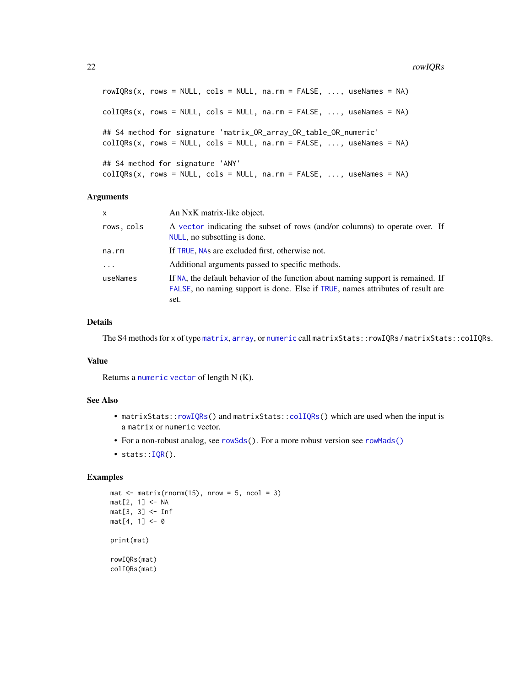```
rowIQRS(x, rows = NULL, cols = NULL, na.rm = FALSE, ..., useNames = NA)collQRS(x, rows = NULL, cols = NULL, na.rm = FALSE, ..., useNames = NA)## S4 method for signature 'matrix_OR_array_OR_table_OR_numeric'
collQRs(x, rows = NULL, cols = NULL, na.rm = FALSE, ..., useNames = NA)## S4 method for signature 'ANY'
collQRS(x, rows = NULL, cols = NULL, na.rm = FALSE, ..., useNames = NA)
```
#### **Arguments**

| $\mathsf{x}$ | An NxK matrix-like object.                                                                                                                                                 |
|--------------|----------------------------------------------------------------------------------------------------------------------------------------------------------------------------|
| rows, cols   | A vector indicating the subset of rows (and/or columns) to operate over. If<br>NULL, no subsetting is done.                                                                |
| na.rm        | If TRUE, NAs are excluded first, otherwise not.                                                                                                                            |
| $\ddotsc$    | Additional arguments passed to specific methods.                                                                                                                           |
| useNames     | If NA, the default behavior of the function about naming support is remained. If<br>FALSE, no naming support is done. Else if TRUE, names attributes of result are<br>set. |

#### Details

The S4 methods for x of type [matrix](#page-0-0), [array](#page-0-0), or [numeric](#page-0-0) call matrixStats::rowIQRs / matrixStats::colIQRs.

#### Value

Returns a [numeric](#page-0-0) [vector](#page-0-0) of length N (K).

## See Also

- matrixStats:[:rowIQRs\(](#page-20-1)) and matrixStats:[:colIQRs\(](#page-20-2)) which are used when the input is a matrix or numeric vector.
- For a non-robust analog, see [rowSds\(](#page-42-1)). For a more robust version see [rowMads\(\)](#page-25-1)
- stats:: $IQR()$ .

```
mat \leq matrix(rnorm(15), nrow = 5, ncol = 3)
mat[2, 1] <- NA
mat[3, 3] < - Infmat[4, 1] < -0print(mat)
rowIQRs(mat)
colIQRs(mat)
```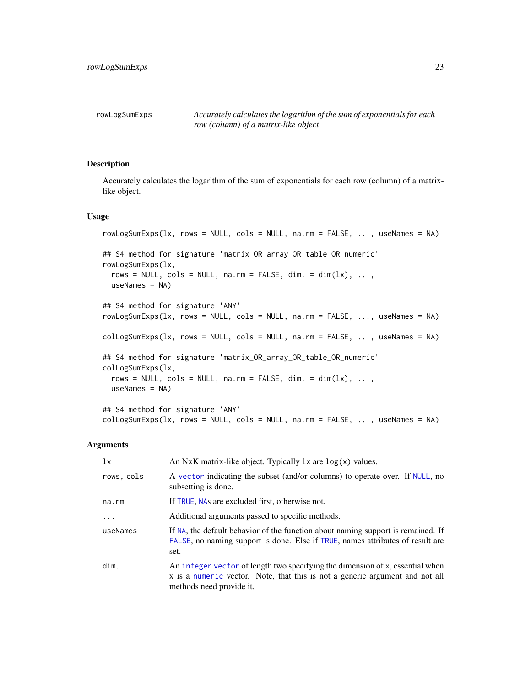<span id="page-22-1"></span><span id="page-22-0"></span>rowLogSumExps *Accurately calculates the logarithm of the sum of exponentials for each row (column) of a matrix-like object*

## <span id="page-22-2"></span>Description

Accurately calculates the logarithm of the sum of exponentials for each row (column) of a matrixlike object.

#### Usage

```
rowLogSumExps(lx, rows = NULL, cols = NULL, na.rm = FALSE, ..., useNames = NA)
## S4 method for signature 'matrix_OR_array_OR_table_OR_numeric'
rowLogSumExps(lx,
  rows = NULL, \text{cols} = \text{NULL}, \text{na} \cdot \text{rm} = \text{FALSE}, \text{dim} \cdot = \text{dim}(lx), ...,
 useNames = NA)
## S4 method for signature 'ANY'
rowLogSumExps(lx, rows = NULL, cols = NULL, na.rm = FALSE, ..., useNames = NA)
colLogSumExps(lx, rows = NULL, cols = NULL, na.rm = FALSE, ..., useNames = NA)
## S4 method for signature 'matrix_OR_array_OR_table_OR_numeric'
colLogSumExps(lx,
  rows = NULL, cols = NULL, n = FALSE, dim. = dim(lx), ...,
 useNames = NA)
## S4 method for signature 'ANY'
colLogSumExps(lx, rows = NULL, cols = NULL, na.rm = FALSE, ..., useNames = NA)
```

| 1x         | An NxK matrix-like object. Typically $l \times$ are $log(x)$ values.                                                                                                                      |  |
|------------|-------------------------------------------------------------------------------------------------------------------------------------------------------------------------------------------|--|
| rows, cols | A vector indicating the subset (and/or columns) to operate over. If NULL, no<br>subsetting is done.                                                                                       |  |
| na.rm      | If TRUE, NAs are excluded first, otherwise not.                                                                                                                                           |  |
| .          | Additional arguments passed to specific methods.                                                                                                                                          |  |
| useNames   | If NA, the default behavior of the function about naming support is remained. If<br>FALSE, no naming support is done. Else if TRUE, names attributes of result are<br>set.                |  |
| dim.       | An integer vector of length two specifying the dimension of x, essential when<br>x is a numeric vector. Note, that this is not a generic argument and not all<br>methods need provide it. |  |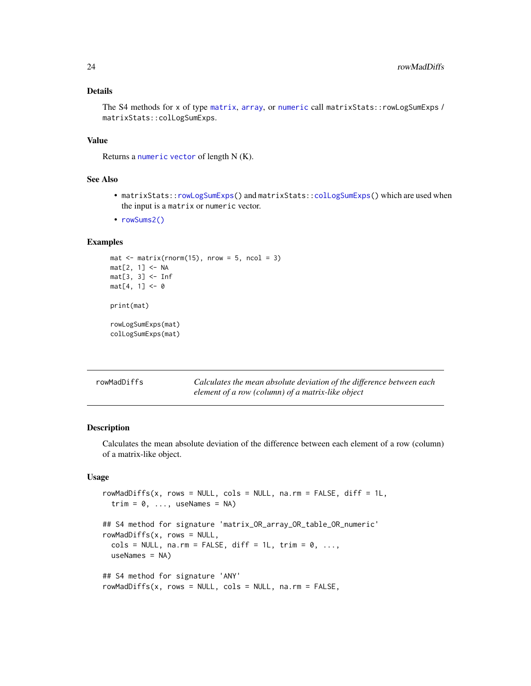## <span id="page-23-0"></span>Details

The S4 methods for x of type [matrix](#page-0-0), [array](#page-0-0), or [numeric](#page-0-0) call matrixStats::rowLogSumExps / matrixStats::colLogSumExps.

## Value

Returns a [numeric](#page-0-0) [vector](#page-0-0) of length N (K).

#### See Also

- matrixStats:[:rowLogSumExps\(](#page-22-1)) and matrixStats:[:colLogSumExps\(](#page-22-2)) which are used when the input is a matrix or numeric vector.
- [rowSums2\(\)](#page-44-1)

## Examples

```
mat \leq matrix(rnorm(15), nrow = 5, ncol = 3)
mat[2, 1] <- NA
mat[3, 3] <- Inf
mat[4, 1] < -0print(mat)
rowLogSumExps(mat)
colLogSumExps(mat)
```
<span id="page-23-1"></span>

| rowMadDiffs | Calculates the mean absolute deviation of the difference between each |
|-------------|-----------------------------------------------------------------------|
|             | element of a row (column) of a matrix-like object                     |

## <span id="page-23-2"></span>Description

Calculates the mean absolute deviation of the difference between each element of a row (column) of a matrix-like object.

```
rowMadDiffs(x, rows = NULL, cols = NULL, na.rm = FALSE, diff = 1L,
  trim = 0, ..., useNames = NA)## S4 method for signature 'matrix_OR_array_OR_table_OR_numeric'
rowMadDiffs(x, rows = NULL,
  \text{cols} = \text{NULL}, \text{na}.\text{rm} = \text{FALSE}, \text{diff} = 1L, \text{trim} = 0, ...,useNames = NA)## S4 method for signature 'ANY'
rowMadDiffs(x, rows = NULL, cols = NULL, na.rm = FALSE,
```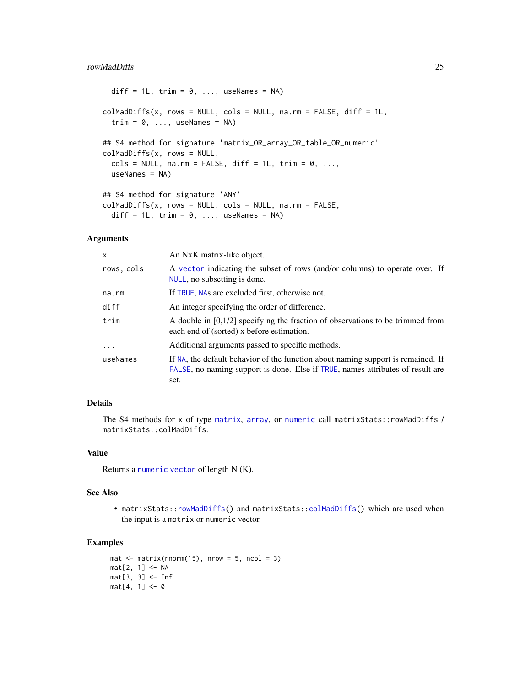#### <span id="page-24-0"></span>rowMadDiffs 25

```
diff = 1L, trim = 0, ..., useNames = NA)
collMadDiffs(x, rows = NULL, cols = NULL, na.rm = FALSE, diff = 1L,trim = 0, ..., useNames = NA)## S4 method for signature 'matrix_OR_array_OR_table_OR_numeric'
colMadDiffs(x, rows = NULL,
  \text{cols} = \text{NULL}, \text{na}.\text{rm} = \text{FALSE}, \text{diff} = 1L, \text{trim} = 0, ...,useNames = NA)
## S4 method for signature 'ANY'
colMadDiffs(x, rows = NULL, cols = NULL, na.rm = FALSE,
  diff = 1L, trim = 0, ..., useNames = NA)
```
## Arguments

| X          | An NxK matrix-like object.                                                                                                                                                 |
|------------|----------------------------------------------------------------------------------------------------------------------------------------------------------------------------|
| rows, cols | A vector indicating the subset of rows (and/or columns) to operate over. If<br>NULL, no subsetting is done.                                                                |
| na.rm      | If TRUE, NAs are excluded first, otherwise not.                                                                                                                            |
| diff       | An integer specifying the order of difference.                                                                                                                             |
| trim       | A double in $[0,1/2]$ specifying the fraction of observations to be trimmed from<br>each end of (sorted) x before estimation.                                              |
| .          | Additional arguments passed to specific methods.                                                                                                                           |
| useNames   | If NA, the default behavior of the function about naming support is remained. If<br>FALSE, no naming support is done. Else if TRUE, names attributes of result are<br>set. |

## Details

The S4 methods for x of type [matrix](#page-0-0), [array](#page-0-0), or [numeric](#page-0-0) call matrixStats::rowMadDiffs / matrixStats::colMadDiffs.

## Value

Returns a [numeric](#page-0-0) [vector](#page-0-0) of length N (K).

## See Also

• matrixStats:[:rowMadDiffs\(](#page-23-1)) and matrixStats:[:colMadDiffs\(](#page-23-2)) which are used when the input is a matrix or numeric vector.

```
mat \leq matrix(rnorm(15), nrow = 5, ncol = 3)
mat[2, 1] <- NA
mat[3, 3] <- Inf
mat[4, 1] < -0
```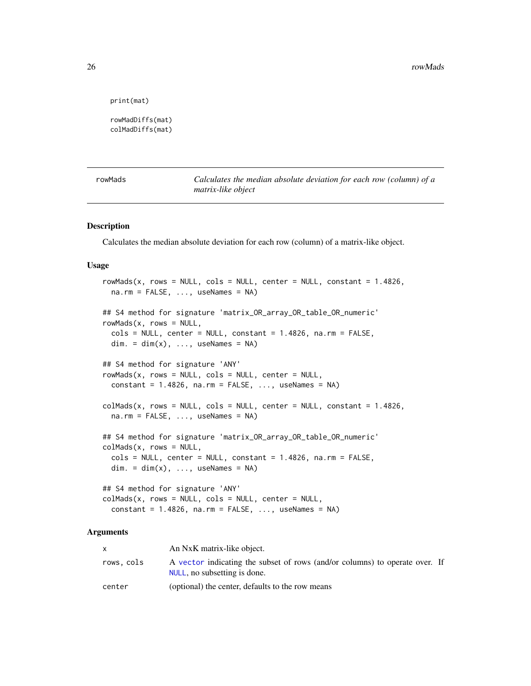```
print(mat)
```

```
rowMadDiffs(mat)
colMadDiffs(mat)
```
<span id="page-25-1"></span>rowMads *Calculates the median absolute deviation for each row (column) of a matrix-like object*

#### <span id="page-25-2"></span>Description

Calculates the median absolute deviation for each row (column) of a matrix-like object.

#### Usage

```
rowMads(x, rows = NULL, cols = NULL, center = NULL, constant = 1.4826,na.rm = FALSE, ..., useNames = NA)
## S4 method for signature 'matrix_OR_array_OR_table_OR_numeric'
rowMads(x, rows = NULL,cols = NULL, center = NULL, constant = 1.4826, na.rm = FALSE,
 dim. = dim(x), ..., useNames = NA)
## S4 method for signature 'ANY'
rowMads(x, rows = NULL, cols = NULL, center = NULL,constant = 1.4826, na.rm = FALSE, ..., useNames = NA)
collAds(x, rows = NULL, cols = NULL, center = NULL, constant = 1.4826,na.rm = FALSE, ..., useNames = NA)## S4 method for signature 'matrix_OR_array_OR_table_OR_numeric'
colMads(x, rows = NULL,cols = NULL, center = NULL, constant = 1.4826, na.rm = FALSE,
 dim. = dim(x), ..., useNames = NA)## S4 method for signature 'ANY'
collMads(x, rows = NULL, cols = NULL, center = NULL,
```
constant =  $1.4826$ , na.rm =  $FALSE$ , ..., useNames = NA)

|            | An NxK matrix-like object.                                                                                  |  |
|------------|-------------------------------------------------------------------------------------------------------------|--|
| rows, cols | A vector indicating the subset of rows (and/or columns) to operate over. If<br>NULL, no subsetting is done. |  |
| center     | (optional) the center, defaults to the row means                                                            |  |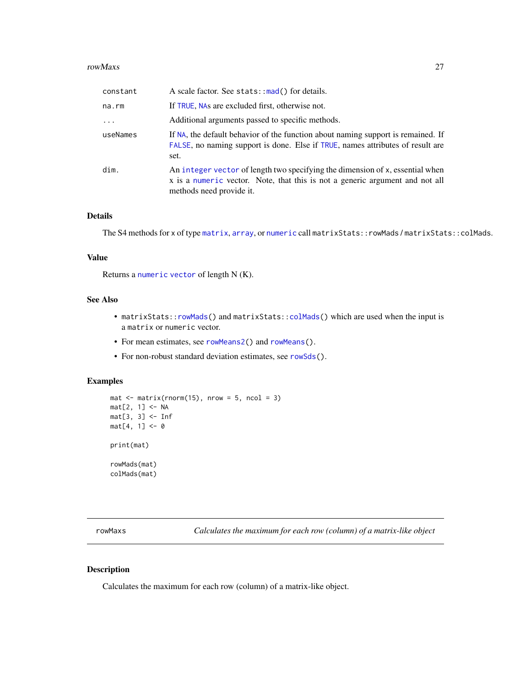#### <span id="page-26-0"></span>rowMaxs 27

| constant | A scale factor. See stats::mad() for details.                                                                                                                                             |
|----------|-------------------------------------------------------------------------------------------------------------------------------------------------------------------------------------------|
| na.rm    | If TRUE, NAs are excluded first, otherwise not.                                                                                                                                           |
| .        | Additional arguments passed to specific methods.                                                                                                                                          |
| useNames | If NA, the default behavior of the function about naming support is remained. If<br>FALSE, no naming support is done. Else if TRUE, names attributes of result are<br>set.                |
| dim.     | An integer vector of length two specifying the dimension of x, essential when<br>x is a numeric vector. Note, that this is not a generic argument and not all<br>methods need provide it. |

## Details

The S4 methods for x of type [matrix](#page-0-0), [array](#page-0-0), or [numeric](#page-0-0) call matrixStats::rowMads / matrixStats::colMads.

#### Value

Returns a [numeric](#page-0-0) [vector](#page-0-0) of length N (K).

## See Also

- matrixStats:[:rowMads\(](#page-25-1)) and matrixStats:[:colMads\(](#page-25-2)) which are used when the input is a matrix or numeric vector.
- For mean estimates, see [rowMeans2\(](#page-28-1)) and [rowMeans\(](#page-0-0)).
- For non-robust standard deviation estimates, see [rowSds\(](#page-42-1)).

## Examples

```
mat \leq matrix(rnorm(15), nrow = 5, ncol = 3)
mat[2, 1] <- NA
mat[3, 3] <- Inf
mat[4, 1] < -0print(mat)
rowMads(mat)
colMads(mat)
```
<span id="page-26-1"></span>rowMaxs *Calculates the maximum for each row (column) of a matrix-like object*

## <span id="page-26-2"></span>Description

Calculates the maximum for each row (column) of a matrix-like object.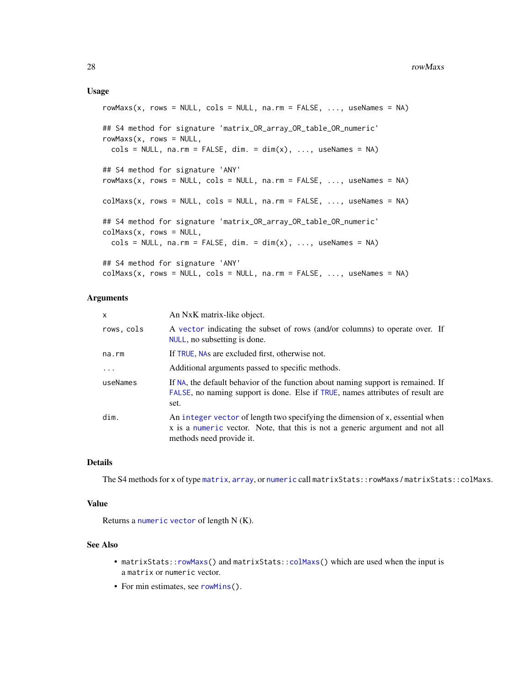#### <span id="page-27-0"></span>Usage

```
rowMaxs(x, rows = NULL, coils = NULL, na.rm = FALSE, ..., useNames = NA)## S4 method for signature 'matrix_OR_array_OR_table_OR_numeric'
rowMaxs(x, rows = NULL,\text{cols} = \text{NULL}, \text{na}.\text{rm} = \text{FALSE}, \text{dim}. = \text{dim}(x), ..., \text{useNames} = \text{NA}## S4 method for signature 'ANY'
rowMaxs(x, rows = NULL, cols = NULL, na.rm = FALSE, ..., useNames = NA)colMaxs(x, rows = NULL, cols = NULL, na.rm = FALSE, ..., useNames = NA)## S4 method for signature 'matrix_OR_array_OR_table_OR_numeric'
colMaxs(x, rows = NULL,\text{cols} = \text{NULL}, \text{na}.\text{rm} = \text{FALSE}, \text{dim}. = \text{dim}(x), ..., \text{useNames} = \text{NA}## S4 method for signature 'ANY'
colMax(x, rows = NULL, cols = NULL, na.rm = FALSE, ..., useNames = NA)
```
#### Arguments

| x          | An NxK matrix-like object.                                                                                                                                                                |
|------------|-------------------------------------------------------------------------------------------------------------------------------------------------------------------------------------------|
| rows, cols | A vector indicating the subset of rows (and/or columns) to operate over. If<br>NULL, no subsetting is done.                                                                               |
| na.rm      | If TRUE, NAs are excluded first, otherwise not.                                                                                                                                           |
| $\ddots$ . | Additional arguments passed to specific methods.                                                                                                                                          |
| useNames   | If NA, the default behavior of the function about naming support is remained. If<br>FALSE, no naming support is done. Else if TRUE, names attributes of result are<br>set.                |
| dim.       | An integer vector of length two specifying the dimension of x, essential when<br>x is a numeric vector. Note, that this is not a generic argument and not all<br>methods need provide it. |

## Details

The S4 methods for x of type [matrix](#page-0-0), [array](#page-0-0), or [numeric](#page-0-0) call matrixStats::rowMaxs / matrixStats::colMaxs.

#### Value

Returns a [numeric](#page-0-0) [vector](#page-0-0) of length N (K).

#### See Also

- matrixStats:[:rowMaxs\(](#page-26-1)) and matrixStats:[:colMaxs\(](#page-26-2)) which are used when the input is a matrix or numeric vector.
- For min estimates, see [rowMins\(](#page-31-1)).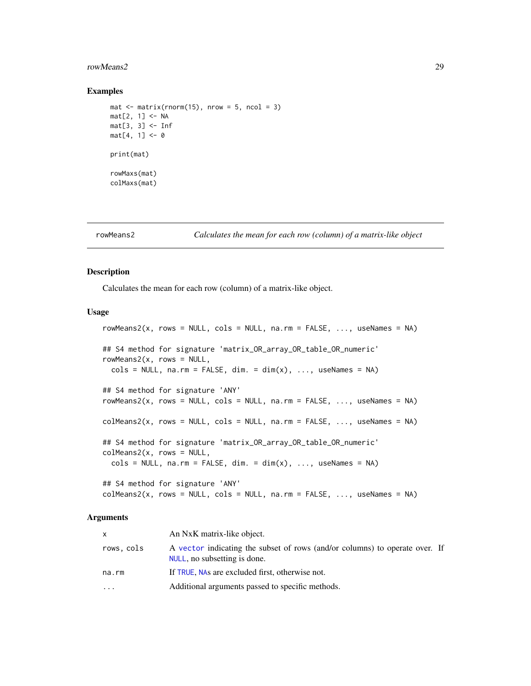#### <span id="page-28-0"></span>rowMeans2 29

#### Examples

```
mat \leq matrix(rnorm(15), nrow = 5, ncol = 3)
mat[2, 1] <- NA
mat[3, 3] <- Inf
mat[4, 1] < -0print(mat)
rowMaxs(mat)
colMaxs(mat)
```
<span id="page-28-1"></span>

rowMeans2 *Calculates the mean for each row (column) of a matrix-like object*

## <span id="page-28-2"></span>Description

Calculates the mean for each row (column) of a matrix-like object.

#### Usage

```
rowMeans2(x, rows = NULL, cols = NULL, na.rm = FALSE, ..., useNames = NA)## S4 method for signature 'matrix_OR_array_OR_table_OR_numeric'
rowMeans2(x, rows = NULL,\text{cols} = \text{NULL}, \text{na}.\text{rm} = \text{FALSE}, \text{dim}. = \text{dim}(x), ..., \text{useNames} = \text{NA}## S4 method for signature 'ANY'
rowMeans2(x, rows = NULL, \text{cols} = \text{NULL}, \text{na} \cdot \text{rm} = \text{FALSE}, ..., useNames = NA)
colMeans2(x, rows = NULL, cols = NULL, na.rm = FALSE, ..., useNames = NA)## S4 method for signature 'matrix_OR_array_OR_table_OR_numeric'
colMeans2(x, rows = NULL,\text{cols} = \text{NULL}, \text{na.rm} = \text{FALSE}, \text{dim}. = \text{dim}(x), ..., \text{useNames} = \text{NA}## S4 method for signature 'ANY'
colMeans2(x, rows = NULL, cols = NULL, na.rm = FALSE, ..., useNames = NA)
```

| X          | An NxK matrix-like object.                                                                                  |  |
|------------|-------------------------------------------------------------------------------------------------------------|--|
| rows, cols | A vector indicating the subset of rows (and/or columns) to operate over. If<br>NULL, no subsetting is done. |  |
| na.rm      | If TRUE, NAs are excluded first, otherwise not.                                                             |  |
| $\ddotsc$  | Additional arguments passed to specific methods.                                                            |  |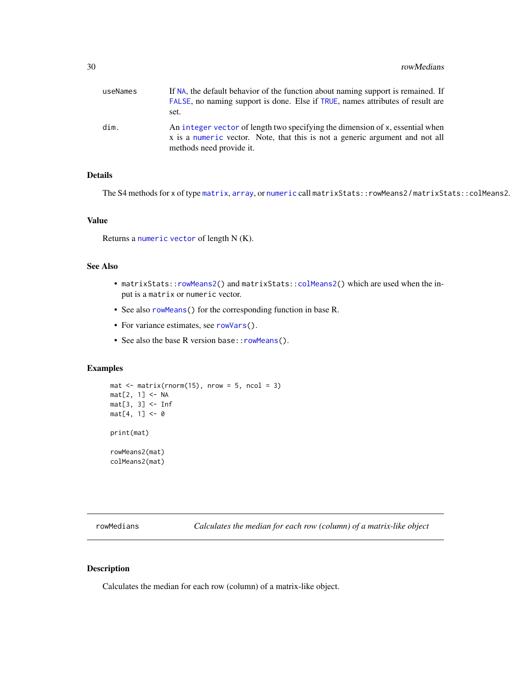<span id="page-29-0"></span>

| useNames | If NA, the default behavior of the function about naming support is remained. If<br>FALSE, no naming support is done. Else if TRUE, names attributes of result are<br>set.                |
|----------|-------------------------------------------------------------------------------------------------------------------------------------------------------------------------------------------|
| dim.     | An integer vector of length two specifying the dimension of x, essential when<br>x is a numeric vector. Note, that this is not a generic argument and not all<br>methods need provide it. |

## Details

The S4 methods for x of type [matrix](#page-0-0), [array](#page-0-0), or [numeric](#page-0-0) call matrixStats::rowMeans2 / matrixStats::colMeans2.

## Value

Returns a [numeric](#page-0-0) [vector](#page-0-0) of length N (K).

## See Also

- matrixStats:[:rowMeans2\(](#page-28-1)) and matrixStats:[:colMeans2\(](#page-28-2)) which are used when the input is a matrix or numeric vector.
- See also [rowMeans\(](#page-0-0)) for the corresponding function in base R.
- For variance estimates, see [rowVars\(](#page-49-1)).
- See also the base R version base:: rowMeans().

## Examples

```
mat \le matrix(rnorm(15), nrow = 5, ncol = 3)
mat[2, 1] <- NA
mat[3, 3] <- Inf
mat[4, 1] < -0print(mat)
rowMeans2(mat)
colMeans2(mat)
```
<span id="page-29-1"></span>rowMedians *Calculates the median for each row (column) of a matrix-like object*

## <span id="page-29-2"></span>Description

Calculates the median for each row (column) of a matrix-like object.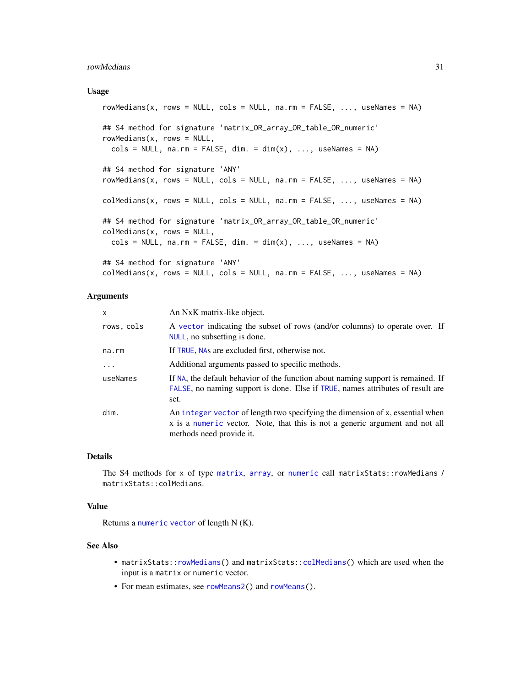#### <span id="page-30-0"></span>rowMedians 31

#### Usage

```
rowMedians(x, rows = NULL, cols = NULL, na.rm = FALSE, ..., useNames = NA)
## S4 method for signature 'matrix_OR_array_OR_table_OR_numeric'
rowMedians(x, rows = NULL,\text{cols} = \text{NULL}, na.rm = FALSE, dim. = dim(x), ..., useNames = NA)
## S4 method for signature 'ANY'
rowMedians(x, rows = NULL, cols = NULL, na.rm = FALSE, ..., useNames = NA)collMedians(x, rows = NULL, cols = NULL, na.rm = FALSE, ..., useNames = NA)## S4 method for signature 'matrix_OR_array_OR_table_OR_numeric'
colMedians(x, rows = NULL,
  cols = NULL, na.rm = FALSE, dim. = dim(x), ..., useNames = NA)## S4 method for signature 'ANY'
collMedians(x, rows = NULL, cols = NULL, na.rm = FALSE, ..., useNames = NA)
```
#### Arguments

| x           | An NxK matrix-like object.                                                                                                                                                                |
|-------------|-------------------------------------------------------------------------------------------------------------------------------------------------------------------------------------------|
| rows, cols  | A vector indicating the subset of rows (and/or columns) to operate over. If<br>NULL, no subsetting is done.                                                                               |
| $na$ . $rm$ | If TRUE, NAs are excluded first, otherwise not.                                                                                                                                           |
| .           | Additional arguments passed to specific methods.                                                                                                                                          |
| useNames    | If NA, the default behavior of the function about naming support is remained. If<br>FALSE, no naming support is done. Else if TRUE, names attributes of result are<br>set.                |
| dim.        | An integer vector of length two specifying the dimension of x, essential when<br>x is a numeric vector. Note, that this is not a generic argument and not all<br>methods need provide it. |

## Details

The S4 methods for x of type [matrix](#page-0-0), [array](#page-0-0), or [numeric](#page-0-0) call matrixStats::rowMedians / matrixStats::colMedians.

#### Value

Returns a [numeric](#page-0-0) [vector](#page-0-0) of length N (K).

#### See Also

- matrixStats:[:rowMedians\(](#page-29-1)) and matrixStats:[:colMedians\(](#page-29-2)) which are used when the input is a matrix or numeric vector.
- For mean estimates, see [rowMeans2\(](#page-28-1)) and [rowMeans\(](#page-0-0)).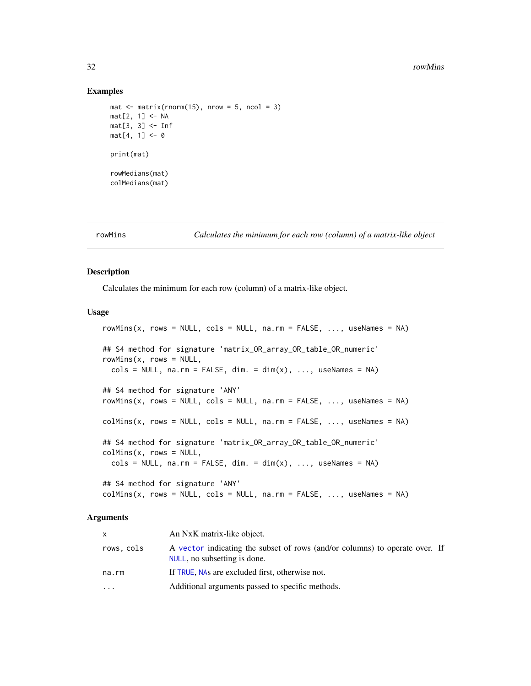#### Examples

```
mat \leq matrix(rnorm(15), nrow = 5, ncol = 3)
mat[2, 1] <- NA
mat[3, 3] <- Inf
mat[4, 1] < -0print(mat)
rowMedians(mat)
colMedians(mat)
```
<span id="page-31-1"></span>

rowMins *Calculates the minimum for each row (column) of a matrix-like object*

## <span id="page-31-2"></span>Description

Calculates the minimum for each row (column) of a matrix-like object.

#### Usage

```
rowMiss(x, rows = NULL, cols = NULL, na.rm = FALSE, ..., useNames = NA)## S4 method for signature 'matrix_OR_array_OR_table_OR_numeric'
rowMiss(x, rows = NULL,\text{cols} = \text{NULL}, \text{na}.\text{rm} = \text{FALSE}, \text{dim}. = \text{dim}(x), ..., \text{useNames} = \text{NA}## S4 method for signature 'ANY'
rowMiss(x, rows = NULL, cols = NULL, na.rm = FALSE, ..., useNames = NA)collMiss(x, rows = NULL, cols = NULL, na.rm = FALSE, ..., useNames = NA)## S4 method for signature 'matrix_OR_array_OR_table_OR_numeric'
collMiss(x, rows = NULL,\text{cols} = \text{NULL}, \text{na}.\text{rm} = \text{FALSE}, \text{dim}. = \text{dim}(x), ..., \text{useNames} = \text{NA}## S4 method for signature 'ANY'
```
## $collMiss(x, rows = NULL, cols = NULL, na.rm = FALSE, ..., useNames = NA)$

| x.         | An NxK matrix-like object.                                                                                  |
|------------|-------------------------------------------------------------------------------------------------------------|
| rows, cols | A vector indicating the subset of rows (and/or columns) to operate over. If<br>NULL, no subsetting is done. |
| na.rm      | If TRUE, NAs are excluded first, otherwise not.                                                             |
| $\ddots$   | Additional arguments passed to specific methods.                                                            |

<span id="page-31-0"></span>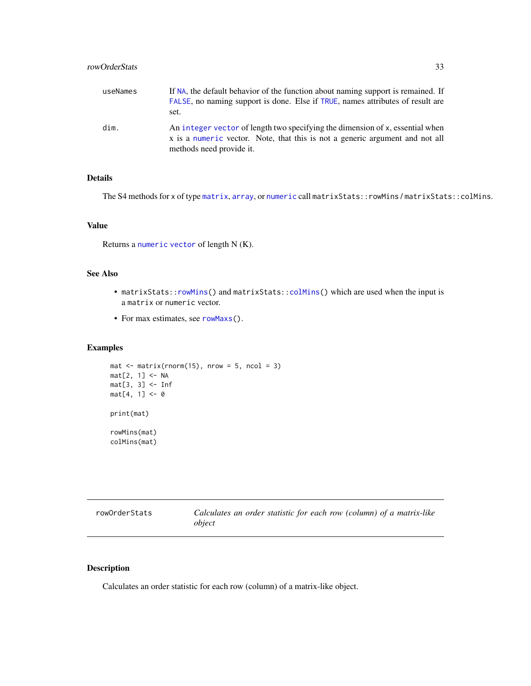## <span id="page-32-0"></span>rowOrderStats 33

| useNames | If NA, the default behavior of the function about naming support is remained. If<br>FALSE, no naming support is done. Else if TRUE, names attributes of result are<br>set.                |
|----------|-------------------------------------------------------------------------------------------------------------------------------------------------------------------------------------------|
| dim.     | An integer vector of length two specifying the dimension of x, essential when<br>x is a numeric vector. Note, that this is not a generic argument and not all<br>methods need provide it. |

## Details

The S4 methods for x of type [matrix](#page-0-0), [array](#page-0-0), or [numeric](#page-0-0) call matrixStats::rowMins / matrixStats::colMins.

## Value

Returns a [numeric](#page-0-0) [vector](#page-0-0) of length N (K).

## See Also

- matrixStats:[:rowMins\(](#page-31-1)) and matrixStats:[:colMins\(](#page-31-2)) which are used when the input is a matrix or numeric vector.
- For max estimates, see [rowMaxs\(](#page-26-1)).

## Examples

```
mat \leq matrix(rnorm(15), nrow = 5, ncol = 3)
mat[2, 1] <- NA
mat[3, 3] <- Inf
mat[4, 1] < -0print(mat)
rowMins(mat)
colMins(mat)
```
<span id="page-32-1"></span>

| rowOrderStats | Calculates an order statistic for each row (column) of a matrix-like |
|---------------|----------------------------------------------------------------------|
|               | object                                                               |

## <span id="page-32-2"></span>Description

Calculates an order statistic for each row (column) of a matrix-like object.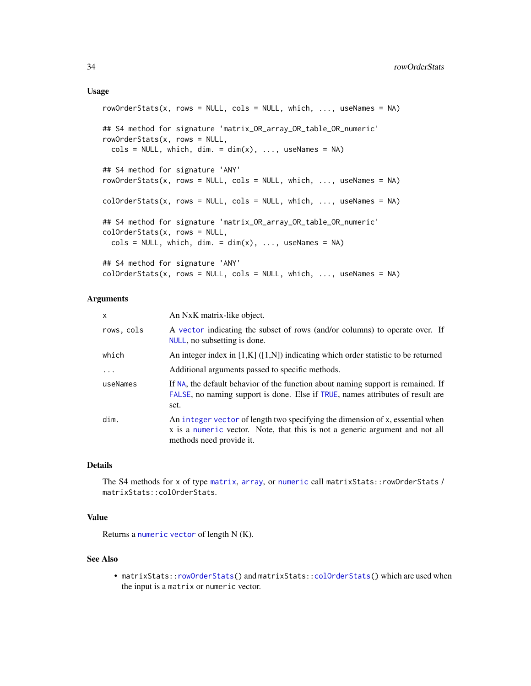#### <span id="page-33-0"></span>Usage

```
rowOrderStats(x, rows = NULL, cols = NULL, which, ..., useNames = NA)## S4 method for signature 'matrix_OR_array_OR_table_OR_numeric'
rowOrderStats(x, rows = NULL,
 \text{cols} = \text{NULL}, \text{which}, \text{dim}. = \text{dim}(x), ..., \text{useNames} = \text{NA}## S4 method for signature 'ANY'
rowOrderStats(x, rows = NULL, cols = NULL, which, ..., useNames = NA)
colOrderStats(x, rows = NULL, cols = NULL, which, ..., useNames = NA)## S4 method for signature 'matrix_OR_array_OR_table_OR_numeric'
colOrderStats(x, rows = NULL,
  cols = NULL, which, dim. = dim(x), ..., useNames = NA)
## S4 method for signature 'ANY'
colOrderStats(x, rows = NULL, cols = NULL, which, ..., useNames = NA)
```
## Arguments

| X          | An NxK matrix-like object.                                                                                                                                                                |
|------------|-------------------------------------------------------------------------------------------------------------------------------------------------------------------------------------------|
| rows, cols | A vector indicating the subset of rows (and/or columns) to operate over. If<br>NULL, no subsetting is done.                                                                               |
| which      | An integer index in $[1,K]$ ( $[1,N]$ ) indicating which order statistic to be returned                                                                                                   |
| $\ddots$ . | Additional arguments passed to specific methods.                                                                                                                                          |
| useNames   | If NA, the default behavior of the function about naming support is remained. If<br>FALSE, no naming support is done. Else if TRUE, names attributes of result are<br>set.                |
| dim.       | An integer vector of length two specifying the dimension of x, essential when<br>x is a numeric vector. Note, that this is not a generic argument and not all<br>methods need provide it. |

## Details

The S4 methods for x of type [matrix](#page-0-0), [array](#page-0-0), or [numeric](#page-0-0) call matrixStats::rowOrderStats / matrixStats::colOrderStats.

## Value

Returns a [numeric](#page-0-0) [vector](#page-0-0) of length N (K).

#### See Also

• matrixStats:[:rowOrderStats\(](#page-32-1)) and matrixStats:[:colOrderStats\(](#page-32-2)) which are used when the input is a matrix or numeric vector.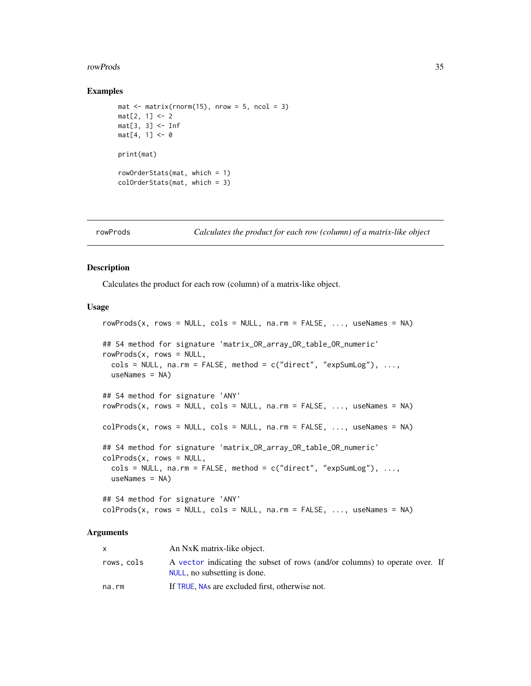#### <span id="page-34-0"></span>rowProds 35

#### Examples

```
mat \leq matrix(rnorm(15), nrow = 5, ncol = 3)
mat[2, 1] < -2mat[3, 3] <- Inf
mat[4, 1] < -0print(mat)
rowOrderStats(mat, which = 1)
colOrderStats(mat, which = 3)
```
<span id="page-34-1"></span>

```
rowProds Calculates the product for each row (column) of a matrix-like object
```
#### <span id="page-34-2"></span>Description

Calculates the product for each row (column) of a matrix-like object.

#### Usage

```
rowProds(x, rows = NULL, cols = NULL, na.rm = FALSE, ..., useNames = NA)## S4 method for signature 'matrix_OR_array_OR_table_OR_numeric'
rowProds(x, rows = NULL,
  \text{cols} = \text{NULL}, \text{na} \cdot \text{rm} = \text{FALSE}, \text{method} = \text{c("direct", "expSumLog"),} \dots,useNames = NA)## S4 method for signature 'ANY'
rowProds(x, rows = NULL, cols = NULL, na.rm = FALSE, ..., useNames = NA)
colProds(x, rows = NULL, cols = NULL, na.rm = FALSE, ..., useNames = NA)## S4 method for signature 'matrix_OR_array_OR_table_OR_numeric'
colProds(x, rows = NULL,cols = NULL, na.rm = FALSE, method = c("direct", "expSumLog"), ...,useNames = NA)
## S4 method for signature 'ANY'
```
 $colProds(x, rows = NULL, cols = NULL, na.rm = FALSE, ..., useNames = NA)$ 

|            | An NxK matrix-like object.                                                                                  |  |
|------------|-------------------------------------------------------------------------------------------------------------|--|
| rows, cols | A vector indicating the subset of rows (and/or columns) to operate over. If<br>NULL, no subsetting is done. |  |
| na.rm      | If TRUE, NAs are excluded first, otherwise not.                                                             |  |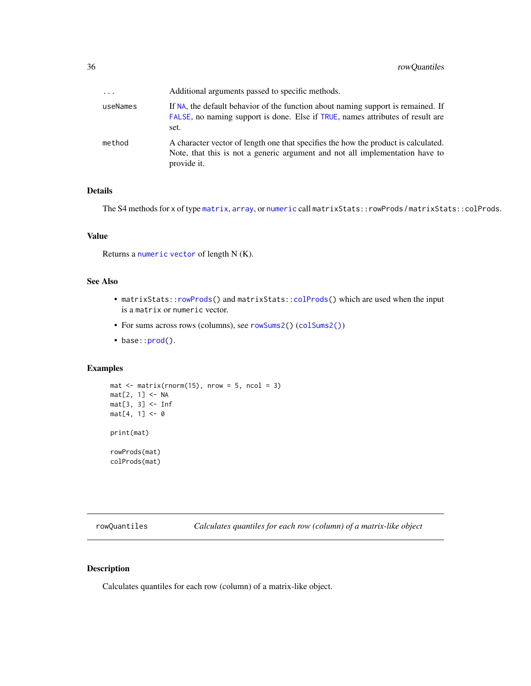<span id="page-35-0"></span>

| $\ddotsc$ | Additional arguments passed to specific methods.                                                                                                                                  |
|-----------|-----------------------------------------------------------------------------------------------------------------------------------------------------------------------------------|
| useNames  | If NA, the default behavior of the function about naming support is remained. If<br>FALSE, no naming support is done. Else if TRUE, names attributes of result are<br>set.        |
| method    | A character vector of length one that specifies the how the product is calculated.<br>Note, that this is not a generic argument and not all implementation have to<br>provide it. |

## Details

The S4 methods for x of type [matrix](#page-0-0), [array](#page-0-0), or [numeric](#page-0-0) call matrixStats::rowProds / matrixStats::colProds.

## Value

Returns a [numeric](#page-0-0) [vector](#page-0-0) of length N (K).

## See Also

- matrixStats:[:rowProds\(](#page-34-1)) and matrixStats:[:colProds\(](#page-34-2)) which are used when the input is a matrix or numeric vector.
- For sums across rows (columns), see [rowSums2\(](#page-44-1)) ([colSums2\(\)](#page-44-2))
- base:[:prod\(](#page-0-0)).

## Examples

```
mat \le matrix(rnorm(15), nrow = 5, ncol = 3)
mat[2, 1] <- NA
mat[3, 3] <- Inf
mat[4, 1] < -0print(mat)
rowProds(mat)
colProds(mat)
```
<span id="page-35-1"></span>rowQuantiles *Calculates quantiles for each row (column) of a matrix-like object*

## <span id="page-35-2"></span>Description

Calculates quantiles for each row (column) of a matrix-like object.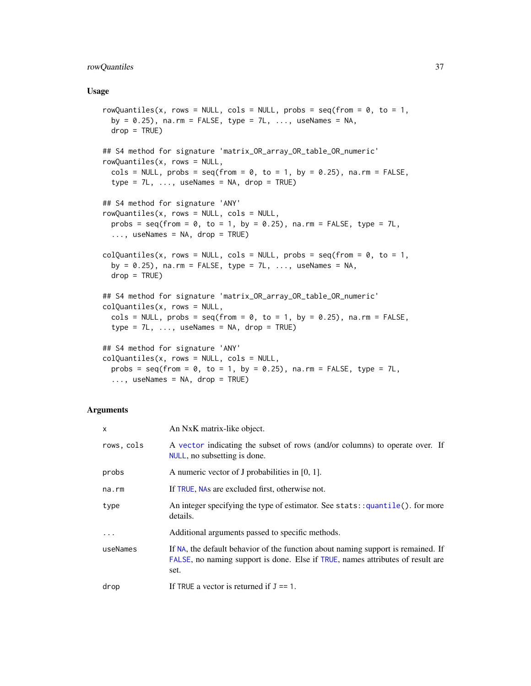## <span id="page-36-0"></span>rowQuantiles 37

#### Usage

```
rowQuantiles(x, rows = NULL, cols = NULL, probs = seq(from = \theta, to = 1,
 by = 0.25), na.rm = FALSE, type = 7L, ..., useNames = NA,
 drop = TRUE)
## S4 method for signature 'matrix_OR_array_OR_table_OR_numeric'
rowQuantiles(x, rows = NULL,
  cols = NULL, probs = seq(from = 0, to = 1, by = 0.25), na.rm = FALSE,
  type = 7L, ..., useNames = NA, drop = TRUE)## S4 method for signature 'ANY'
rowQuantiles(x, rows = NULL, cols = NULL,
 probs = seq(from = 0, to = 1, by = 0.25), na.rm = FALSE, type = 7L,
  ..., useNames = NA, drop = TRUE)
colQuantiles(x, rows = NULL, cols = NULL, probs = seq(from = 0, to = 1,
 by = 0.25), na.rm = FALSE, type = 7L, ..., useNames = NA,
 drop = TRUE)
## S4 method for signature 'matrix_OR_array_OR_table_OR_numeric'
colQuantiles(x, rows = NULL,
  cols = NULL, probs = seq(from = 0, to = 1, by = 0.25), na.rm = FALSE,
  type = 7L, ..., useNames = NA, drop = TRUE)## S4 method for signature 'ANY'
colQuantiles(x, rows = NULL, cols = NULL,probs = seq(from = 0, to = 1, by = 0.25), na.rm = FALSE, type = 7L,
  \ldots, useNames = NA, drop = TRUE)
```

| X          | An NxK matrix-like object.                                                                                                                                                 |
|------------|----------------------------------------------------------------------------------------------------------------------------------------------------------------------------|
| rows, cols | A vector indicating the subset of rows (and/or columns) to operate over. If<br>NULL, no subsetting is done.                                                                |
| probs      | A numeric vector of J probabilities in $[0, 1]$ .                                                                                                                          |
| na.rm      | If TRUE, NAs are excluded first, otherwise not.                                                                                                                            |
| type       | An integer specifying the type of estimator. See stats: $:$ quantile(). for more<br>details.                                                                               |
| .          | Additional arguments passed to specific methods.                                                                                                                           |
| useNames   | If NA, the default behavior of the function about naming support is remained. If<br>FALSE, no naming support is done. Else if TRUE, names attributes of result are<br>set. |
| drop       | If TRUE a vector is returned if $J = 1$ .                                                                                                                                  |
|            |                                                                                                                                                                            |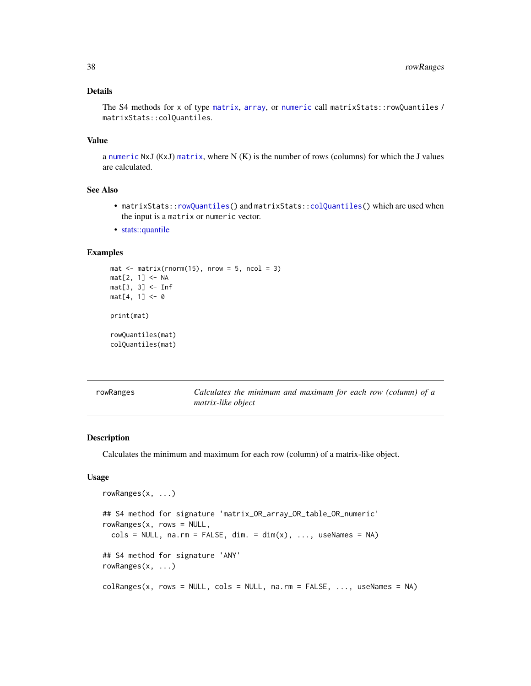## <span id="page-37-0"></span>Details

The S4 methods for x of type [matrix](#page-0-0), [array](#page-0-0), or [numeric](#page-0-0) call matrixStats:: rowQuantiles / matrixStats::colQuantiles.

## Value

a [numeric](#page-0-0) NxJ (KxJ) [matrix](#page-0-0), where N (K) is the number of rows (columns) for which the J values are calculated.

## See Also

- matrixStats:[:rowQuantiles\(](#page-35-1)) and matrixStats:[:colQuantiles\(](#page-35-2)) which are used when the input is a matrix or numeric vector.
- [stats::quantile](#page-0-0)

## Examples

```
mat \leq matrix(rnorm(15), nrow = 5, ncol = 3)
mat[2, 1] <- NA
mat[3, 3] <- Inf
mat[4, 1] < -0print(mat)
rowQuantiles(mat)
colQuantiles(mat)
```
<span id="page-37-1"></span>rowRanges *Calculates the minimum and maximum for each row (column) of a matrix-like object*

#### <span id="page-37-2"></span>Description

Calculates the minimum and maximum for each row (column) of a matrix-like object.

```
rowRanges(x, ...)
## S4 method for signature 'matrix_OR_array_OR_table_OR_numeric'
rowRanges(x, rows = NULL,
  \text{cols} = \text{NULL}, \text{na}.\text{rm} = \text{FALSE}, \text{dim}. = \text{dim}(x), ..., \text{useNames} = \text{NA}## S4 method for signature 'ANY'
rowRanges(x, ...)
colRanges(x, rows = NULL, cols = NULL, na.rm = FALSE, ..., useNames = NA)
```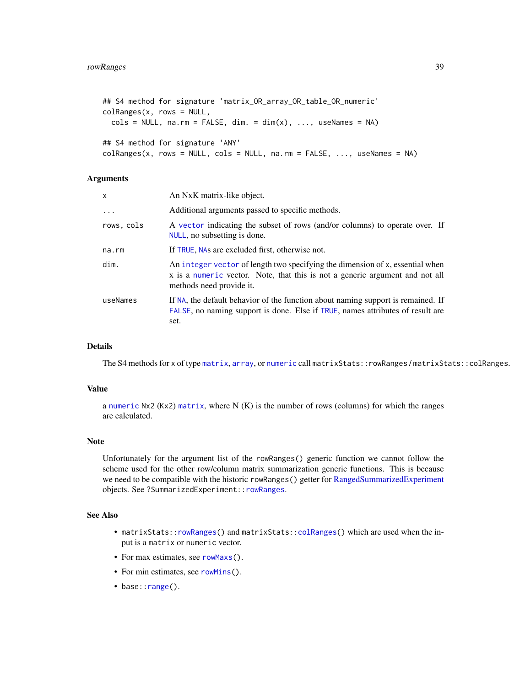```
## S4 method for signature 'matrix_OR_array_OR_table_OR_numeric'
colRanges(x, rows = NULL,
  \text{cols} = \text{NULL}, \text{na}.\text{rm} = \text{FALSE}, \text{dim}. = \text{dim}(x), ..., \text{useNames} = \text{NA}## S4 method for signature 'ANY'
colRanges(x, rows = NULL, cols = NULL, na.rm = FALSE, ..., useNames = NA)
```
## Arguments

| X          | An NxK matrix-like object.                                                                                                                                                                |
|------------|-------------------------------------------------------------------------------------------------------------------------------------------------------------------------------------------|
| $\ddotsc$  | Additional arguments passed to specific methods.                                                                                                                                          |
| rows, cols | A vector indicating the subset of rows (and/or columns) to operate over. If<br>NULL, no subsetting is done.                                                                               |
| na.rm      | If TRUE, NAs are excluded first, otherwise not.                                                                                                                                           |
| dim.       | An integer vector of length two specifying the dimension of x, essential when<br>x is a numeric vector. Note, that this is not a generic argument and not all<br>methods need provide it. |
| useNames   | If NA, the default behavior of the function about naming support is remained. If<br>FALSE, no naming support is done. Else if TRUE, names attributes of result are<br>set.                |

## Details

The S4 methods for x of type [matrix](#page-0-0), [array](#page-0-0), or [numeric](#page-0-0) call matrixStats::rowRanges / matrixStats::colRanges.

#### Value

a [numeric](#page-0-0) Nx2 (Kx2) [matrix](#page-0-0), where  $N(K)$  is the number of rows (columns) for which the ranges are calculated.

#### Note

Unfortunately for the argument list of the rowRanges() generic function we cannot follow the scheme used for the other row/column matrix summarization generic functions. This is because we need to be compatible with the historic rowRanges() getter for [RangedSummarizedExperiment](#page-0-0) objects. See ?SummarizedExperiment:[:rowRanges](#page-37-1).

## See Also

- matrixStats:[:rowRanges\(](#page-37-1)) and matrixStats:[:colRanges\(](#page-37-2)) which are used when the input is a matrix or numeric vector.
- For max estimates, see [rowMaxs\(](#page-26-1)).
- For min estimates, see [rowMins\(](#page-31-1)).
- base:: range().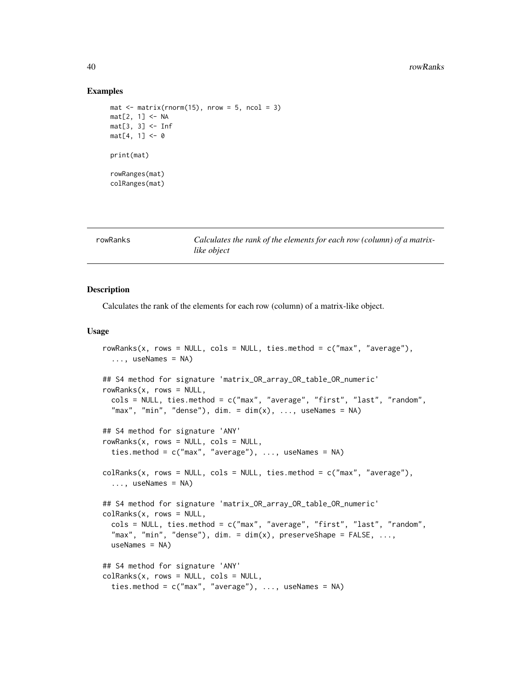#### Examples

```
mat \leq matrix(rnorm(15), nrow = 5, ncol = 3)
mat[2, 1] <- NA
mat[3, 3] <- Inf
mat[4, 1] < -0print(mat)
rowRanges(mat)
colRanges(mat)
```
<span id="page-39-1"></span>

**rowand** *Calculates the rank of the elements for each row (column) of a matrixlike object*

#### <span id="page-39-2"></span>Description

Calculates the rank of the elements for each row (column) of a matrix-like object.

```
rowRanks(x, rows = NULL, \text{cols} = \text{NULL}, ties.method = \text{c("max", "average")},
  ..., useNames = NA)
## S4 method for signature 'matrix_OR_array_OR_table_OR_numeric'
rowRanks(x, rows = NULL,cols = NULL, ties.method = c("max", "average", "first", "last", "random",
  "max", "min", "dense"), dim. = dim(x), ..., useNames = NA)
## S4 method for signature 'ANY'
rowRanks(x, rows = NULL, coils = NULL,ties.method = c("max", "average"), ..., useNames = NA)colRanks(x, rows = NULL, cols = NULL, ties.method = c("max", "average"),..., useNames = NA)
## S4 method for signature 'matrix_OR_array_OR_table_OR_numeric'
colRanks(x, rows = NULL,cols = NULL, ties.method = c("max", "average", "first", "last", "random",
  "max", "min", "dense"), dim. = dim(x), preserveShape = FALSE, ...,
 useNames = NA)## S4 method for signature 'ANY'
colRanks(x, rows = NULL, cols = NULL,ties.method = c("max", "average"), ..., useNames = NA)
```
<span id="page-39-0"></span>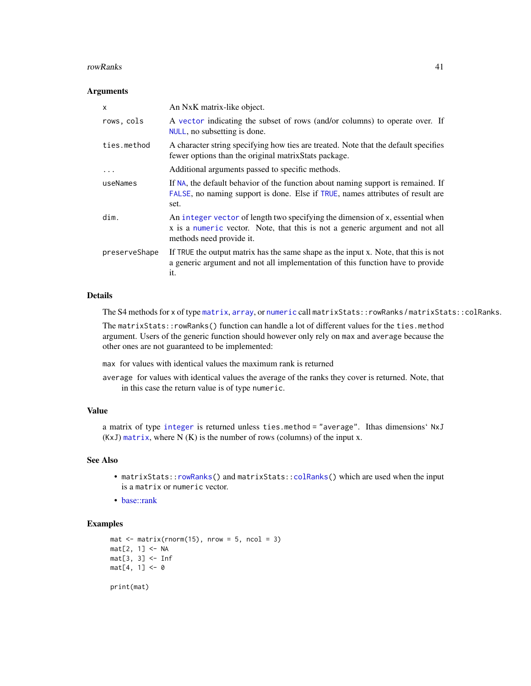#### <span id="page-40-0"></span>rowRanks 41

#### Arguments

| X             | An NxK matrix-like object.                                                                                                                                                                |
|---------------|-------------------------------------------------------------------------------------------------------------------------------------------------------------------------------------------|
| rows, cols    | A vector indicating the subset of rows (and/or columns) to operate over. If<br>NULL, no subsetting is done.                                                                               |
| ties.method   | A character string specifying how ties are treated. Note that the default specifies<br>fewer options than the original matrixStats package.                                               |
| $\cdots$      | Additional arguments passed to specific methods.                                                                                                                                          |
| useNames      | If NA, the default behavior of the function about naming support is remained. If<br>FALSE, no naming support is done. Else if TRUE, names attributes of result are<br>set.                |
| dim.          | An integer vector of length two specifying the dimension of x, essential when<br>x is a numeric vector. Note, that this is not a generic argument and not all<br>methods need provide it. |
| preserveShape | If TRUE the output matrix has the same shape as the input x. Note, that this is not<br>a generic argument and not all implementation of this function have to provide<br>it.              |

## Details

The S4 methods for x of type [matrix](#page-0-0), [array](#page-0-0), or [numeric](#page-0-0) call matrixStats::rowRanks / matrixStats::colRanks.

The matrixStats::rowRanks() function can handle a lot of different values for the ties.method argument. Users of the generic function should however only rely on max and average because the other ones are not guaranteed to be implemented:

max for values with identical values the maximum rank is returned

average for values with identical values the average of the ranks they cover is returned. Note, that in this case the return value is of type numeric.

## Value

a matrix of type [integer](#page-0-0) is returned unless ties.method = "average". Ithas dimensions' NxJ (KxJ) [matrix](#page-0-0), where  $N(K)$  is the number of rows (columns) of the input x.

## See Also

- matrixStats:[:rowRanks\(](#page-39-1)) and matrixStats:[:colRanks\(](#page-39-2)) which are used when the input is a matrix or numeric vector.
- [base::rank](#page-0-0)

```
mat \leq matrix(rnorm(15), nrow = 5, ncol = 3)
mat[2, 1] <- NA
mat[3, 3] <- Inf
mat[4, 1] < -0print(mat)
```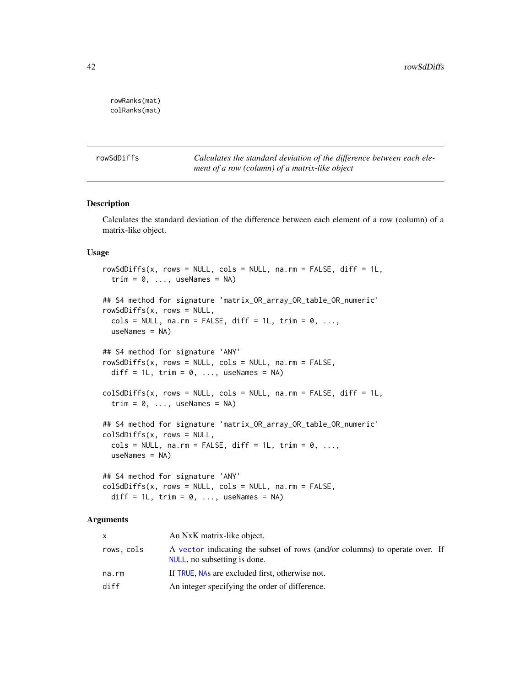```
rowRanks(mat)
colRanks(mat)
```
<span id="page-41-1"></span>rowSdDiffs *Calculates the standard deviation of the difference between each element of a row (column) of a matrix-like object*

## <span id="page-41-2"></span>Description

Calculates the standard deviation of the difference between each element of a row (column) of a matrix-like object.

## Usage

```
rowsdDiffs(x, rows = NULL, cols = NULL, na.rm = FALSE, diff = 1L,trim = 0, ..., useNames = NA)## S4 method for signature 'matrix_OR_array_OR_table_OR_numeric'
rowSdDiffs(x, rows = NULL,
  \text{cols} = \text{NULL}, \text{na.m} = \text{FALSE}, \text{diff} = 1L, \text{trim} = 0, \ldots,useNames = NA)## S4 method for signature 'ANY'
rowSdDiffs(x, rows = NULL, cols = NULL, na.rm = FALSE,
  diff = 1L, trim = 0, ..., useNames = NA)
colSdDiffs(x, rows = NULL, cols = NULL, na.rm = FALSE, diff = 1L,trim = 0, ..., useNames = NA)## S4 method for signature 'matrix_OR_array_OR_table_OR_numeric'
colSdDiffs(x, rows = NULL,
  \text{cols} = \text{NULL}, \text{na.m} = \text{FALSE}, \text{diff} = 1L, \text{trim} = 0, \ldots,useNames = NA)## S4 method for signature 'ANY'
colSdDiffs(x, rows = NULL, cols = NULL, na.rm = FALSE,
```

```
diff = 1L, trim = 0, ..., useNames = NA)
```

| X          | An NxK matrix-like object.                                                                                  |  |
|------------|-------------------------------------------------------------------------------------------------------------|--|
| rows, cols | A vector indicating the subset of rows (and/or columns) to operate over. If<br>NULL, no subsetting is done. |  |
| na.rm      | If TRUE, NAs are excluded first, otherwise not.                                                             |  |
| diff       | An integer specifying the order of difference.                                                              |  |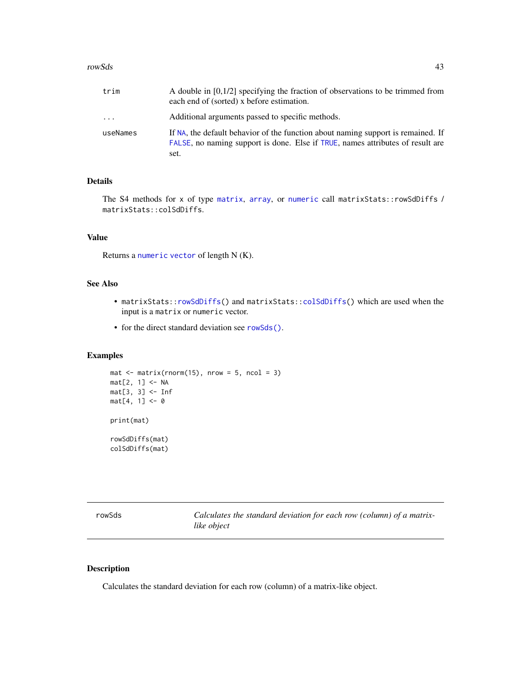#### <span id="page-42-0"></span>rowSds 43

| trim     | A double in $[0,1/2]$ specifying the fraction of observations to be trimmed from<br>each end of (sorted) x before estimation.                                              |
|----------|----------------------------------------------------------------------------------------------------------------------------------------------------------------------------|
| $\cdots$ | Additional arguments passed to specific methods.                                                                                                                           |
| useNames | If NA, the default behavior of the function about naming support is remained. If<br>FALSE, no naming support is done. Else if TRUE, names attributes of result are<br>set. |

## Details

The S4 methods for x of type [matrix](#page-0-0), [array](#page-0-0), or [numeric](#page-0-0) call matrixStats:: rowSdDiffs / matrixStats::colSdDiffs.

## Value

Returns a [numeric](#page-0-0) [vector](#page-0-0) of length N (K).

#### See Also

- matrixStats:[:rowSdDiffs\(](#page-41-1)) and matrixStats:[:colSdDiffs\(](#page-41-2)) which are used when the input is a matrix or numeric vector.
- for the direct standard deviation see [rowSds\(\)](#page-42-1).

## Examples

```
mat \leq matrix(rnorm(15), nrow = 5, ncol = 3)
mat[2, 1] <- NA
mat[3, 3] <- Inf
mat[4, 1] < -0print(mat)
rowSdDiffs(mat)
colSdDiffs(mat)
```
<span id="page-42-1"></span>

| rowSds | Calculates the standard deviation for each row (column) of a matrix- |
|--------|----------------------------------------------------------------------|
|        | like object                                                          |

## <span id="page-42-2"></span>Description

Calculates the standard deviation for each row (column) of a matrix-like object.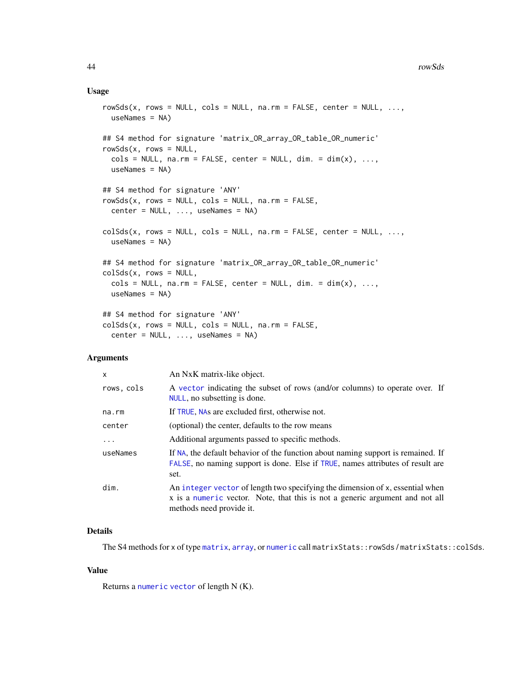#### <span id="page-43-0"></span>Usage

```
rowsds(x, rows = NULL, cols = NULL, na.rm = FALSE, center = NULL, ...useNames = NA)## S4 method for signature 'matrix_OR_array_OR_table_OR_numeric'
rowsds(x, rows = NULL,\text{cols} = \text{NULL}, \text{na} \cdot \text{rm} = \text{FALSE}, \text{center} = \text{NULL}, \text{dim}. = \text{dim}(x), ...,useNames = NA)
## S4 method for signature 'ANY'
rowsds(x, rows = NULL, cols = NULL, na.rm = FALSE,center = NULL, ..., useNames = NA)colSds(x, rows = NULL, cols = NULL, na.rm = FALSE, center = NULL, ...useNames = NA)
## S4 method for signature 'matrix_OR_array_OR_table_OR_numeric'
colSds(x, rows = NULL,
  \text{cols} = \text{NULL}, \text{na} \cdot \text{rm} = \text{FALSE}, \text{center} = \text{NULL}, \text{dim}. = \text{dim}(x), \dots,useNames = NA)
## S4 method for signature 'ANY'
colSds(x, rows = NULL, cols = NULL, na.rm = FALSE,center = NULL, ..., useNames = NA)
```
## Arguments

| X          | An NxK matrix-like object.                                                                                                                                                                |
|------------|-------------------------------------------------------------------------------------------------------------------------------------------------------------------------------------------|
| rows, cols | A vector indicating the subset of rows (and/or columns) to operate over. If<br>NULL, no subsetting is done.                                                                               |
| na.rm      | If TRUE, NAs are excluded first, otherwise not.                                                                                                                                           |
| center     | (optional) the center, defaults to the row means                                                                                                                                          |
| $\ddots$ . | Additional arguments passed to specific methods.                                                                                                                                          |
| useNames   | If NA, the default behavior of the function about naming support is remained. If<br>FALSE, no naming support is done. Else if TRUE, names attributes of result are<br>set.                |
| dim.       | An integer vector of length two specifying the dimension of x, essential when<br>x is a numeric vector. Note, that this is not a generic argument and not all<br>methods need provide it. |

## Details

The S4 methods for x of type [matrix](#page-0-0), [array](#page-0-0), or [numeric](#page-0-0) call matrixStats::rowSds / matrixStats::colSds.

## Value

Returns a [numeric](#page-0-0) [vector](#page-0-0) of length N (K).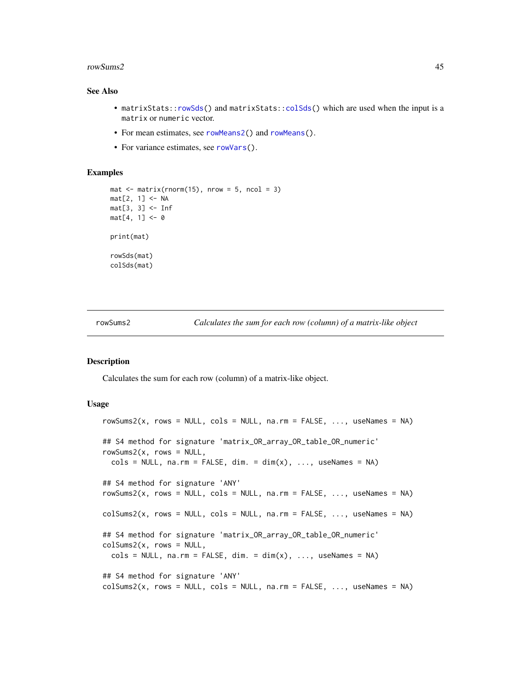#### <span id="page-44-0"></span>rowSums2 45

#### See Also

- matrixStats:[:rowSds\(](#page-42-1)) and matrixStats:[:colSds\(](#page-42-2)) which are used when the input is a matrix or numeric vector.
- For mean estimates, see [rowMeans2\(](#page-28-1)) and [rowMeans\(](#page-0-0)).
- For variance estimates, see [rowVars\(](#page-49-1)).

## Examples

```
mat \leq matrix(rnorm(15), nrow = 5, ncol = 3)
mat[2, 1] <- NA
mat[3, 3] < - Infmat[4, 1] < -0print(mat)
rowSds(mat)
colSds(mat)
```
<span id="page-44-1"></span>rowSums2 *Calculates the sum for each row (column) of a matrix-like object*

## <span id="page-44-2"></span>**Description**

Calculates the sum for each row (column) of a matrix-like object.

```
rowSums2(x, rows = NULL, \text{cols} = NULL, \text{na} \cdot \text{rm} = FALSE, \dots, useNames = NA)
## S4 method for signature 'matrix_OR_array_OR_table_OR_numeric'
rowsums2(x, rows = NULL,\text{cols} = \text{NULL}, \text{na}.\text{rm} = \text{FALSE}, \text{dim}. = \text{dim}(x), ..., \text{useNames} = \text{NA}## S4 method for signature 'ANY'
rowsums2(x, rows = NULL, obs = NULL, na.rm = FALSE, ..., useNames = NA)colSums2(x, rows = NULL, cols = NULL, na.rm = FALSE, ..., useNames = NA)## S4 method for signature 'matrix_OR_array_OR_table_OR_numeric'
colSums2(x, rows = NULL,cols = NULL, na.rm = FALSE, dim. = dim(x), ..., useNames = NA)
## S4 method for signature 'ANY'
colSums2(x, rows = NULL, cols = NULL, na.rm = FALSE, ..., useNames = NA)
```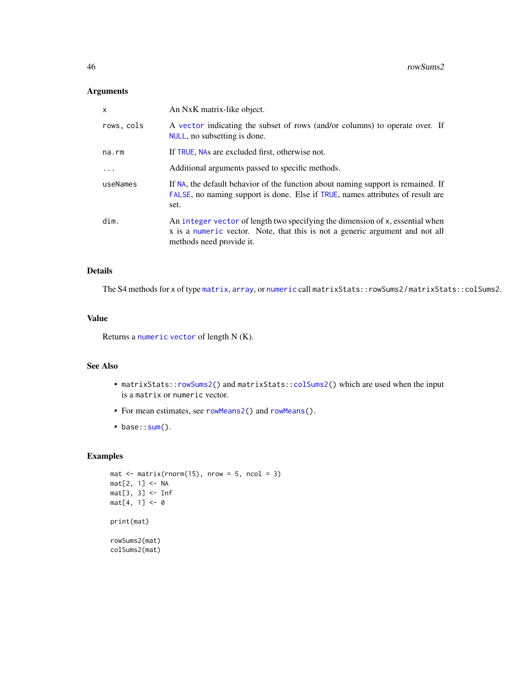## <span id="page-45-0"></span>Arguments

| X           | An NxK matrix-like object.                                                                                                                                                                |
|-------------|-------------------------------------------------------------------------------------------------------------------------------------------------------------------------------------------|
| rows, cols  | A vector indicating the subset of rows (and/or columns) to operate over. If<br>NULL, no subsetting is done.                                                                               |
| $na$ . $rm$ | If TRUE, NAs are excluded first, otherwise not.                                                                                                                                           |
|             | Additional arguments passed to specific methods.                                                                                                                                          |
| useNames    | If NA, the default behavior of the function about naming support is remained. If<br>FALSE, no naming support is done. Else if TRUE, names attributes of result are<br>set.                |
| dim.        | An integer vector of length two specifying the dimension of x, essential when<br>x is a numeric vector. Note, that this is not a generic argument and not all<br>methods need provide it. |

#### Details

The S4 methods for x of type [matrix](#page-0-0), [array](#page-0-0), or [numeric](#page-0-0) call matrixStats::rowSums2 / matrixStats::colSums2.

## Value

Returns a [numeric](#page-0-0) [vector](#page-0-0) of length N (K).

## See Also

- matrixStats:[:rowSums2\(](#page-44-1)) and matrixStats:[:colSums2\(](#page-44-2)) which are used when the input is a matrix or numeric vector.
- For mean estimates, see [rowMeans2\(](#page-28-1)) and [rowMeans\(](#page-0-0)).
- base:[:sum\(](#page-0-0)).

```
mat \le matrix(rnorm(15), nrow = 5, ncol = 3)
mat[2, 1] <- NA
mat[3, 3] <- Inf
mat[4, 1] < -0print(mat)
rowSums2(mat)
colSums2(mat)
```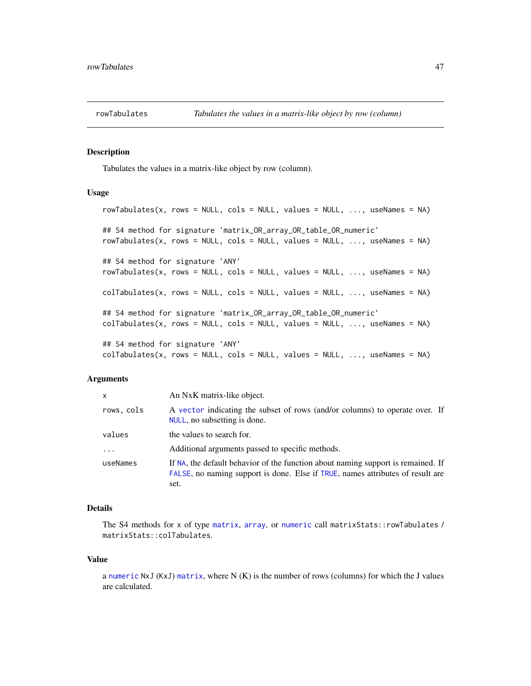<span id="page-46-1"></span><span id="page-46-0"></span>

## <span id="page-46-2"></span>Description

Tabulates the values in a matrix-like object by row (column).

#### Usage

```
rowTabulates(x, rows = NULL, cols = NULL, values = NULL, ..., useNames = NA)
## S4 method for signature 'matrix_OR_array_OR_table_OR_numeric'
rowTables(x, rows = NULL, colors = NULL, values = NULL, ..., useNames = NA)## S4 method for signature 'ANY'
rowTabulates(x, rows = NULL, cols = NULL, values = NULL, ..., useNames = NA)
collTables(x, rows = NULL, colors = NULL, values = NULL, ..., useNames = NA)## S4 method for signature 'matrix_OR_array_OR_table_OR_numeric'
collTables(x, rows = NULL, cols = NULL, values = NULL, ..., useNames = NA)## S4 method for signature 'ANY'
colTabulates(x, rows = NULL, colors = NULL, values = NULL, ..., useNames = NA)
```
#### Arguments

| x          | An NxK matrix-like object.                                                                                                                                                 |
|------------|----------------------------------------------------------------------------------------------------------------------------------------------------------------------------|
| rows, cols | A vector indicating the subset of rows (and/or columns) to operate over. If<br>NULL, no subsetting is done.                                                                |
| values     | the values to search for.                                                                                                                                                  |
| $\ddots$   | Additional arguments passed to specific methods.                                                                                                                           |
| useNames   | If NA, the default behavior of the function about naming support is remained. If<br>FALSE, no naming support is done. Else if TRUE, names attributes of result are<br>set. |

#### Details

The S4 methods for x of type [matrix](#page-0-0), [array](#page-0-0), or [numeric](#page-0-0) call matrixStats::rowTabulates / matrixStats::colTabulates.

#### Value

a [numeric](#page-0-0)  $NxJ$  (KxJ) [matrix](#page-0-0), where  $N(K)$  is the number of rows (columns) for which the J values are calculated.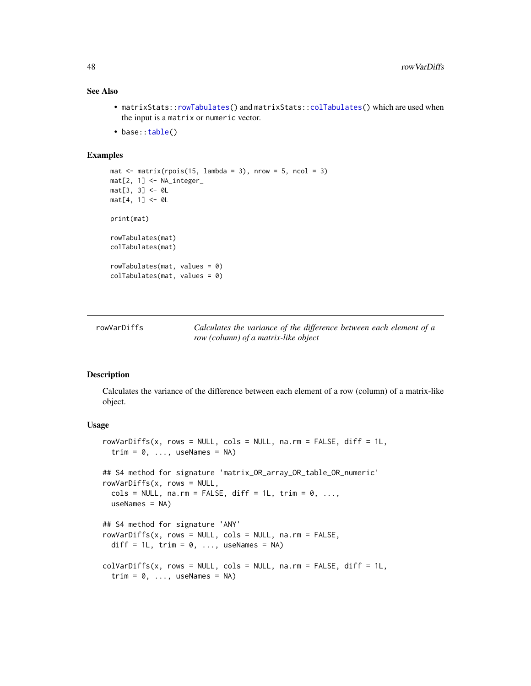## See Also

- matrixStats:[:rowTabulates\(](#page-46-1)) and matrixStats:[:colTabulates\(](#page-46-2)) which are used when the input is a matrix or numeric vector.
- base:[:table\(](#page-0-0))

#### Examples

```
mat \le matrix(rpois(15, lambda = 3), nrow = 5, ncol = 3)
mat[2, 1] <- NA_integer_
mat[3, 3] < -0L
mat[4, 1] <- 0L
print(mat)
rowTabulates(mat)
colTabulates(mat)
rowTabulates(mat, values = 0)
colTabulates(mat, values = 0)
```
<span id="page-47-1"></span>rowVarDiffs *Calculates the variance of the difference between each element of a row (column) of a matrix-like object*

#### <span id="page-47-2"></span>**Description**

Calculates the variance of the difference between each element of a row (column) of a matrix-like object.

```
rowVarDiffs(x, rows = NULL, cols = NULL, na.rm = FALSE, diff = 1L,
  trim = 0, ..., useNames = NA)## S4 method for signature 'matrix_OR_array_OR_table_OR_numeric'
rowVarDiffs(x, rows = NULL,
 cols = NULL, na.rm = FALSE, diff = 1L, trim = 0, ...,
 useNames = NA)
## S4 method for signature 'ANY'
rowVarDiffs(x, rows = NULL, cols = NULL, na.rm = FALSE,diff = 1L, trim = 0, ..., useNames = NA)
colVarDiffs(x, rows = NULL, cols = NULL, na.rm = FALSE, diff = 1L,
  trim = 0, ..., useNames = NA)
```
<span id="page-47-0"></span>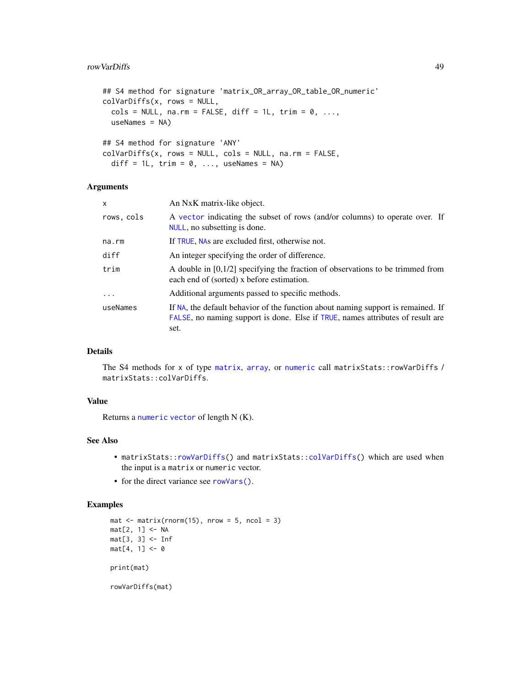#### <span id="page-48-0"></span>rowVarDiffs 49

```
## S4 method for signature 'matrix_OR_array_OR_table_OR_numeric'
colVarDiffs(x, rows = NULL,
  \text{cols} = \text{NULL}, \text{na}.\text{rm} = \text{FALSE}, \text{diff} = 1\text{L}, \text{trim} = \emptyset, \ldots,useNames = NA)
## S4 method for signature 'ANY'
colVarDiffs(x, rows = NULL, cols = NULL, na.rm = FALSE,diff = 1L, trim = 0, ..., useNames = NA)
```
## Arguments

| x          | An NxK matrix-like object.                                                                                                                                                 |
|------------|----------------------------------------------------------------------------------------------------------------------------------------------------------------------------|
| rows, cols | A vector indicating the subset of rows (and/or columns) to operate over. If<br>NULL, no subsetting is done.                                                                |
| na.rm      | If TRUE, NAs are excluded first, otherwise not.                                                                                                                            |
| diff       | An integer specifying the order of difference.                                                                                                                             |
| trim       | A double in $[0,1/2]$ specifying the fraction of observations to be trimmed from<br>each end of (sorted) x before estimation.                                              |
| $\cdots$   | Additional arguments passed to specific methods.                                                                                                                           |
| useNames   | If NA, the default behavior of the function about naming support is remained. If<br>FALSE, no naming support is done. Else if TRUE, names attributes of result are<br>set. |

## Details

The S4 methods for x of type [matrix](#page-0-0), [array](#page-0-0), or [numeric](#page-0-0) call matrixStats::rowVarDiffs / matrixStats::colVarDiffs.

## Value

Returns a [numeric](#page-0-0) [vector](#page-0-0) of length N (K).

## See Also

- matrixStats:[:rowVarDiffs\(](#page-47-1)) and matrixStats:[:colVarDiffs\(](#page-47-2)) which are used when the input is a matrix or numeric vector.
- for the direct variance see [rowVars\(\)](#page-49-1).

```
mat \leq matrix(rnorm(15), nrow = 5, ncol = 3)
mat[2, 1] <- NA
mat[3, 3] <- Inf
mat[4, 1] < -0print(mat)
rowVarDiffs(mat)
```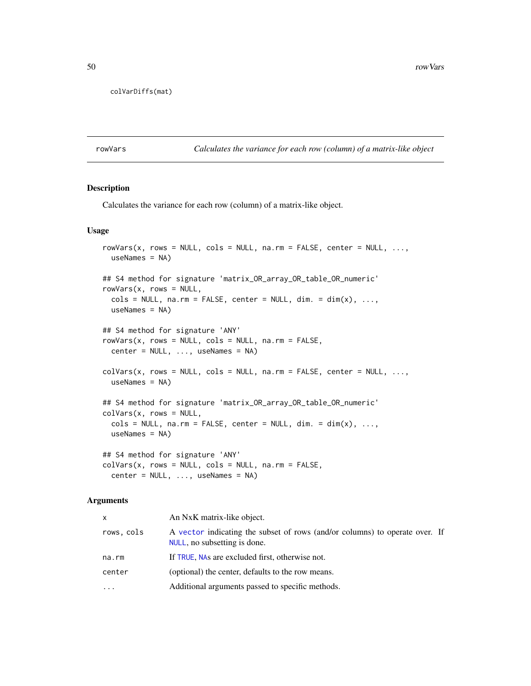<span id="page-49-0"></span>colVarDiffs(mat)

<span id="page-49-1"></span>rowVars *Calculates the variance for each row (column) of a matrix-like object*

#### <span id="page-49-2"></span>Description

Calculates the variance for each row (column) of a matrix-like object.

#### Usage

```
rowVars(x, rows = NULL, cols = NULL, na.rm = FALSE, center = NULL, ...,useNames = NA)
## S4 method for signature 'matrix_OR_array_OR_table_OR_numeric'
rowVars(x, rows = NULL,\text{cols} = \text{NULL}, \text{na}.\text{rm} = \text{FALSE}, \text{center} = \text{NULL}, \text{dim}. = \text{dim}(x), ...,useNames = NA)
## S4 method for signature 'ANY'
rowVars(x, rows = NULL, cols = NULL, na.rm = FALSE,center = NULL, ..., useNames = NA)colVars(x, rows = NULL, cols = NULL, na.rm = FALSE, center = NULL, ...useNames = NA)## S4 method for signature 'matrix_OR_array_OR_table_OR_numeric'
colVars(x, rows = NULL,\text{cols} = \text{NULL}, \text{ na.m} = \text{FALSE}, \text{ center} = \text{NULL}, \text{ dim}. = \text{dim}(x), ...,useNames = NA)
## S4 method for signature 'ANY'
colVars(x, rows = NULL, cols = NULL, na.rm = FALSE,center = NULL, ..., useNames = NA)
```

| x          | An NxK matrix-like object.                                                                                  |  |
|------------|-------------------------------------------------------------------------------------------------------------|--|
| rows, cols | A vector indicating the subset of rows (and/or columns) to operate over. If<br>NULL, no subsetting is done. |  |
| na.rm      | If TRUE, NAs are excluded first, otherwise not.                                                             |  |
| center     | (optional) the center, defaults to the row means.                                                           |  |
| .          | Additional arguments passed to specific methods.                                                            |  |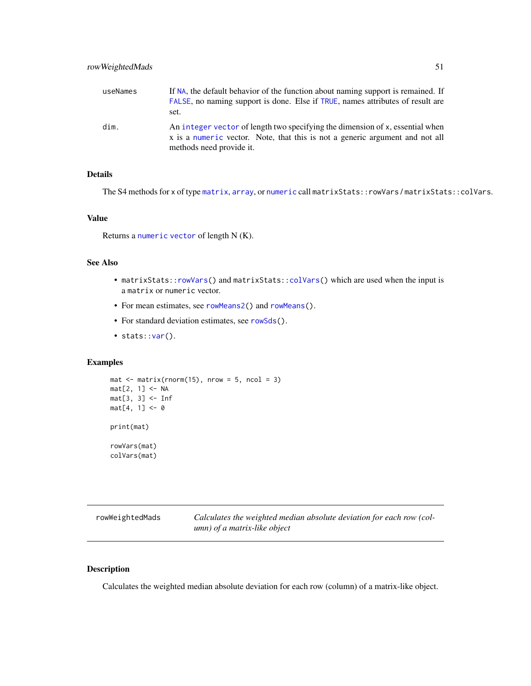<span id="page-50-0"></span>

| useNames | If NA, the default behavior of the function about naming support is remained. If<br>FALSE, no naming support is done. Else if TRUE, names attributes of result are<br>set.                |
|----------|-------------------------------------------------------------------------------------------------------------------------------------------------------------------------------------------|
| dim.     | An integer vector of length two specifying the dimension of x, essential when<br>x is a numeric vector. Note, that this is not a generic argument and not all<br>methods need provide it. |

## Details

The S4 methods for x of type [matrix](#page-0-0), [array](#page-0-0), or [numeric](#page-0-0) call matrixStats::rowVars / matrixStats::colVars.

#### Value

Returns a [numeric](#page-0-0) [vector](#page-0-0) of length N (K).

## See Also

- matrixStats:[:rowVars\(](#page-49-1)) and matrixStats:[:colVars\(](#page-49-2)) which are used when the input is a matrix or numeric vector.
- For mean estimates, see [rowMeans2\(](#page-28-1)) and [rowMeans\(](#page-0-0)).
- For standard deviation estimates, see [rowSds\(](#page-42-1)).
- stats:: $var()$ .

colVars(mat)

## Examples

```
mat \leq matrix(rnorm(15), nrow = 5, ncol = 3)
mat[2, 1] <- NA
mat[3, 3] <- Inf
mat[4, 1] < -0print(mat)
rowVars(mat)
```
<span id="page-50-1"></span>rowWeightedMads *Calculates the weighted median absolute deviation for each row (column) of a matrix-like object*

#### <span id="page-50-2"></span>Description

Calculates the weighted median absolute deviation for each row (column) of a matrix-like object.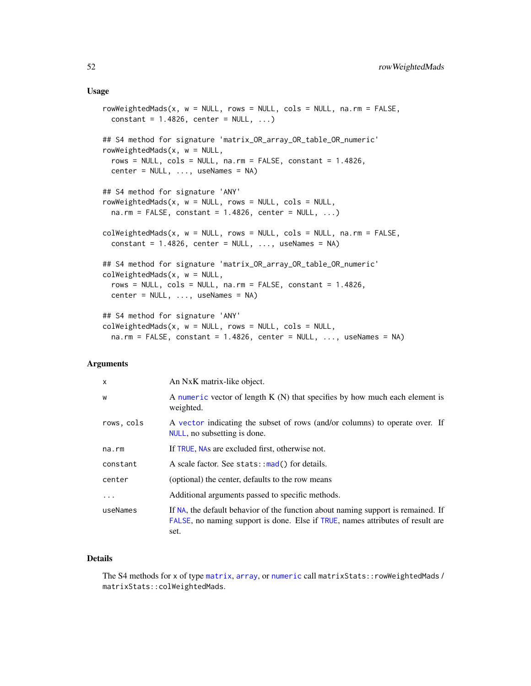#### <span id="page-51-0"></span>Usage

```
rowWeightedMads(x, w = NULL, rows = NULL, cols = NULL, na.rm = FALSE,
  constant = 1.4826, center = NULL, ...)
## S4 method for signature 'matrix_OR_array_OR_table_OR_numeric'
rowWeightedMads(x, w = NULL,rows = NULL, cols = NULL, na.rm = FALSE, constant = 1.4826,
  center = NULL, ..., useNames = NA)## S4 method for signature 'ANY'
rowWeightedMads(x, w = NULL, rows = NULL, cols = NULL,
  na.rm = FALSE, constant = 1.4826, center = NULL, ...)colWeightedMads(x, w = NULL, rows = NULL, cols = NULL, na.rm = FALSE,
  constant = 1.4826, center = NULL, ..., useNames = NA)
## S4 method for signature 'matrix_OR_array_OR_table_OR_numeric'
colWeightedMads(x, w = NULL,rows = NULL, cols = NULL, na.rm = FALSE, constant = 1.4826,
 center = NULL, ..., useNames = NA)## S4 method for signature 'ANY'
colWeightedMads(x, w = NULL, rows = NULL, cols = NULL,na.rm = FALSE, constant = 1.4826, center = NULL, ..., useNames = NA)
```
## Arguments

| X          | An NxK matrix-like object.                                                                                                                                                 |
|------------|----------------------------------------------------------------------------------------------------------------------------------------------------------------------------|
| W          | A numeric vector of length $K(N)$ that specifies by how much each element is<br>weighted.                                                                                  |
| rows, cols | A vector indicating the subset of rows (and/or columns) to operate over. If<br>NULL, no subsetting is done.                                                                |
| na.rm      | If TRUE, NAs are excluded first, otherwise not.                                                                                                                            |
| constant   | A scale factor. See stats::mad() for details.                                                                                                                              |
| center     | (optional) the center, defaults to the row means                                                                                                                           |
| $\ddots$   | Additional arguments passed to specific methods.                                                                                                                           |
| useNames   | If NA, the default behavior of the function about naming support is remained. If<br>FALSE, no naming support is done. Else if TRUE, names attributes of result are<br>set. |

## Details

The S4 methods for x of type [matrix](#page-0-0), [array](#page-0-0), or [numeric](#page-0-0) call matrixStats::rowWeightedMads / matrixStats::colWeightedMads.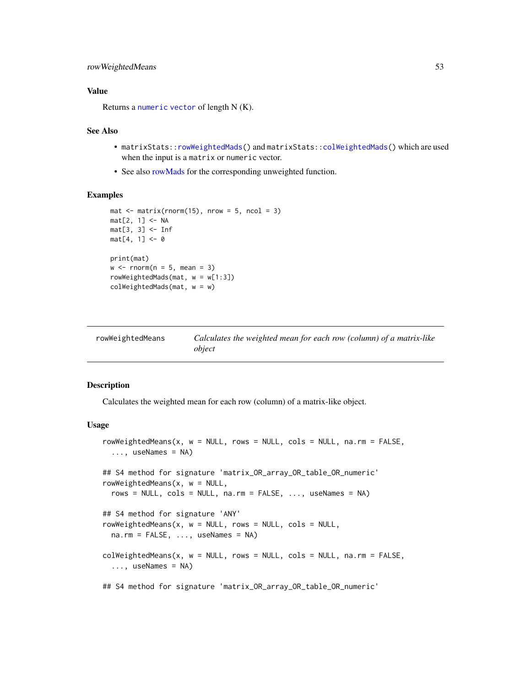## <span id="page-52-0"></span>rowWeightedMeans 53

## Value

Returns a [numeric](#page-0-0) [vector](#page-0-0) of length N (K).

#### See Also

- matrixStats:[:rowWeightedMads\(](#page-50-1)) and matrixStats:[:colWeightedMads\(](#page-50-2)) which are used when the input is a matrix or numeric vector.
- See also [rowMads](#page-25-1) for the corresponding unweighted function.

## Examples

```
mat \leq matrix(rnorm(15), nrow = 5, ncol = 3)
mat[2, 1] <- NA
mat[3, 3] <- Inf
mat[4, 1] < -0print(mat)
w \le rnorm(n = 5, mean = 3)
rowWeightedMads(mat, w = w[1:3])
colWeightedMads(mat, w = w)
```
<span id="page-52-1"></span>

| rowWeightedMeans | Calculates the weighted mean for each row (column) of a matrix-like |
|------------------|---------------------------------------------------------------------|
|                  | object                                                              |

## <span id="page-52-2"></span>Description

Calculates the weighted mean for each row (column) of a matrix-like object.

```
rowWeightedMeans(x, w = NULL, rows = NULL, cols = NULL, na.rm = FALSE,
  ..., useNames = NA)
## S4 method for signature 'matrix_OR_array_OR_table_OR_numeric'
rowWeightedMeans(x, w = NULL,rows = NULL, cols = NULL, na.rm = FALSE, ..., useNames = NA)
## S4 method for signature 'ANY'
rowWeightedMeans(x, w = NULL, rows = NULL, cols = NULL,
 na.rm = FALSE, ..., useNames = NA)colWeightedMeans(x, w = NULL, rows = NULL, cols = NULL, na.rm = FALSE,
  ..., useNames = NA)
## S4 method for signature 'matrix_OR_array_OR_table_OR_numeric'
```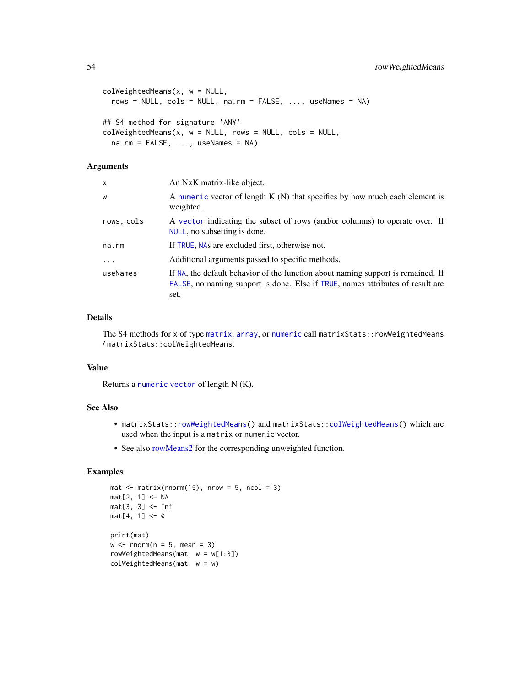```
colWeightedMeans(x, w = NULL,
  rows = NULL, cols = NULL, na.rm = FALSE, ..., useNames = NA)
## S4 method for signature 'ANY'
colWeightedMeans(x, w = NULL, rows = NULL, cols = NULL,na.rm = FALSE, ..., useNames = NA)
```
## Arguments

| X          | An NxK matrix-like object.                                                                                                                                                 |
|------------|----------------------------------------------------------------------------------------------------------------------------------------------------------------------------|
| W          | A numeric vector of length $K(N)$ that specifies by how much each element is<br>weighted.                                                                                  |
| rows, cols | A vector indicating the subset of rows (and/or columns) to operate over. If<br>NULL, no subsetting is done.                                                                |
| na.rm      | If TRUE, NAs are excluded first, otherwise not.                                                                                                                            |
| $\ddotsc$  | Additional arguments passed to specific methods.                                                                                                                           |
| useNames   | If NA, the default behavior of the function about naming support is remained. If<br>FALSE, no naming support is done. Else if TRUE, names attributes of result are<br>set. |

## Details

The S4 methods for x of type [matrix](#page-0-0), [array](#page-0-0), or [numeric](#page-0-0) call matrixStats::rowWeightedMeans / matrixStats::colWeightedMeans.

## Value

Returns a [numeric](#page-0-0) [vector](#page-0-0) of length N (K).

## See Also

- matrixStats:[:rowWeightedMeans\(](#page-52-1)) and matrixStats:[:colWeightedMeans\(](#page-52-2)) which are used when the input is a matrix or numeric vector.
- See also [rowMeans2](#page-28-1) for the corresponding unweighted function.

```
mat \leq matrix(rnorm(15), nrow = 5, ncol = 3)
mat[2, 1] <- NA
mat[3, 3] <- Inf
mat[4, 1] < -0print(mat)
w \le rnorm(n = 5, mean = 3)
rowWeightedMeans(mat, w = w[1:3])
colWeightedMeans(mat, w = w)
```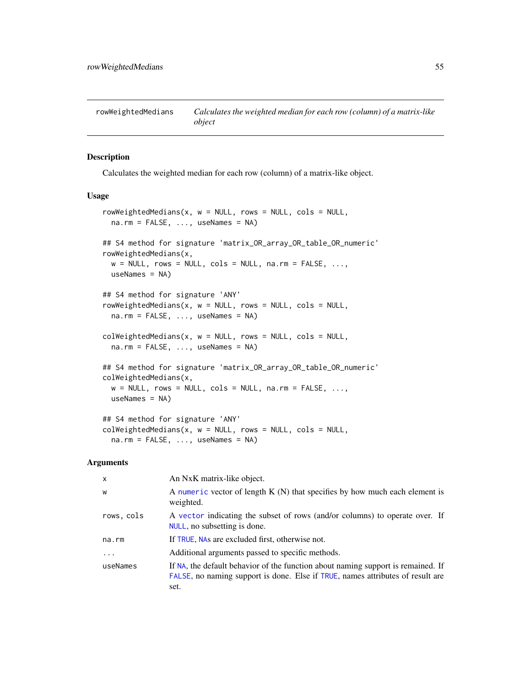<span id="page-54-1"></span><span id="page-54-0"></span>rowWeightedMedians *Calculates the weighted median for each row (column) of a matrix-like object*

## <span id="page-54-2"></span>Description

Calculates the weighted median for each row (column) of a matrix-like object.

#### Usage

```
rowWeightedMedians(x, w = NULL, rows = NULL, cols = NULL,
  na.rm = FALSE, ..., useNames = NA)## S4 method for signature 'matrix_OR_array_OR_table_OR_numeric'
rowWeightedMedians(x,
 w = NULL, rows = NULL, cols = NULL, na.rm = FALSE, ...,
  useNames = NA)
## S4 method for signature 'ANY'
rowWeightedMedians(x, w = NULL, rows = NULL, cols = NULL,
  na.rm = FALSE, ..., useNames = NA)colWeightedMedians(x, w = NULL, rows = NULL, cols = NULL,na.rm = FALSE, ..., useNames = NA)## S4 method for signature 'matrix_OR_array_OR_table_OR_numeric'
colWeightedMedians(x,
 w = NULL, rows = NULL, cols = NULL, na.rm = FALSE, ...,
 useNames = NA)
## S4 method for signature 'ANY'
colWeightedMedians(x, w = NULL, rows = NULL, cols = NULL,na.rm = FALSE, ..., useNames = NA)
```

| $\mathsf{x}$ | An NxK matrix-like object.                                                                                                                                                 |
|--------------|----------------------------------------------------------------------------------------------------------------------------------------------------------------------------|
| W            | A numeric vector of length $K(N)$ that specifies by how much each element is<br>weighted.                                                                                  |
| rows, cols   | A vector indicating the subset of rows (and/or columns) to operate over. If<br>NULL, no subsetting is done.                                                                |
| na.rm        | If TRUE, NAs are excluded first, otherwise not.                                                                                                                            |
| $\cdot$      | Additional arguments passed to specific methods.                                                                                                                           |
| useNames     | If NA, the default behavior of the function about naming support is remained. If<br>FALSE, no naming support is done. Else if TRUE, names attributes of result are<br>set. |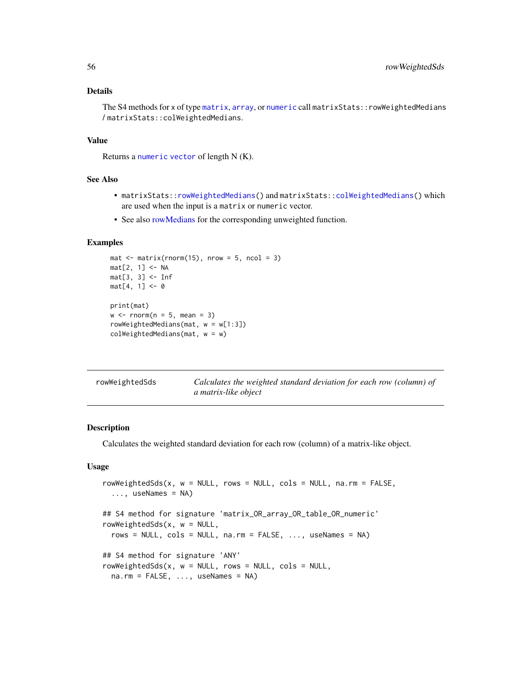## <span id="page-55-0"></span>Details

The S4 methods for x of type [matrix](#page-0-0), [array](#page-0-0), or [numeric](#page-0-0) call matrixStats::rowWeightedMedians / matrixStats::colWeightedMedians.

## Value

Returns a [numeric](#page-0-0) [vector](#page-0-0) of length N (K).

#### See Also

- matrixStats:[:rowWeightedMedians\(](#page-54-1)) and matrixStats:[:colWeightedMedians\(](#page-54-2)) which are used when the input is a matrix or numeric vector.
- See also [rowMedians](#page-29-1) for the corresponding unweighted function.

## Examples

```
mat \leq matrix(rnorm(15), nrow = 5, ncol = 3)
mat[2, 1] <- NA
mat[3, 3] <- Inf
mat[4, 1] < -0print(mat)
w \le rnorm(n = 5, mean = 3)
rowWeightedMedians(mat, w = w[1:3])
colWeightedMedians(mat, w = w)
```
<span id="page-55-1"></span>

| rowWeightedSds | Calculates the weighted standard deviation for each row (column) of |
|----------------|---------------------------------------------------------------------|
|                | a matrix-like object                                                |

## <span id="page-55-2"></span>Description

Calculates the weighted standard deviation for each row (column) of a matrix-like object.

```
rowWeightedSds(x, w = NULL, rows = NULL, cols = NULL, na.rm = FALSE,
  ..., useNames = NA)
## S4 method for signature 'matrix_OR_array_OR_table_OR_numeric'
rowWeightedSds(x, w = NULL,
  rows = NULL, \text{cols} = NULL, \text{na} \cdot \text{rm} = FALSE, \dots, useNames = NA)
## S4 method for signature 'ANY'
rowWeightedSds(x, w = NULL, rows = NULL, cols = NULL,
  na.rm = FALSE, ..., useNames = NA)
```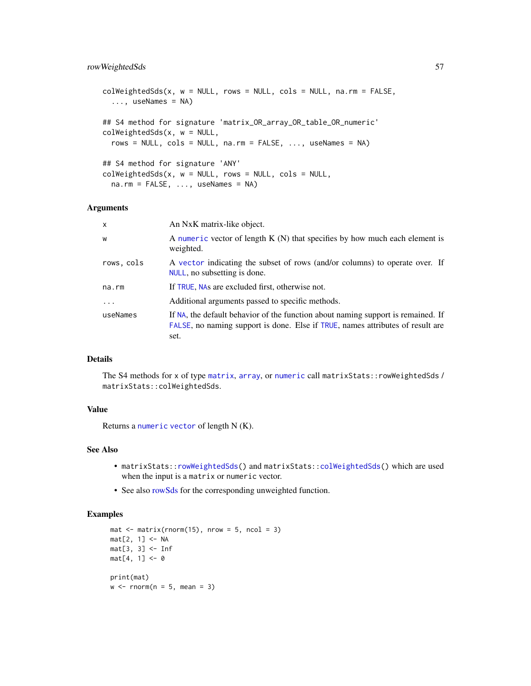## <span id="page-56-0"></span>rowWeightedSds 57

```
colWeightedSds(x, w = NULL, rows = NULL, cols = NULL, na.rm = FALSE,
  ..., useNames = NA)
## S4 method for signature 'matrix_OR_array_OR_table_OR_numeric'
colWeightedSds(x, w = NULL,
  rows = NULL, cols = NULL, na.rm = FALSE, ..., useNames = NA)
## S4 method for signature 'ANY'
colWeightedSds(x, w = NULL, rows = NULL, cols = NULL,na.rm = FALSE, ..., useNames = NA)
```
#### Arguments

| $\mathsf{x}$ | An NxK matrix-like object.                                                                                                                                                 |
|--------------|----------------------------------------------------------------------------------------------------------------------------------------------------------------------------|
| W            | A numeric vector of length $K(N)$ that specifies by how much each element is<br>weighted.                                                                                  |
| rows, cols   | A vector indicating the subset of rows (and/or columns) to operate over. If<br>NULL, no subsetting is done.                                                                |
| na.rm        | If TRUE, NAs are excluded first, otherwise not.                                                                                                                            |
| $\ddots$ .   | Additional arguments passed to specific methods.                                                                                                                           |
| useNames     | If NA, the default behavior of the function about naming support is remained. If<br>FALSE, no naming support is done. Else if TRUE, names attributes of result are<br>set. |

#### Details

The S4 methods for x of type [matrix](#page-0-0), [array](#page-0-0), or [numeric](#page-0-0) call matrixStats:: rowWeightedSds / matrixStats::colWeightedSds.

## Value

Returns a [numeric](#page-0-0) [vector](#page-0-0) of length N (K).

## See Also

- matrixStats:[:rowWeightedSds\(](#page-55-1)) and matrixStats:[:colWeightedSds\(](#page-55-2)) which are used when the input is a matrix or numeric vector.
- See also [rowSds](#page-42-1) for the corresponding unweighted function.

```
mat \leq matrix(rnorm(15), nrow = 5, ncol = 3)
mat[2, 1] <- NA
mat[3, 3] <- Inf
mat[4, 1] < -0print(mat)
w \le rnorm(n = 5, mean = 3)
```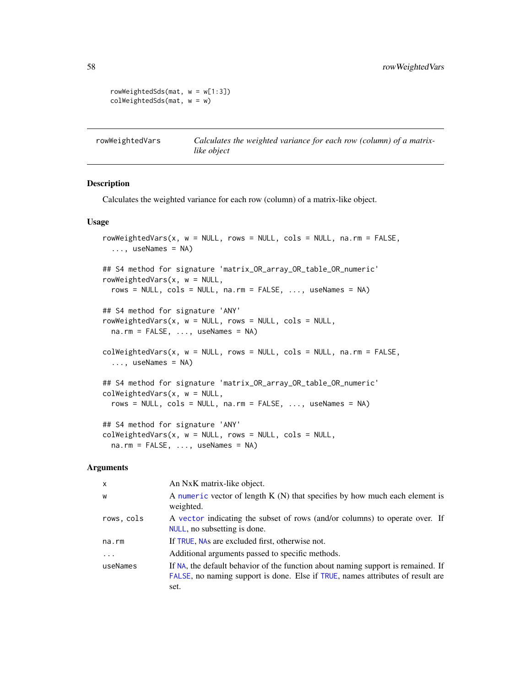```
rowWeightedSds(mat, w = w[1:3])
colWeightedSds(mat, w = w)
```
<span id="page-57-1"></span>rowWeightedVars *Calculates the weighted variance for each row (column) of a matrixlike object*

#### <span id="page-57-2"></span>Description

Calculates the weighted variance for each row (column) of a matrix-like object.

#### Usage

```
rowWeightedVars(x, w = NULL, rows = NULL, cols = NULL, na.rm = FALSE,
  ..., useNames = NA)
## S4 method for signature 'matrix_OR_array_OR_table_OR_numeric'
rowWeightedVars(x, w = NULL,
  rows = NULL, cols = NULL, na.rm = FALSE, ..., useNames = NA)
## S4 method for signature 'ANY'
rowWeightedVars(x, w = NULL, rows = NULL, cols = NULL,
 na.rm = FALSE, ..., useNames = NA)colWeightedVars(x, w = NULL, rows = NULL, cols = NULL, na.rm = FALSE,
  ..., useNames = NA)
## S4 method for signature 'matrix_OR_array_OR_table_OR_numeric'
colWeightedVars(x, w = NULL,
  rows = NULL, cols = NULL, na.rm = FALSE, ..., useNames = NA)
## S4 method for signature 'ANY'
colWeightedVars(x, w = NULL, rows = NULL, cols = NULL,na.rm = FALSE, ..., useNames = NA)
```

| x          | An NxK matrix-like object.                                                                                                                                                 |
|------------|----------------------------------------------------------------------------------------------------------------------------------------------------------------------------|
| W          | A numeric vector of length $K(N)$ that specifies by how much each element is<br>weighted.                                                                                  |
| rows, cols | A vector indicating the subset of rows (and/or columns) to operate over. If<br>NULL, no subsetting is done.                                                                |
| na.rm      | If TRUE, NAs are excluded first, otherwise not.                                                                                                                            |
| $\ddots$ . | Additional arguments passed to specific methods.                                                                                                                           |
| useNames   | If NA, the default behavior of the function about naming support is remained. If<br>FALSE, no naming support is done. Else if TRUE, names attributes of result are<br>set. |
|            |                                                                                                                                                                            |

<span id="page-57-0"></span>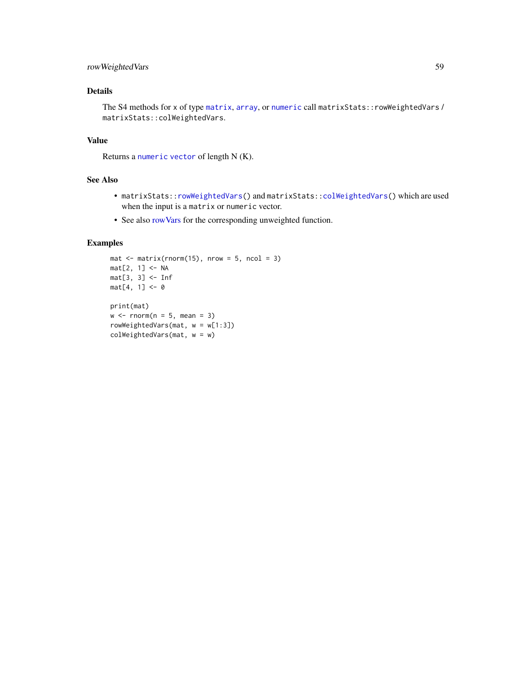## <span id="page-58-0"></span>rowWeightedVars 59

## Details

The S4 methods for x of type [matrix](#page-0-0), [array](#page-0-0), or [numeric](#page-0-0) call matrixStats::rowWeightedVars / matrixStats::colWeightedVars.

## Value

Returns a [numeric](#page-0-0) [vector](#page-0-0) of length N (K).

## See Also

- matrixStats:[:rowWeightedVars\(](#page-57-1)) and matrixStats:[:colWeightedVars\(](#page-57-2)) which are used when the input is a matrix or numeric vector.
- See also [rowVars](#page-49-1) for the corresponding unweighted function.

```
mat \leq matrix(rnorm(15), nrow = 5, ncol = 3)
mat[2, 1] <- NA
mat[3, 3] <- Inf
mat[4, 1] < -0print(mat)
w \le rnorm(n = 5, mean = 3)
rowWeightedVars(mat, w = w[1:3])
colWeightedVars(mat, w = w)
```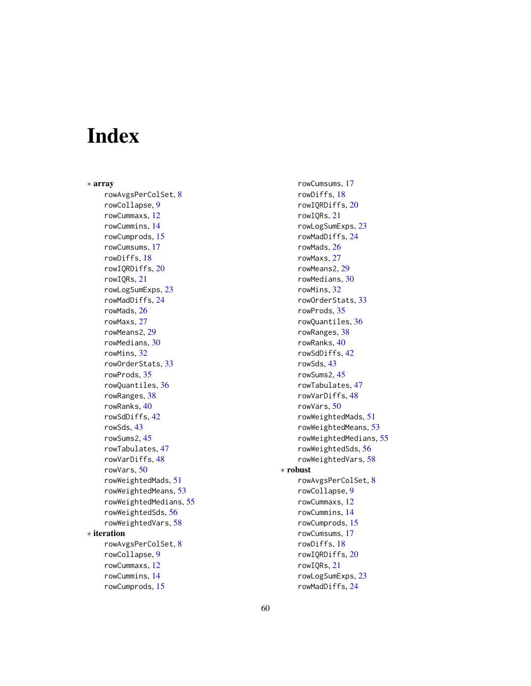# <span id="page-59-0"></span>Index

∗ array rowAvgsPerColSet, [8](#page-7-0) rowCollapse, [9](#page-8-0) rowCummaxs, [12](#page-11-0) rowCummins, [14](#page-13-0) rowCumprods, [15](#page-14-0) rowCumsums, [17](#page-16-0) rowDiffs, [18](#page-17-0) rowIQRDiffs, [20](#page-19-0) rowIQRs, [21](#page-20-0) rowLogSumExps, [23](#page-22-0) rowMadDiffs, [24](#page-23-0) rowMads, [26](#page-25-0) rowMaxs, [27](#page-26-0) rowMeans2, [29](#page-28-0) rowMedians, [30](#page-29-0) rowMins, [32](#page-31-0) rowOrderStats, [33](#page-32-0) rowProds, [35](#page-34-0) rowQuantiles, [36](#page-35-0) rowRanges, [38](#page-37-0) rowRanks, [40](#page-39-0) rowSdDiffs, [42](#page-41-0) rowSds, [43](#page-42-0) rowSums2, [45](#page-44-0) rowTabulates, [47](#page-46-0) rowVarDiffs, [48](#page-47-0) rowVars, [50](#page-49-0) rowWeightedMads, [51](#page-50-0) rowWeightedMeans, [53](#page-52-0) rowWeightedMedians, [55](#page-54-0) rowWeightedSds, [56](#page-55-0) rowWeightedVars, [58](#page-57-0) ∗ iteration rowAvgsPerColSet, [8](#page-7-0) rowCollapse, [9](#page-8-0) rowCummaxs, [12](#page-11-0) rowCummins, [14](#page-13-0) rowCumprods, [15](#page-14-0)

rowCumsums, [17](#page-16-0) rowDiffs, [18](#page-17-0) rowIQRDiffs, [20](#page-19-0) rowIQRs, [21](#page-20-0) rowLogSumExps, [23](#page-22-0) rowMadDiffs, [24](#page-23-0) rowMads, [26](#page-25-0) rowMaxs, [27](#page-26-0) rowMeans2, [29](#page-28-0) rowMedians, [30](#page-29-0) rowMins, [32](#page-31-0) rowOrderStats, [33](#page-32-0) rowProds, [35](#page-34-0) rowQuantiles, [36](#page-35-0) rowRanges, [38](#page-37-0) rowRanks, [40](#page-39-0) rowSdDiffs, [42](#page-41-0) rowSds, [43](#page-42-0) rowSums2, [45](#page-44-0) rowTabulates, [47](#page-46-0) rowVarDiffs, [48](#page-47-0) rowVars, [50](#page-49-0) rowWeightedMads, [51](#page-50-0) rowWeightedMeans, [53](#page-52-0) rowWeightedMedians, [55](#page-54-0) rowWeightedSds, [56](#page-55-0) rowWeightedVars, [58](#page-57-0) ∗ robust rowAvgsPerColSet, [8](#page-7-0) rowCollapse, [9](#page-8-0) rowCummaxs, [12](#page-11-0) rowCummins, [14](#page-13-0) rowCumprods, [15](#page-14-0) rowCumsums, [17](#page-16-0) rowDiffs, [18](#page-17-0) rowIQRDiffs, [20](#page-19-0) rowIQRs, [21](#page-20-0) rowLogSumExps, [23](#page-22-0) rowMadDiffs, [24](#page-23-0)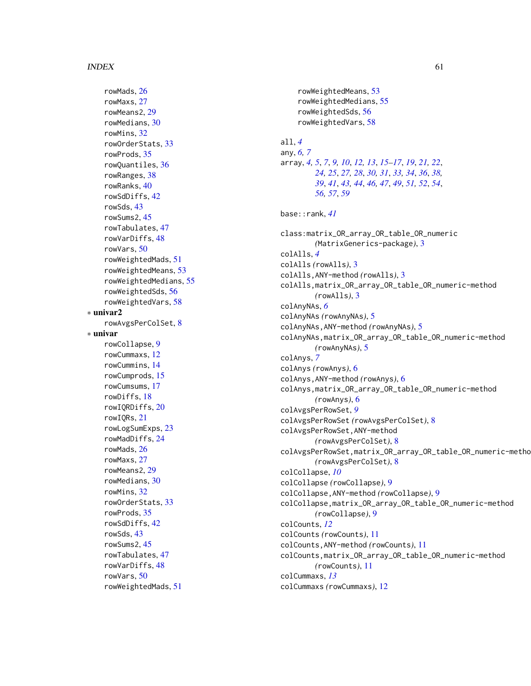#### $I$ NDEX 61

rowMads, [26](#page-25-0) rowMaxs, [27](#page-26-0) rowMeans2, [29](#page-28-0) rowMedians, [30](#page-29-0) rowMins, [32](#page-31-0) rowOrderStats, [33](#page-32-0) rowProds, [35](#page-34-0) rowQuantiles, [36](#page-35-0) rowRanges, [38](#page-37-0) rowRanks, [40](#page-39-0) rowSdDiffs, [42](#page-41-0) rowSds, [43](#page-42-0) rowSums2, [45](#page-44-0) rowTabulates, [47](#page-46-0) rowVarDiffs, [48](#page-47-0) rowVars, [50](#page-49-0) rowWeightedMads, [51](#page-50-0) rowWeightedMeans, [53](#page-52-0) rowWeightedMedians, [55](#page-54-0) rowWeightedSds, [56](#page-55-0) rowWeightedVars, [58](#page-57-0) ∗ univar2 rowAvgsPerColSet, [8](#page-7-0) ∗ univar rowCollapse, [9](#page-8-0) rowCummaxs, [12](#page-11-0) rowCummins, [14](#page-13-0) rowCumprods, [15](#page-14-0) rowCumsums, [17](#page-16-0) rowDiffs, [18](#page-17-0) rowIQRDiffs, [20](#page-19-0) rowIQRs, [21](#page-20-0) rowLogSumExps, [23](#page-22-0) rowMadDiffs, [24](#page-23-0) rowMads, [26](#page-25-0) rowMaxs, [27](#page-26-0) rowMeans2, [29](#page-28-0) rowMedians, [30](#page-29-0) rowMins, [32](#page-31-0) rowOrderStats, [33](#page-32-0) rowProds, [35](#page-34-0) rowSdDiffs, [42](#page-41-0) rowSds, [43](#page-42-0) rowSums2, [45](#page-44-0) rowTabulates, [47](#page-46-0) rowVarDiffs, [48](#page-47-0) rowVars, [50](#page-49-0) rowWeightedMads, [51](#page-50-0)

```
rowWeightedMeans, 53
    rowWeightedMedians, 55
    rowWeightedSds, 56
    rowWeightedVars, 58
all, 4
any, 6, 7
array, 4, 5, 7, 9, 10, 12, 13, 15–17, 19, 21, 22,
        24, 25, 27, 28, 30, 31, 33, 34, 36, 38,
        39, 41, 43, 44, 46, 47, 49, 51, 52, 54,
        56, 57, 59
base::rank, 41
class:matrix_OR_array_OR_table_OR_numeric
        (MatrixGenerics-package), 3
colAlls, 4
colAlls (rowAlls), 3
colAlls,ANY-method (rowAlls), 3
colAlls,matrix_OR_array_OR_table_OR_numeric-method
        (rowAlls), 3
colAnyNAs, 6
colAnyNAs (rowAnyNAs), 5
colAnyNAs,ANY-method (rowAnyNAs), 5
colAnyNAs,matrix_OR_array_OR_table_OR_numeric-method
        (rowAnyNAs), 5
colAnys, 7
colAnys (rowAnys), 6
colAnys,ANY-method (rowAnys), 6
colAnys,matrix_OR_array_OR_table_OR_numeric-method
        (rowAnys), 6
colAvgsPerRowSet, 9
colAvgsPerRowSet (rowAvgsPerColSet), 8
colAvgsPerRowSet,ANY-method
        (rowAvgsPerColSet), 8
colAvgsPerRowSet,matrix_OR_array_OR_table_OR_numeric-method
        (rowAvgsPerColSet), 8
colCollapse, 10
colCollapse (rowCollapse), 9
colCollapse,ANY-method (rowCollapse), 9
colCollapse,matrix_OR_array_OR_table_OR_numeric-method
        (rowCollapse), 9
colCounts, 12
colCounts (rowCounts), 11
colCounts,ANY-method (rowCounts), 11
colCounts,matrix_OR_array_OR_table_OR_numeric-method
        (rowCounts), 11
colCummaxs, 13
colCummaxs (rowCummaxs), 12
```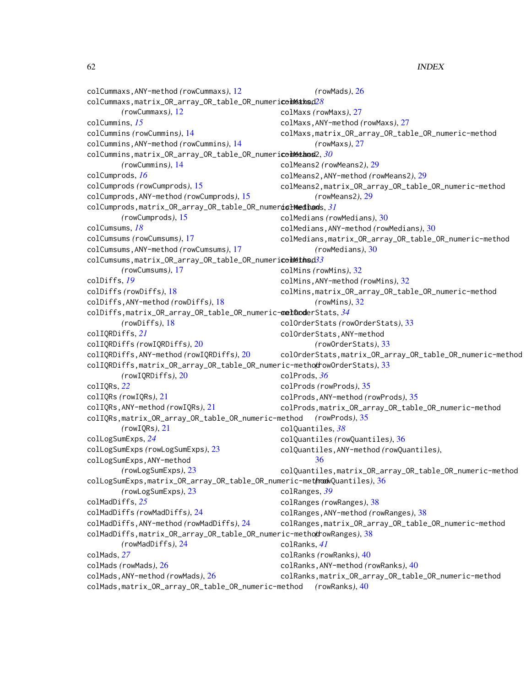62 INDEX

colCummaxs,ANY-method *(*rowCummaxs*)*, [12](#page-11-0) colCummaxs,matrix\_OR\_array\_OR\_table\_OR\_numeri**ceiNeaks**d[28](#page-27-0) *(*rowCummaxs*)*, [12](#page-11-0) colCummins, *[15](#page-14-0)* colCummins *(*rowCummins*)*, [14](#page-13-0) colCummins,ANY-method *(*rowCummins*)*, [14](#page-13-0) colCummins,matrix\_OR\_array\_OR\_table\_OR\_numericollethod2,[30](#page-29-0) *(*rowCummins*)*, [14](#page-13-0) colCumprods, *[16](#page-15-0)* colCumprods *(*rowCumprods*)*, [15](#page-14-0) colCumprods,ANY-method *(*rowCumprods*)*, [15](#page-14-0) colCumprods,matrix\_OR\_array\_OR\_table\_OR\_numeric-method colMedians, *[31](#page-30-0) (*rowCumprods*)*, [15](#page-14-0) colCumsums, *[18](#page-17-0)* colCumsums *(*rowCumsums*)*, [17](#page-16-0) colCumsums,ANY-method *(*rowCumsums*)*, [17](#page-16-0) colCumsums,matrix\_OR\_array\_OR\_table\_OR\_numericolMethod[33](#page-32-0) *(*rowCumsums*)*, [17](#page-16-0) colDiffs, *[19](#page-18-0)* colDiffs *(*rowDiffs*)*, [18](#page-17-0) colDiffs,ANY-method *(*rowDiffs*)*, [18](#page-17-0) colDiffs,matrix\_OR\_array\_OR\_table\_OR\_numeric-method colOrderStats, *[34](#page-33-0) (*rowDiffs*)*, [18](#page-17-0) colIQRDiffs, *[21](#page-20-0)* colIQRDiffs *(*rowIQRDiffs*)*, [20](#page-19-0) colIQRDiffs,ANY-method *(*rowIQRDiffs*)*, [20](#page-19-0) colIQRDiffs,matrix\_OR\_array\_OR\_table\_OR\_numeric-method *(*rowOrderStats*)*, [33](#page-32-0) *(*rowIQRDiffs*)*, [20](#page-19-0) colIQRs, *[22](#page-21-0)* colIQRs *(*rowIQRs*)*, [21](#page-20-0) colIQRs,ANY-method *(*rowIQRs*)*, [21](#page-20-0) colIQRs,matrix\_OR\_array\_OR\_table\_OR\_numeric-method *(*rowProds*)*, [35](#page-34-0) *(*rowIQRs*)*, [21](#page-20-0) colLogSumExps, *[24](#page-23-0)* colLogSumExps *(*rowLogSumExps*)*, [23](#page-22-0) colLogSumExps,ANY-method *(*rowLogSumExps*)*, [23](#page-22-0) colLogSumExps,matrix\_OR\_array\_OR\_table\_OR\_numeric-method *(*rowQuantiles*)*, [36](#page-35-0) *(*rowLogSumExps*)*, [23](#page-22-0) colMadDiffs, *[25](#page-24-0)* colMadDiffs *(*rowMadDiffs*)*, [24](#page-23-0) colMadDiffs,ANY-method *(*rowMadDiffs*)*, [24](#page-23-0) colMadDiffs,matrix\_OR\_array\_OR\_table\_OR\_numeric-method *(*rowRanges*)*, [38](#page-37-0) *(*rowMadDiffs*)*, [24](#page-23-0) colMads, *[27](#page-26-0)* colMads *(*rowMads*)*, [26](#page-25-0) colMads,ANY-method *(*rowMads*)*, [26](#page-25-0) colMads,matrix\_OR\_array\_OR\_table\_OR\_numeric-method *(*rowRanks*)*, [40](#page-39-0)*(*rowMads*)*, [26](#page-25-0) colMaxs *(*rowMaxs*)*, [27](#page-26-0) colMaxs,ANY-method *(*rowMaxs*)*, [27](#page-26-0) colMaxs,matrix\_OR\_array\_OR\_table\_OR\_numeric-method *(*rowMaxs*)*, [27](#page-26-0) colMeans2 *(*rowMeans2*)*, [29](#page-28-0) colMeans2,ANY-method *(*rowMeans2*)*, [29](#page-28-0) colMeans2,matrix\_OR\_array\_OR\_table\_OR\_numeric-method *(*rowMeans2*)*, [29](#page-28-0) colMedians *(*rowMedians*)*, [30](#page-29-0) colMedians,ANY-method *(*rowMedians*)*, [30](#page-29-0) colMedians,matrix\_OR\_array\_OR\_table\_OR\_numeric-method *(*rowMedians*)*, [30](#page-29-0) colMins *(*rowMins*)*, [32](#page-31-0) colMins,ANY-method *(*rowMins*)*, [32](#page-31-0) colMins,matrix\_OR\_array\_OR\_table\_OR\_numeric-method *(*rowMins*)*, [32](#page-31-0) colOrderStats *(*rowOrderStats*)*, [33](#page-32-0) colOrderStats,ANY-method *(*rowOrderStats*)*, [33](#page-32-0) colOrderStats,matrix\_OR\_array\_OR\_table\_OR\_numeric-method colProds, *[36](#page-35-0)* colProds *(*rowProds*)*, [35](#page-34-0) colProds,ANY-method *(*rowProds*)*, [35](#page-34-0) colProds,matrix\_OR\_array\_OR\_table\_OR\_numeric-method colQuantiles, *[38](#page-37-0)* colQuantiles *(*rowQuantiles*)*, [36](#page-35-0) colQuantiles,ANY-method *(*rowQuantiles*)*, [36](#page-35-0) colQuantiles,matrix\_OR\_array\_OR\_table\_OR\_numeric-method colRanges, *[39](#page-38-0)* colRanges *(*rowRanges*)*, [38](#page-37-0) colRanges,ANY-method *(*rowRanges*)*, [38](#page-37-0) colRanges,matrix\_OR\_array\_OR\_table\_OR\_numeric-method colRanks, *[41](#page-40-0)* colRanks *(*rowRanks*)*, [40](#page-39-0) colRanks,ANY-method *(*rowRanks*)*, [40](#page-39-0) colRanks,matrix\_OR\_array\_OR\_table\_OR\_numeric-method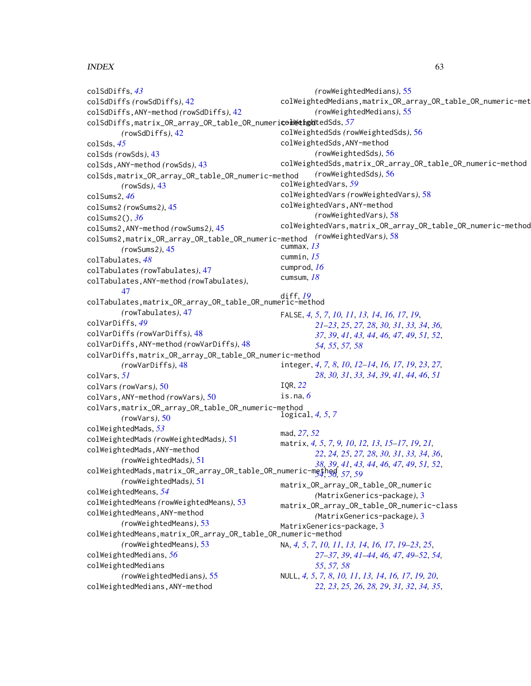#### $I<sub>N</sub>DEX$  63

colSdDiffs, *[43](#page-42-0)* colSdDiffs *(*rowSdDiffs*)*, [42](#page-41-0) colSdDiffs,ANY-method *(*rowSdDiffs*)*, [42](#page-41-0) colSdDiffs,matrix\_OR\_array\_OR\_table\_OR\_numeric-method colWeightedSds, *[57](#page-56-0) (*rowSdDiffs*)*, [42](#page-41-0) colSds, *[45](#page-44-0)* colSds *(*rowSds*)*, [43](#page-42-0) colSds,ANY-method *(*rowSds*)*, [43](#page-42-0) colSds,matrix\_OR\_array\_OR\_table\_OR\_numeric-method *(*rowSds*)*, [43](#page-42-0) colSums2, *[46](#page-45-0)* colSums2 *(*rowSums2*)*, [45](#page-44-0) colSums2(), *[36](#page-35-0)* colSums2,ANY-method *(*rowSums2*)*, [45](#page-44-0) colSums2,matrix\_OR\_array\_OR\_table\_OR\_numeric-method *(*rowWeightedVars*)*, [58](#page-57-0) *(*rowSums2*)*, [45](#page-44-0) colTabulates, *[48](#page-47-0)* colTabulates *(*rowTabulates*)*, [47](#page-46-0) colTabulates,ANY-method *(*rowTabulates*)*, [47](#page-46-0) colTabulates,matrix\_OR\_array\_OR\_table\_OR\_numeric-method diff, *[19](#page-18-0) (*rowTabulates*)*, [47](#page-46-0) colVarDiffs, *[49](#page-48-0)* colVarDiffs *(*rowVarDiffs*)*, [48](#page-47-0) colVarDiffs,ANY-method *(*rowVarDiffs*)*, [48](#page-47-0) colVarDiffs,matrix\_OR\_array\_OR\_table\_OR\_numeric-method *(*rowVarDiffs*)*, [48](#page-47-0) colVars, *[51](#page-50-0)* colVars *(*rowVars*)*, [50](#page-49-0) colVars,ANY-method *(*rowVars*)*, [50](#page-49-0) colVars,matrix\_OR\_array\_OR\_table\_OR\_numeric-method *(*rowVars*)*, [50](#page-49-0) colWeightedMads, *[53](#page-52-0)* colWeightedMads *(*rowWeightedMads*)*, [51](#page-50-0) colWeightedMads,ANY-method *(*rowWeightedMads*)*, [51](#page-50-0) colWeightedMads,matrix\_OR\_array\_OR\_table\_OR\_numeric-method *[54](#page-53-0)*, *[56,](#page-55-0) [57](#page-56-0)*, *[59](#page-58-0) (*rowWeightedMads*)*, [51](#page-50-0) colWeightedMeans, *[54](#page-53-0)* colWeightedMeans *(*rowWeightedMeans*)*, [53](#page-52-0) colWeightedMeans,ANY-method *(*rowWeightedMeans*)*, [53](#page-52-0) colWeightedMeans,matrix\_OR\_array\_OR\_table\_OR\_numeric-method *(*rowWeightedMeans*)*, [53](#page-52-0) colWeightedMedians, *[56](#page-55-0)* colWeightedMedians *(*rowWeightedMedians*)*, [55](#page-54-0) colWeightedMedians,ANY-method *(*rowWeightedMedians*)*, [55](#page-54-0) colWeightedMedians,matrix\_OR\_array\_OR\_table\_OR\_numeric-method *(*rowWeightedMedians*)*, [55](#page-54-0) colWeightedSds *(*rowWeightedSds*)*, [56](#page-55-0) colWeightedSds,ANY-method *(*rowWeightedSds*)*, [56](#page-55-0) colWeightedSds,matrix\_OR\_array\_OR\_table\_OR\_numeric-method *(*rowWeightedSds*)*, [56](#page-55-0) colWeightedVars, *[59](#page-58-0)* colWeightedVars *(*rowWeightedVars*)*, [58](#page-57-0) colWeightedVars,ANY-method *(*rowWeightedVars*)*, [58](#page-57-0) colWeightedVars,matrix\_OR\_array\_OR\_table\_OR\_numeric-method cummax, *[13](#page-12-0)* cummin, *[15](#page-14-0)* cumprod, *[16](#page-15-0)* cumsum, *[18](#page-17-0)* FALSE, *[4,](#page-3-0) [5](#page-4-0)*, *[7](#page-6-0)*, *[10,](#page-9-0) [11](#page-10-0)*, *[13,](#page-12-0) [14](#page-13-0)*, *[16,](#page-15-0) [17](#page-16-0)*, *[19](#page-18-0)*, *[21](#page-20-0)[–23](#page-22-0)*, *[25](#page-24-0)*, *[27,](#page-26-0) [28](#page-27-0)*, *[30,](#page-29-0) [31](#page-30-0)*, *[33,](#page-32-0) [34](#page-33-0)*, *[36,](#page-35-0) [37](#page-36-0)*, *[39](#page-38-0)*, *[41](#page-40-0)*, *[43,](#page-42-0) [44](#page-43-0)*, *[46,](#page-45-0) [47](#page-46-0)*, *[49](#page-48-0)*, *[51,](#page-50-0) [52](#page-51-0)*, *[54,](#page-53-0) [55](#page-54-0)*, *[57,](#page-56-0) [58](#page-57-0)* integer, *[4](#page-3-0)*, *[7,](#page-6-0) [8](#page-7-0)*, *[10](#page-9-0)*, *[12](#page-11-0)[–14](#page-13-0)*, *[16,](#page-15-0) [17](#page-16-0)*, *[19](#page-18-0)*, *[23](#page-22-0)*, *[27,](#page-26-0) [28](#page-27-0)*, *[30,](#page-29-0) [31](#page-30-0)*, *[33,](#page-32-0) [34](#page-33-0)*, *[39](#page-38-0)*, *[41](#page-40-0)*, *[44](#page-43-0)*, *[46](#page-45-0)*, *[51](#page-50-0)* IQR, *[22](#page-21-0)* is.na, *[6](#page-5-0)* logical, *[4,](#page-3-0) [5](#page-4-0)*, *[7](#page-6-0)* mad, *[27](#page-26-0)*, *[52](#page-51-0)* matrix, *[4,](#page-3-0) [5](#page-4-0)*, *[7](#page-6-0)*, *[9,](#page-8-0) [10](#page-9-0)*, *[12,](#page-11-0) [13](#page-12-0)*, *[15](#page-14-0)[–17](#page-16-0)*, *[19](#page-18-0)*, *[21,](#page-20-0) [22](#page-21-0)*, *[24,](#page-23-0) [25](#page-24-0)*, *[27,](#page-26-0) [28](#page-27-0)*, *[30,](#page-29-0) [31](#page-30-0)*, *[33,](#page-32-0) [34](#page-33-0)*, *[36](#page-35-0)*, *[38,](#page-37-0) [39](#page-38-0)*, *[41](#page-40-0)*, *[43,](#page-42-0) [44](#page-43-0)*, *[46,](#page-45-0) [47](#page-46-0)*, *[49](#page-48-0)*, *[51,](#page-50-0) [52](#page-51-0)*, matrix\_OR\_array\_OR\_table\_OR\_numeric *(*MatrixGenerics-package*)*, [3](#page-2-0) matrix\_OR\_array\_OR\_table\_OR\_numeric-class *(*MatrixGenerics-package*)*, [3](#page-2-0) MatrixGenerics-package, [3](#page-2-0) NA, *[4,](#page-3-0) [5](#page-4-0)*, *[7](#page-6-0)*, *[10,](#page-9-0) [11](#page-10-0)*, *[13,](#page-12-0) [14](#page-13-0)*, *[16,](#page-15-0) [17](#page-16-0)*, *[19](#page-18-0)[–23](#page-22-0)*, *[25](#page-24-0)*, *[27](#page-26-0)[–37](#page-36-0)*, *[39](#page-38-0)*, *[41](#page-40-0)[–44](#page-43-0)*, *[46,](#page-45-0) [47](#page-46-0)*, *[49](#page-48-0)[–52](#page-51-0)*, *[54,](#page-53-0) [55](#page-54-0)*, *[57,](#page-56-0) [58](#page-57-0)* NULL, *[4,](#page-3-0) [5](#page-4-0)*, *[7,](#page-6-0) [8](#page-7-0)*, *[10,](#page-9-0) [11](#page-10-0)*, *[13,](#page-12-0) [14](#page-13-0)*, *[16,](#page-15-0) [17](#page-16-0)*, *[19,](#page-18-0) [20](#page-19-0)*, *[22,](#page-21-0) [23](#page-22-0)*, *[25,](#page-24-0) [26](#page-25-0)*, *[28,](#page-27-0) [29](#page-28-0)*, *[31,](#page-30-0) [32](#page-31-0)*, *[34,](#page-33-0) [35](#page-34-0)*,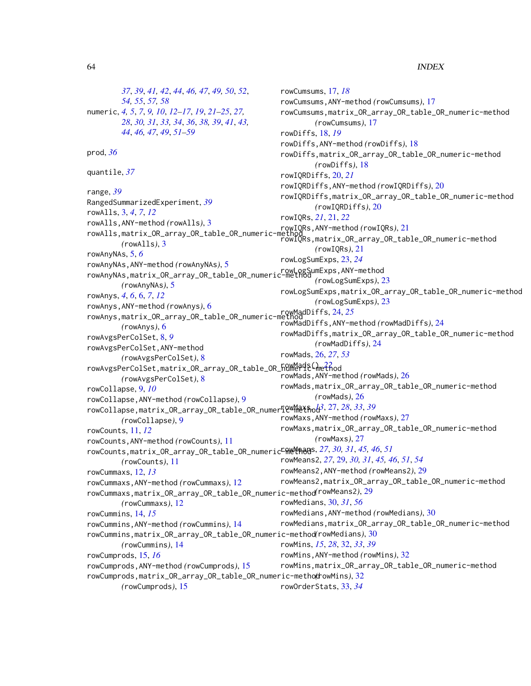#### 64 INDEX

*[37](#page-36-0)*, *[39](#page-38-0)*, *[41,](#page-40-0) [42](#page-41-0)*, *[44](#page-43-0)*, *[46,](#page-45-0) [47](#page-46-0)*, *[49,](#page-48-0) [50](#page-49-0)*, *[52](#page-51-0)*, *[54,](#page-53-0) [55](#page-54-0)*, *[57,](#page-56-0) [58](#page-57-0)* numeric, *[4,](#page-3-0) [5](#page-4-0)*, *[7](#page-6-0)*, *[9,](#page-8-0) [10](#page-9-0)*, *[12–](#page-11-0)[17](#page-16-0)*, *[19](#page-18-0)*, *[21–](#page-20-0)[25](#page-24-0)*, *[27,](#page-26-0) [28](#page-27-0)*, *[30,](#page-29-0) [31](#page-30-0)*, *[33,](#page-32-0) [34](#page-33-0)*, *[36](#page-35-0)*, *[38,](#page-37-0) [39](#page-38-0)*, *[41](#page-40-0)*, *[43,](#page-42-0) [44](#page-43-0)*, *[46,](#page-45-0) [47](#page-46-0)*, *[49](#page-48-0)*, *[51–](#page-50-0)[59](#page-58-0)* prod, *[36](#page-35-0)* quantile, *[37](#page-36-0)* range, *[39](#page-38-0)* RangedSummarizedExperiment, *[39](#page-38-0)* rowAlls, [3,](#page-2-0) *[4](#page-3-0)*, *[7](#page-6-0)*, *[12](#page-11-0)* rowAlls,ANY-method *(*rowAlls*)*, [3](#page-2-0) rowAlls,matrix\_OR\_array\_OR\_table\_OR\_numeric-meth *(*rowAlls*)*, [3](#page-2-0) rowAnyNAs, [5,](#page-4-0) *[6](#page-5-0)* rowAnyNAs,ANY-method *(*rowAnyNAs*)*, [5](#page-4-0) rowAnyNAs,matrix\_OR\_array\_OR\_table\_OR\_numeric-method rowLogSumExps,ANY-method *(*rowAnyNAs*)*, [5](#page-4-0) rowAnys, *[4](#page-3-0)*, *[6](#page-5-0)*, [6,](#page-5-0) *[7](#page-6-0)*, *[12](#page-11-0)* rowAnys,ANY-method *(*rowAnys*)*, [6](#page-5-0) rowAnys,matrix\_OR\_array\_OR\_table\_OR\_numeric-method rowMadDiffs, [24,](#page-23-0) *[25](#page-24-0) (*rowAnys*)*, [6](#page-5-0) rowAvgsPerColSet, [8,](#page-7-0) *[9](#page-8-0)* rowAvgsPerColSet,ANY-method *(*rowAvgsPerColSet*)*, [8](#page-7-0) rowAvgsPerColSet,matrix\_OR\_array\_OR\_table\_OR\_humeric-method *(*rowAvgsPerColSet*)*, [8](#page-7-0) rowCollapse, [9,](#page-8-0) *[10](#page-9-0)* rowCollapse,ANY-method *(*rowCollapse*)*, [9](#page-8-0) rowCollapse,matrix\_OR\_array\_OR\_table\_OR\_numeric-method rowMaxs, *[13](#page-12-0)*, [27,](#page-26-0) *[28](#page-27-0)*, *[33](#page-32-0)*, *[39](#page-38-0) (*rowCollapse*)*, [9](#page-8-0) rowCounts, [11,](#page-10-0) *[12](#page-11-0)* rowCounts,ANY-method *(*rowCounts*)*, [11](#page-10-0) rowCounts,matrix\_OR\_array\_OR\_table\_OR\_numeric-method rowMeans, *[27](#page-26-0)*, *[30,](#page-29-0) [31](#page-30-0)*, *[45,](#page-44-0) [46](#page-45-0)*, *[51](#page-50-0) (*rowCounts*)*, [11](#page-10-0) rowCummaxs, [12,](#page-11-0) *[13](#page-12-0)* rowCummaxs,ANY-method *(*rowCummaxs*)*, [12](#page-11-0) rowCummaxs,matrix\_OR\_array\_OR\_table\_OR\_numeric-method *(*rowMeans2*)*, [29](#page-28-0) *(*rowCummaxs*)*, [12](#page-11-0) rowCummins, [14,](#page-13-0) *[15](#page-14-0)* rowCummins,ANY-method *(*rowCummins*)*, [14](#page-13-0) rowCummins,matrix\_OR\_array\_OR\_table\_OR\_numeric-method *(*rowMedians*)*, [30](#page-29-0) *(*rowCummins*)*, [14](#page-13-0) rowCumprods, [15,](#page-14-0) *[16](#page-15-0)* rowCumprods,ANY-method *(*rowCumprods*)*, [15](#page-14-0) rowCumprods,matrix\_OR\_array\_OR\_table\_OR\_numeric-method *(*rowMins*)*, [32](#page-31-0) *(*rowCumprods*)*, [15](#page-14-0) rowCumsums, [17,](#page-16-0) *[18](#page-17-0)* rowCumsums,ANY-method *(*rowCumsums*)*, [17](#page-16-0) rowCumsums,matrix\_OR\_array\_OR\_table\_OR\_numeric-method *(*rowCumsums*)*, [17](#page-16-0) rowDiffs, [18,](#page-17-0) *[19](#page-18-0)* rowDiffs,ANY-method *(*rowDiffs*)*, [18](#page-17-0) rowDiffs,matrix\_OR\_array\_OR\_table\_OR\_numeric-method *(*rowDiffs*)*, [18](#page-17-0) rowIQRDiffs, [20,](#page-19-0) *[21](#page-20-0)* rowIQRDiffs,ANY-method *(*rowIQRDiffs*)*, [20](#page-19-0) rowIQRDiffs,matrix\_OR\_array\_OR\_table\_OR\_numeric-method *(*rowIQRDiffs*)*, [20](#page-19-0) rowIQRs, *[21](#page-20-0)*, [21,](#page-20-0) *[22](#page-21-0)* rowIQRs,ANY-method *(*rowIQRs*)*, [21](#page-20-0) rowIQRs,matrix\_OR\_array\_OR\_table\_OR\_numeric-method *(*rowIQRs*)*, [21](#page-20-0) rowLogSumExps, [23,](#page-22-0) *[24](#page-23-0) (*rowLogSumExps*)*, [23](#page-22-0) rowLogSumExps,matrix\_OR\_array\_OR\_table\_OR\_numeric-method *(*rowLogSumExps*)*, [23](#page-22-0) rowMadDiffs,ANY-method *(*rowMadDiffs*)*, [24](#page-23-0) rowMadDiffs,matrix\_OR\_array\_OR\_table\_OR\_numeric-method *(*rowMadDiffs*)*, [24](#page-23-0) rowMads, [26,](#page-25-0) *[27](#page-26-0)*, *[53](#page-52-0)* rowMads,ANY-method *(*rowMads*)*, [26](#page-25-0) rowMads,matrix\_OR\_array\_OR\_table\_OR\_numeric-method *(*rowMads*)*, [26](#page-25-0) rowMaxs,ANY-method *(*rowMaxs*)*, [27](#page-26-0) rowMaxs,matrix\_OR\_array\_OR\_table\_OR\_numeric-method *(*rowMaxs*)*, [27](#page-26-0) rowMeans2, *[27](#page-26-0)*, [29,](#page-28-0) *[30,](#page-29-0) [31](#page-30-0)*, *[45,](#page-44-0) [46](#page-45-0)*, *[51](#page-50-0)*, *[54](#page-53-0)* rowMeans2,ANY-method *(*rowMeans2*)*, [29](#page-28-0) rowMeans2,matrix\_OR\_array\_OR\_table\_OR\_numeric-method rowMedians, [30,](#page-29-0) *[31](#page-30-0)*, *[56](#page-55-0)* rowMedians,ANY-method *(*rowMedians*)*, [30](#page-29-0) rowMedians,matrix\_OR\_array\_OR\_table\_OR\_numeric-method rowMins, *[15](#page-14-0)*, *[28](#page-27-0)*, [32,](#page-31-0) *[33](#page-32-0)*, *[39](#page-38-0)* rowMins,ANY-method *(*rowMins*)*, [32](#page-31-0) rowMins,matrix\_OR\_array\_OR\_table\_OR\_numeric-method rowOrderStats, [33,](#page-32-0) *[34](#page-33-0)*